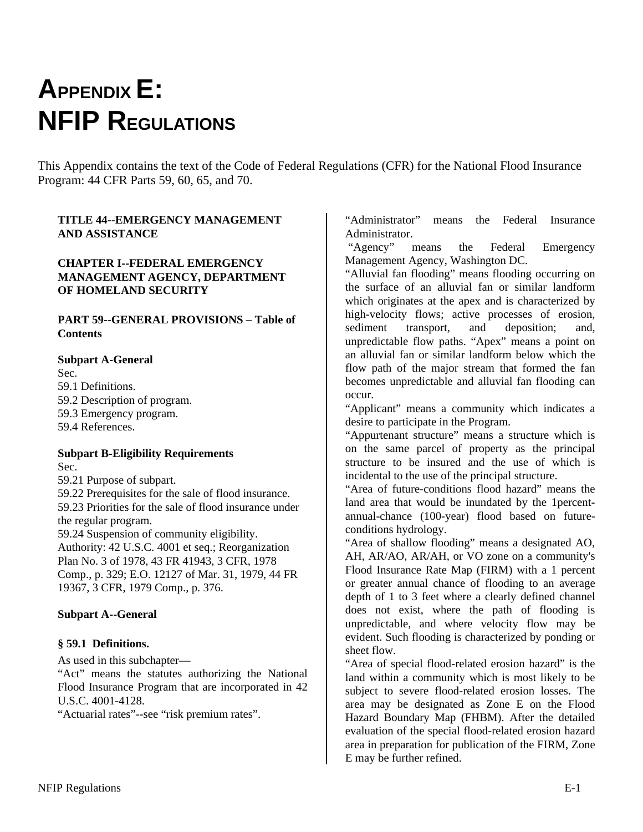# **APPENDIX E: NFIP REGULATIONS**

This Appendix contains the text of the Code of Federal Regulations (CFR) for the National Flood Insurance Program: 44 CFR Parts 59, 60, 65, and 70.

#### **TITLE 44--EMERGENCY MANAGEMENT AND ASSISTANCE**

#### **CHAPTER I--FEDERAL EMERGENCY MANAGEMENT AGENCY, DEPARTMENT OF HOMELAND SECURITY**

#### **PART 59--GENERAL PROVISIONS – Table of Contents**

# **Subpart A-General**

Sec. 59.1 Definitions. 59.2 Description of program. 59.3 Emergency program. 59.4 References.

# **Subpart B-Eligibility Requirements**

Sec. 59.21 Purpose of subpart. 59.22 Prerequisites for the sale of flood insurance. 59.23 Priorities for the sale of flood insurance under the regular program. 59.24 Suspension of community eligibility. Authority: 42 U.S.C. 4001 et seq.; Reorganization Plan No. 3 of 1978, 43 FR 41943, 3 CFR, 1978 Comp., p. 329; E.O. 12127 of Mar. 31, 1979, 44 FR

# **Subpart A--General**

# **§ 59.1 Definitions.**

As used in this subchapter—

19367, 3 CFR, 1979 Comp., p. 376.

"Act" means the statutes authorizing the National Flood Insurance Program that are incorporated in 42 U.S.C. 4001-4128.

"Actuarial rates"--see "risk premium rates".

"Administrator" means the Federal Insurance Administrator.

 "Agency" means the Federal Emergency Management Agency, Washington DC.

"Alluvial fan flooding" means flooding occurring on the surface of an alluvial fan or similar landform which originates at the apex and is characterized by high-velocity flows; active processes of erosion, sediment transport, and deposition; and, unpredictable flow paths. "Apex" means a point on an alluvial fan or similar landform below which the flow path of the major stream that formed the fan becomes unpredictable and alluvial fan flooding can occur.

"Applicant" means a community which indicates a desire to participate in the Program.

"Appurtenant structure" means a structure which is on the same parcel of property as the principal structure to be insured and the use of which is incidental to the use of the principal structure.

"Area of future-conditions flood hazard" means the land area that would be inundated by the 1percentannual-chance (100-year) flood based on futureconditions hydrology.

"Area of shallow flooding" means a designated AO, AH, AR/AO, AR/AH, or VO zone on a community's Flood Insurance Rate Map (FIRM) with a 1 percent or greater annual chance of flooding to an average depth of 1 to 3 feet where a clearly defined channel does not exist, where the path of flooding is unpredictable, and where velocity flow may be evident. Such flooding is characterized by ponding or sheet flow.

"Area of special flood-related erosion hazard" is the land within a community which is most likely to be subject to severe flood-related erosion losses. The area may be designated as Zone E on the Flood Hazard Boundary Map (FHBM). After the detailed evaluation of the special flood-related erosion hazard area in preparation for publication of the FIRM, Zone E may be further refined.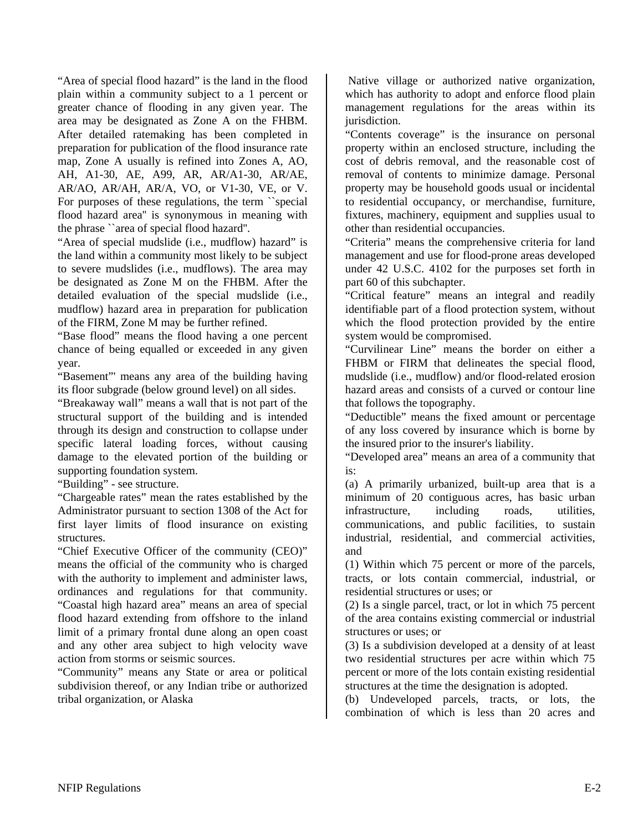"Area of special flood hazard" is the land in the flood plain within a community subject to a 1 percent or greater chance of flooding in any given year. The area may be designated as Zone A on the FHBM. After detailed ratemaking has been completed in preparation for publication of the flood insurance rate map, Zone A usually is refined into Zones A, AO, AH, A1-30, AE, A99, AR, AR/A1-30, AR/AE, AR/AO, AR/AH, AR/A, VO, or V1-30, VE, or V. For purposes of these regulations, the term ``special flood hazard area'' is synonymous in meaning with the phrase ``area of special flood hazard''.

"Area of special mudslide (i.e., mudflow) hazard" is the land within a community most likely to be subject to severe mudslides (i.e., mudflows). The area may be designated as Zone M on the FHBM. After the detailed evaluation of the special mudslide (i.e., mudflow) hazard area in preparation for publication of the FIRM, Zone M may be further refined.

"Base flood" means the flood having a one percent chance of being equalled or exceeded in any given year.

"Basement"' means any area of the building having its floor subgrade (below ground level) on all sides.

"Breakaway wall" means a wall that is not part of the structural support of the building and is intended through its design and construction to collapse under specific lateral loading forces, without causing damage to the elevated portion of the building or supporting foundation system.

"Building" - see structure.

"Chargeable rates" mean the rates established by the Administrator pursuant to section 1308 of the Act for first layer limits of flood insurance on existing structures.

"Chief Executive Officer of the community (CEO)" means the official of the community who is charged with the authority to implement and administer laws, ordinances and regulations for that community. "Coastal high hazard area" means an area of special flood hazard extending from offshore to the inland limit of a primary frontal dune along an open coast and any other area subject to high velocity wave action from storms or seismic sources.

"Community" means any State or area or political subdivision thereof, or any Indian tribe or authorized tribal organization, or Alaska

 Native village or authorized native organization, which has authority to adopt and enforce flood plain management regulations for the areas within its jurisdiction.

"Contents coverage" is the insurance on personal property within an enclosed structure, including the cost of debris removal, and the reasonable cost of removal of contents to minimize damage. Personal property may be household goods usual or incidental to residential occupancy, or merchandise, furniture, fixtures, machinery, equipment and supplies usual to other than residential occupancies.

"Criteria" means the comprehensive criteria for land management and use for flood-prone areas developed under 42 U.S.C. 4102 for the purposes set forth in part 60 of this subchapter.

"Critical feature" means an integral and readily identifiable part of a flood protection system, without which the flood protection provided by the entire system would be compromised.

"Curvilinear Line" means the border on either a FHBM or FIRM that delineates the special flood, mudslide (i.e., mudflow) and/or flood-related erosion hazard areas and consists of a curved or contour line that follows the topography.

"Deductible" means the fixed amount or percentage of any loss covered by insurance which is borne by the insured prior to the insurer's liability.

"Developed area" means an area of a community that is:

(a) A primarily urbanized, built-up area that is a minimum of 20 contiguous acres, has basic urban infrastructure, including roads, utilities, communications, and public facilities, to sustain industrial, residential, and commercial activities, and

(1) Within which 75 percent or more of the parcels, tracts, or lots contain commercial, industrial, or residential structures or uses; or

(2) Is a single parcel, tract, or lot in which 75 percent of the area contains existing commercial or industrial structures or uses; or

(3) Is a subdivision developed at a density of at least two residential structures per acre within which 75 percent or more of the lots contain existing residential structures at the time the designation is adopted.

(b) Undeveloped parcels, tracts, or lots, the combination of which is less than 20 acres and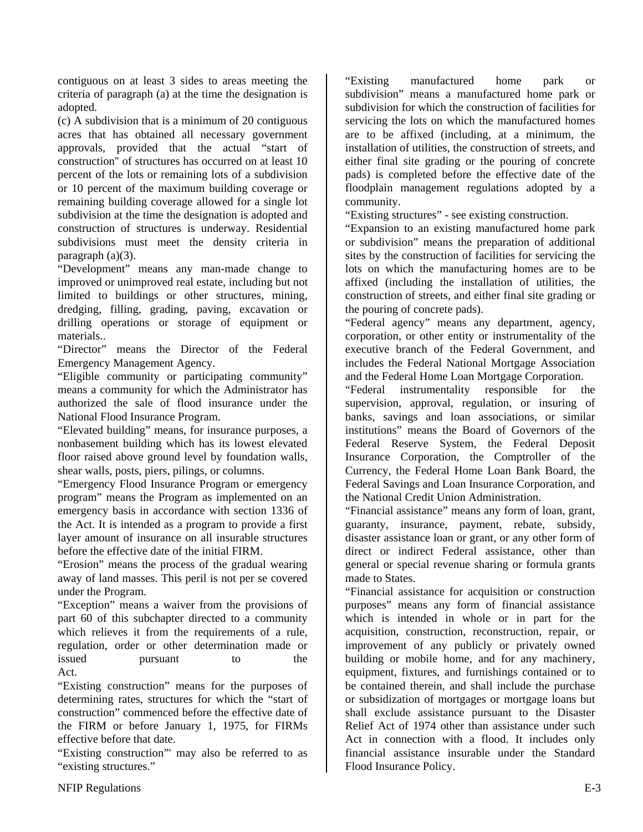contiguous on at least 3 sides to areas meeting the criteria of paragraph (a) at the time the designation is adopted.

(c) A subdivision that is a minimum of 20 contiguous acres that has obtained all necessary government approvals, provided that the actual "start of construction'' of structures has occurred on at least 10 percent of the lots or remaining lots of a subdivision or 10 percent of the maximum building coverage or remaining building coverage allowed for a single lot subdivision at the time the designation is adopted and construction of structures is underway. Residential subdivisions must meet the density criteria in paragraph (a)(3).

"Development" means any man-made change to improved or unimproved real estate, including but not limited to buildings or other structures, mining, dredging, filling, grading, paving, excavation or drilling operations or storage of equipment or materials..

"Director" means the Director of the Federal Emergency Management Agency.

"Eligible community or participating community" means a community for which the Administrator has authorized the sale of flood insurance under the National Flood Insurance Program.

"Elevated building" means, for insurance purposes, a nonbasement building which has its lowest elevated floor raised above ground level by foundation walls, shear walls, posts, piers, pilings, or columns.

"Emergency Flood Insurance Program or emergency program" means the Program as implemented on an emergency basis in accordance with section 1336 of the Act. It is intended as a program to provide a first layer amount of insurance on all insurable structures before the effective date of the initial FIRM.

"Erosion" means the process of the gradual wearing away of land masses. This peril is not per se covered under the Program.

"Exception" means a waiver from the provisions of part 60 of this subchapter directed to a community which relieves it from the requirements of a rule, regulation, order or other determination made or issued pursuant to the Act.

"Existing construction" means for the purposes of determining rates, structures for which the "start of construction" commenced before the effective date of the FIRM or before January 1, 1975, for FIRMs effective before that date.

"Existing construction"' may also be referred to as "existing structures."

"Existing manufactured home park or subdivision" means a manufactured home park or subdivision for which the construction of facilities for servicing the lots on which the manufactured homes are to be affixed (including, at a minimum, the installation of utilities, the construction of streets, and either final site grading or the pouring of concrete pads) is completed before the effective date of the floodplain management regulations adopted by a community.

"Existing structures" - see existing construction.

"Expansion to an existing manufactured home park or subdivision" means the preparation of additional sites by the construction of facilities for servicing the lots on which the manufacturing homes are to be affixed (including the installation of utilities, the construction of streets, and either final site grading or the pouring of concrete pads).

"Federal agency" means any department, agency, corporation, or other entity or instrumentality of the executive branch of the Federal Government, and includes the Federal National Mortgage Association and the Federal Home Loan Mortgage Corporation.

"Federal instrumentality responsible for the supervision, approval, regulation, or insuring of banks, savings and loan associations, or similar institutions" means the Board of Governors of the Federal Reserve System, the Federal Deposit Insurance Corporation, the Comptroller of the Currency, the Federal Home Loan Bank Board, the Federal Savings and Loan Insurance Corporation, and the National Credit Union Administration.

"Financial assistance" means any form of loan, grant, guaranty, insurance, payment, rebate, subsidy, disaster assistance loan or grant, or any other form of direct or indirect Federal assistance, other than general or special revenue sharing or formula grants made to States.

"Financial assistance for acquisition or construction purposes" means any form of financial assistance which is intended in whole or in part for the acquisition, construction, reconstruction, repair, or improvement of any publicly or privately owned building or mobile home, and for any machinery, equipment, fixtures, and furnishings contained or to be contained therein, and shall include the purchase or subsidization of mortgages or mortgage loans but shall exclude assistance pursuant to the Disaster Relief Act of 1974 other than assistance under such Act in connection with a flood. It includes only financial assistance insurable under the Standard Flood Insurance Policy.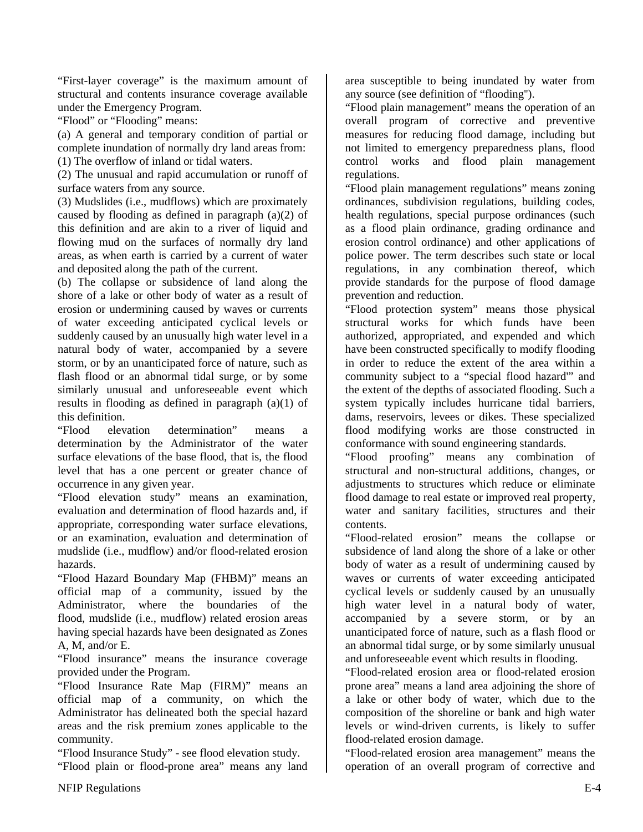"First-layer coverage" is the maximum amount of structural and contents insurance coverage available under the Emergency Program.

"Flood" or "Flooding" means:

(a) A general and temporary condition of partial or complete inundation of normally dry land areas from:

(1) The overflow of inland or tidal waters.

(2) The unusual and rapid accumulation or runoff of surface waters from any source.

(3) Mudslides (i.e., mudflows) which are proximately caused by flooding as defined in paragraph (a)(2) of this definition and are akin to a river of liquid and flowing mud on the surfaces of normally dry land areas, as when earth is carried by a current of water and deposited along the path of the current.

(b) The collapse or subsidence of land along the shore of a lake or other body of water as a result of erosion or undermining caused by waves or currents of water exceeding anticipated cyclical levels or suddenly caused by an unusually high water level in a natural body of water, accompanied by a severe storm, or by an unanticipated force of nature, such as flash flood or an abnormal tidal surge, or by some similarly unusual and unforeseeable event which results in flooding as defined in paragraph (a)(1) of this definition.

"Flood elevation determination" means a determination by the Administrator of the water surface elevations of the base flood, that is, the flood level that has a one percent or greater chance of occurrence in any given year.

"Flood elevation study" means an examination, evaluation and determination of flood hazards and, if appropriate, corresponding water surface elevations, or an examination, evaluation and determination of mudslide (i.e., mudflow) and/or flood-related erosion hazards.

"Flood Hazard Boundary Map (FHBM)" means an official map of a community, issued by the Administrator, where the boundaries of the flood, mudslide (i.e., mudflow) related erosion areas having special hazards have been designated as Zones A, M, and/or E.

"Flood insurance" means the insurance coverage provided under the Program.

"Flood Insurance Rate Map (FIRM)" means an official map of a community, on which the Administrator has delineated both the special hazard areas and the risk premium zones applicable to the community.

"Flood Insurance Study" - see flood elevation study.

"Flood plain or flood-prone area" means any land

area susceptible to being inundated by water from any source (see definition of "flooding'').

"Flood plain management" means the operation of an overall program of corrective and preventive measures for reducing flood damage, including but not limited to emergency preparedness plans, flood control works and flood plain management regulations.

"Flood plain management regulations" means zoning ordinances, subdivision regulations, building codes, health regulations, special purpose ordinances (such as a flood plain ordinance, grading ordinance and erosion control ordinance) and other applications of police power. The term describes such state or local regulations, in any combination thereof, which provide standards for the purpose of flood damage prevention and reduction.

"Flood protection system" means those physical structural works for which funds have been authorized, appropriated, and expended and which have been constructed specifically to modify flooding in order to reduce the extent of the area within a community subject to a "special flood hazard'" and the extent of the depths of associated flooding. Such a system typically includes hurricane tidal barriers, dams, reservoirs, levees or dikes. These specialized flood modifying works are those constructed in conformance with sound engineering standards.

"Flood proofing" means any combination of structural and non-structural additions, changes, or adjustments to structures which reduce or eliminate flood damage to real estate or improved real property, water and sanitary facilities, structures and their contents.

"Flood-related erosion" means the collapse or subsidence of land along the shore of a lake or other body of water as a result of undermining caused by waves or currents of water exceeding anticipated cyclical levels or suddenly caused by an unusually high water level in a natural body of water, accompanied by a severe storm, or by an unanticipated force of nature, such as a flash flood or an abnormal tidal surge, or by some similarly unusual and unforeseeable event which results in flooding.

"Flood-related erosion area or flood-related erosion prone area" means a land area adjoining the shore of a lake or other body of water, which due to the composition of the shoreline or bank and high water levels or wind-driven currents, is likely to suffer flood-related erosion damage.

"Flood-related erosion area management" means the operation of an overall program of corrective and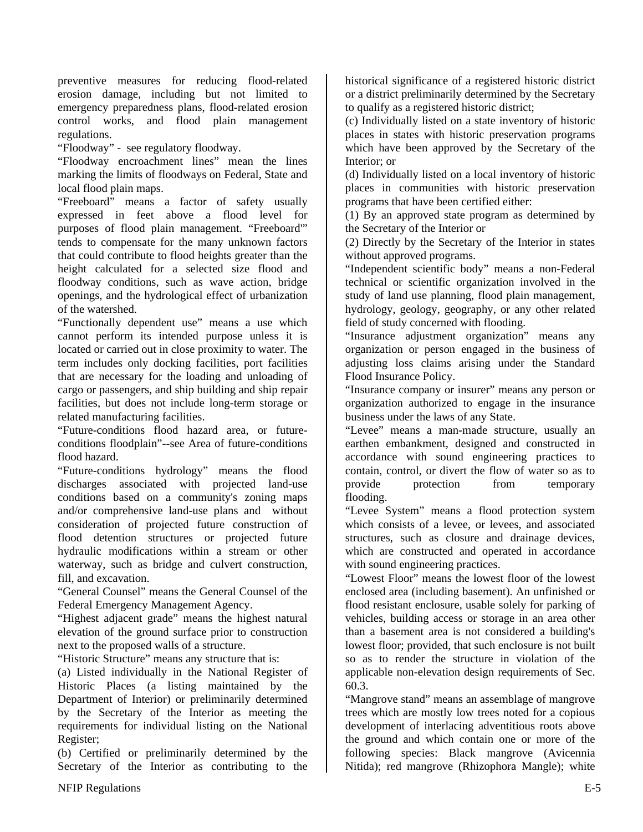preventive measures for reducing flood-related erosion damage, including but not limited to emergency preparedness plans, flood-related erosion control works, and flood plain management regulations.

"Floodway" - see regulatory floodway.

"Floodway encroachment lines" mean the lines marking the limits of floodways on Federal, State and local flood plain maps.

"Freeboard" means a factor of safety usually expressed in feet above a flood level for purposes of flood plain management. "Freeboard'" tends to compensate for the many unknown factors that could contribute to flood heights greater than the height calculated for a selected size flood and floodway conditions, such as wave action, bridge openings, and the hydrological effect of urbanization of the watershed.

"Functionally dependent use" means a use which cannot perform its intended purpose unless it is located or carried out in close proximity to water. The term includes only docking facilities, port facilities that are necessary for the loading and unloading of cargo or passengers, and ship building and ship repair facilities, but does not include long-term storage or related manufacturing facilities.

"Future-conditions flood hazard area, or futureconditions floodplain"--see Area of future-conditions flood hazard.

"Future-conditions hydrology" means the flood discharges associated with projected land-use conditions based on a community's zoning maps and/or comprehensive land-use plans and without consideration of projected future construction of flood detention structures or projected future hydraulic modifications within a stream or other waterway, such as bridge and culvert construction, fill, and excavation.

"General Counsel" means the General Counsel of the Federal Emergency Management Agency.

"Highest adjacent grade" means the highest natural elevation of the ground surface prior to construction next to the proposed walls of a structure.

"Historic Structure" means any structure that is:

(a) Listed individually in the National Register of Historic Places (a listing maintained by the Department of Interior) or preliminarily determined by the Secretary of the Interior as meeting the requirements for individual listing on the National Register;

(b) Certified or preliminarily determined by the Secretary of the Interior as contributing to the historical significance of a registered historic district or a district preliminarily determined by the Secretary to qualify as a registered historic district;

(c) Individually listed on a state inventory of historic places in states with historic preservation programs which have been approved by the Secretary of the Interior; or

(d) Individually listed on a local inventory of historic places in communities with historic preservation programs that have been certified either:

(1) By an approved state program as determined by the Secretary of the Interior or

(2) Directly by the Secretary of the Interior in states without approved programs.

"Independent scientific body" means a non-Federal technical or scientific organization involved in the study of land use planning, flood plain management, hydrology, geology, geography, or any other related field of study concerned with flooding.

"Insurance adjustment organization" means any organization or person engaged in the business of adjusting loss claims arising under the Standard Flood Insurance Policy.

"Insurance company or insurer" means any person or organization authorized to engage in the insurance business under the laws of any State.

"Levee" means a man-made structure, usually an earthen embankment, designed and constructed in accordance with sound engineering practices to contain, control, or divert the flow of water so as to provide protection from temporary flooding.

"Levee System" means a flood protection system which consists of a levee, or levees, and associated structures, such as closure and drainage devices, which are constructed and operated in accordance with sound engineering practices.

"Lowest Floor" means the lowest floor of the lowest enclosed area (including basement). An unfinished or flood resistant enclosure, usable solely for parking of vehicles, building access or storage in an area other than a basement area is not considered a building's lowest floor; provided, that such enclosure is not built so as to render the structure in violation of the applicable non-elevation design requirements of Sec. 60.3.

"Mangrove stand" means an assemblage of mangrove trees which are mostly low trees noted for a copious development of interlacing adventitious roots above the ground and which contain one or more of the following species: Black mangrove (Avicennia Nitida); red mangrove (Rhizophora Mangle); white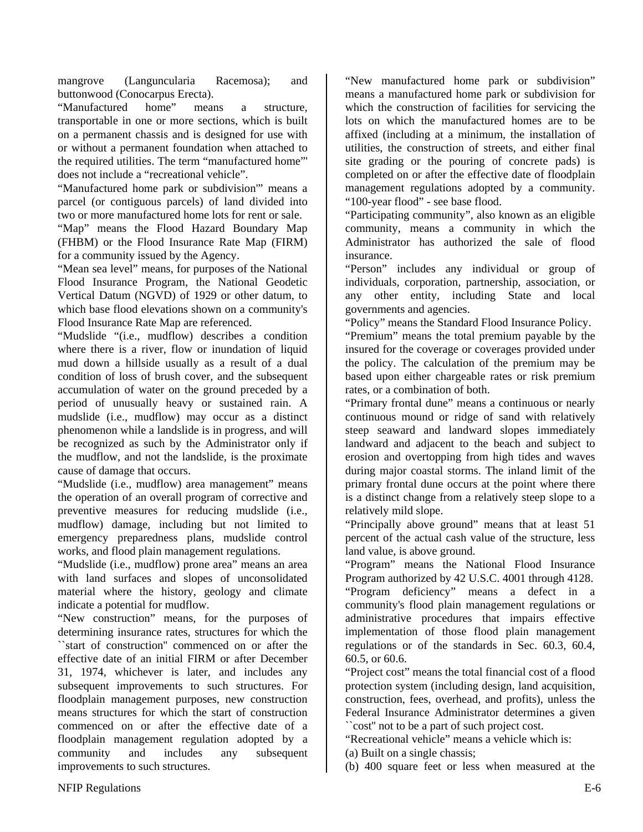mangrove (Languncularia Racemosa); and buttonwood (Conocarpus Erecta).

"Manufactured home" means a structure, transportable in one or more sections, which is built on a permanent chassis and is designed for use with or without a permanent foundation when attached to the required utilities. The term "manufactured home"' does not include a "recreational vehicle".

"Manufactured home park or subdivision'" means a parcel (or contiguous parcels) of land divided into two or more manufactured home lots for rent or sale.

"Map" means the Flood Hazard Boundary Map (FHBM) or the Flood Insurance Rate Map (FIRM) for a community issued by the Agency.

"Mean sea level" means, for purposes of the National Flood Insurance Program, the National Geodetic Vertical Datum (NGVD) of 1929 or other datum, to which base flood elevations shown on a community's Flood Insurance Rate Map are referenced.

"Mudslide "(i.e., mudflow) describes a condition where there is a river, flow or inundation of liquid mud down a hillside usually as a result of a dual condition of loss of brush cover, and the subsequent accumulation of water on the ground preceded by a period of unusually heavy or sustained rain. A mudslide (i.e., mudflow) may occur as a distinct phenomenon while a landslide is in progress, and will be recognized as such by the Administrator only if the mudflow, and not the landslide, is the proximate cause of damage that occurs.

"Mudslide (i.e., mudflow) area management" means the operation of an overall program of corrective and preventive measures for reducing mudslide (i.e., mudflow) damage, including but not limited to emergency preparedness plans, mudslide control works, and flood plain management regulations.

"Mudslide (i.e., mudflow) prone area" means an area with land surfaces and slopes of unconsolidated material where the history, geology and climate indicate a potential for mudflow.

"New construction" means, for the purposes of determining insurance rates, structures for which the ``start of construction'' commenced on or after the effective date of an initial FIRM or after December 31, 1974, whichever is later, and includes any subsequent improvements to such structures. For floodplain management purposes, new construction means structures for which the start of construction commenced on or after the effective date of a floodplain management regulation adopted by a community and includes any subsequent improvements to such structures.

"New manufactured home park or subdivision" means a manufactured home park or subdivision for which the construction of facilities for servicing the lots on which the manufactured homes are to be affixed (including at a minimum, the installation of utilities, the construction of streets, and either final site grading or the pouring of concrete pads) is completed on or after the effective date of floodplain management regulations adopted by a community. "100-year flood" - see base flood.

"Participating community", also known as an eligible community, means a community in which the Administrator has authorized the sale of flood insurance.

"Person" includes any individual or group of individuals, corporation, partnership, association, or any other entity, including State and local governments and agencies.

"Policy" means the Standard Flood Insurance Policy.

"Premium" means the total premium payable by the insured for the coverage or coverages provided under the policy. The calculation of the premium may be based upon either chargeable rates or risk premium rates, or a combination of both.

"Primary frontal dune" means a continuous or nearly continuous mound or ridge of sand with relatively steep seaward and landward slopes immediately landward and adjacent to the beach and subject to erosion and overtopping from high tides and waves during major coastal storms. The inland limit of the primary frontal dune occurs at the point where there is a distinct change from a relatively steep slope to a relatively mild slope.

"Principally above ground" means that at least 51 percent of the actual cash value of the structure, less land value, is above ground.

"Program" means the National Flood Insurance Program authorized by 42 U.S.C. 4001 through 4128.

"Program deficiency" means a defect in a community's flood plain management regulations or administrative procedures that impairs effective implementation of those flood plain management regulations or of the standards in Sec. 60.3, 60.4, 60.5, or 60.6.

"Project cost" means the total financial cost of a flood protection system (including design, land acquisition, construction, fees, overhead, and profits), unless the Federal Insurance Administrator determines a given ``cost'' not to be a part of such project cost.

"Recreational vehicle" means a vehicle which is:

(a) Built on a single chassis;

(b) 400 square feet or less when measured at the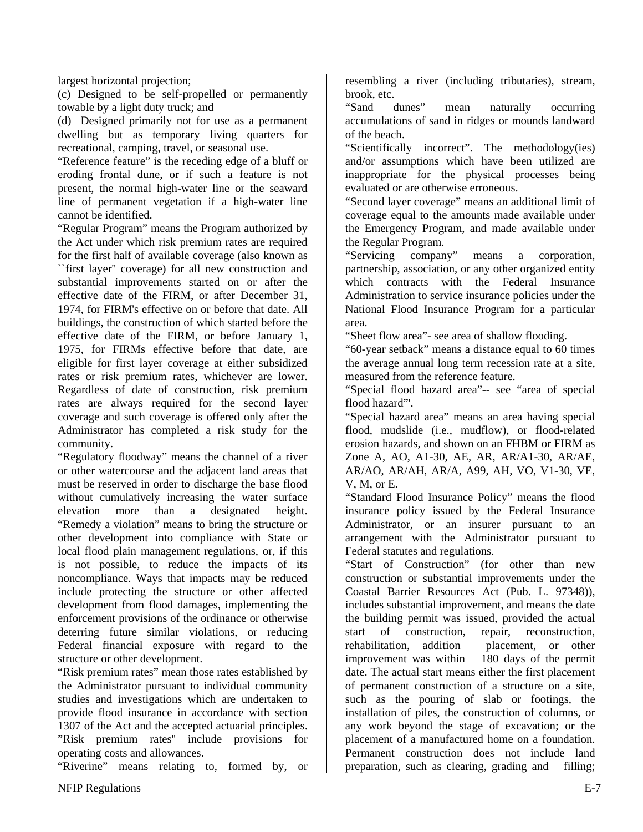largest horizontal projection;

(c) Designed to be self-propelled or permanently towable by a light duty truck; and

(d) Designed primarily not for use as a permanent dwelling but as temporary living quarters for recreational, camping, travel, or seasonal use.

"Reference feature" is the receding edge of a bluff or eroding frontal dune, or if such a feature is not present, the normal high-water line or the seaward line of permanent vegetation if a high-water line cannot be identified.

"Regular Program" means the Program authorized by the Act under which risk premium rates are required for the first half of available coverage (also known as ``first layer'' coverage) for all new construction and substantial improvements started on or after the effective date of the FIRM, or after December 31, 1974, for FIRM's effective on or before that date. All buildings, the construction of which started before the effective date of the FIRM, or before January 1, 1975, for FIRMs effective before that date, are eligible for first layer coverage at either subsidized rates or risk premium rates, whichever are lower. Regardless of date of construction, risk premium rates are always required for the second layer coverage and such coverage is offered only after the Administrator has completed a risk study for the community.

"Regulatory floodway" means the channel of a river or other watercourse and the adjacent land areas that must be reserved in order to discharge the base flood without cumulatively increasing the water surface elevation more than a designated height. "Remedy a violation" means to bring the structure or other development into compliance with State or local flood plain management regulations, or, if this is not possible, to reduce the impacts of its noncompliance. Ways that impacts may be reduced include protecting the structure or other affected development from flood damages, implementing the enforcement provisions of the ordinance or otherwise deterring future similar violations, or reducing Federal financial exposure with regard to the structure or other development.

"Risk premium rates" mean those rates established by the Administrator pursuant to individual community studies and investigations which are undertaken to provide flood insurance in accordance with section 1307 of the Act and the accepted actuarial principles. "Risk premium rates'' include provisions for operating costs and allowances.

"Riverine" means relating to, formed by, or

resembling a river (including tributaries), stream, brook, etc.

"Sand dunes" mean naturally occurring accumulations of sand in ridges or mounds landward of the beach.

"Scientifically incorrect". The methodology(ies) and/or assumptions which have been utilized are inappropriate for the physical processes being evaluated or are otherwise erroneous.

"Second layer coverage" means an additional limit of coverage equal to the amounts made available under the Emergency Program, and made available under the Regular Program.

"Servicing company" means a corporation, partnership, association, or any other organized entity which contracts with the Federal Insurance Administration to service insurance policies under the National Flood Insurance Program for a particular area.

"Sheet flow area"- see area of shallow flooding.

"60-year setback" means a distance equal to 60 times the average annual long term recession rate at a site, measured from the reference feature.

"Special flood hazard area"-- see "area of special flood hazard"'.

"Special hazard area" means an area having special flood, mudslide (i.e., mudflow), or flood-related erosion hazards, and shown on an FHBM or FIRM as Zone A, AO, A1-30, AE, AR, AR/A1-30, AR/AE, AR/AO, AR/AH, AR/A, A99, AH, VO, V1-30, VE, V, M, or E.

"Standard Flood Insurance Policy" means the flood insurance policy issued by the Federal Insurance Administrator, or an insurer pursuant to an arrangement with the Administrator pursuant to Federal statutes and regulations.

"Start of Construction" (for other than new construction or substantial improvements under the Coastal Barrier Resources Act (Pub. L. 97348)), includes substantial improvement, and means the date the building permit was issued, provided the actual start of construction, repair, reconstruction, rehabilitation, addition placement, or other improvement was within 180 days of the permit date. The actual start means either the first placement of permanent construction of a structure on a site, such as the pouring of slab or footings, the installation of piles, the construction of columns, or any work beyond the stage of excavation; or the placement of a manufactured home on a foundation. Permanent construction does not include land preparation, such as clearing, grading and filling;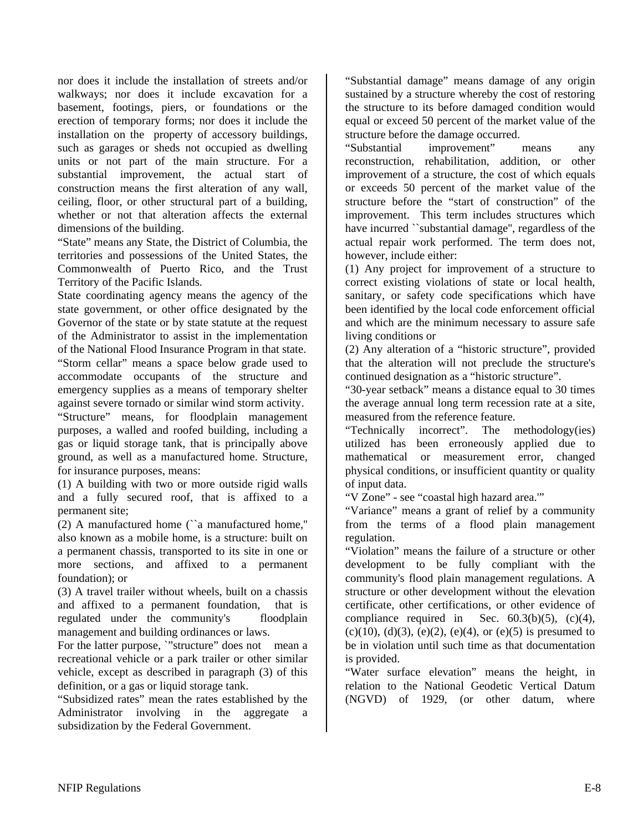nor does it include the installation of streets and/or walkways; nor does it include excavation for a basement, footings, piers, or foundations or the erection of temporary forms; nor does it include the installation on the property of accessory buildings, such as garages or sheds not occupied as dwelling units or not part of the main structure. For a substantial improvement, the actual start of construction means the first alteration of any wall, ceiling, floor, or other structural part of a building, whether or not that alteration affects the external dimensions of the building.

"State" means any State, the District of Columbia, the territories and possessions of the United States, the Commonwealth of Puerto Rico, and the Trust Territory of the Pacific Islands.

State coordinating agency means the agency of the state government, or other office designated by the Governor of the state or by state statute at the request of the Administrator to assist in the implementation of the National Flood Insurance Program in that state. "Storm cellar" means a space below grade used to accommodate occupants of the structure and emergency supplies as a means of temporary shelter against severe tornado or similar wind storm activity.

"Structure" means, for floodplain management purposes, a walled and roofed building, including a gas or liquid storage tank, that is principally above ground, as well as a manufactured home. Structure, for insurance purposes, means:

(1) A building with two or more outside rigid walls and a fully secured roof, that is affixed to a permanent site;

(2) A manufactured home (``a manufactured home,'' also known as a mobile home, is a structure: built on a permanent chassis, transported to its site in one or more sections, and affixed to a permanent foundation); or

(3) A travel trailer without wheels, built on a chassis and affixed to a permanent foundation, that is regulated under the community's floodplain management and building ordinances or laws.

For the latter purpose, `"structure" does not mean a recreational vehicle or a park trailer or other similar vehicle, except as described in paragraph (3) of this definition, or a gas or liquid storage tank.

"Subsidized rates" mean the rates established by the Administrator involving in the aggregate a subsidization by the Federal Government.

"Substantial damage" means damage of any origin sustained by a structure whereby the cost of restoring the structure to its before damaged condition would equal or exceed 50 percent of the market value of the structure before the damage occurred.

"Substantial improvement" means any reconstruction, rehabilitation, addition, or other improvement of a structure, the cost of which equals or exceeds 50 percent of the market value of the structure before the "start of construction" of the improvement. This term includes structures which have incurred ``substantial damage'', regardless of the actual repair work performed. The term does not, however, include either:

(1) Any project for improvement of a structure to correct existing violations of state or local health, sanitary, or safety code specifications which have been identified by the local code enforcement official and which are the minimum necessary to assure safe living conditions or

(2) Any alteration of a "historic structure", provided that the alteration will not preclude the structure's continued designation as a "historic structure".

"30-year setback" means a distance equal to 30 times the average annual long term recession rate at a site, measured from the reference feature.

"Technically incorrect". The methodology(ies) utilized has been erroneously applied due to mathematical or measurement error, changed physical conditions, or insufficient quantity or quality of input data.

"V Zone" - see "coastal high hazard area.'"

"Variance" means a grant of relief by a community from the terms of a flood plain management regulation.

"Violation" means the failure of a structure or other development to be fully compliant with the community's flood plain management regulations. A structure or other development without the elevation certificate, other certifications, or other evidence of compliance required in Sec.  $60.3(b)(5)$ ,  $(c)(4)$ , (c)(10), (d)(3), (e)(2), (e)(4), or (e)(5) is presumed to be in violation until such time as that documentation is provided.

"Water surface elevation" means the height, in relation to the National Geodetic Vertical Datum (NGVD) of 1929, (or other datum, where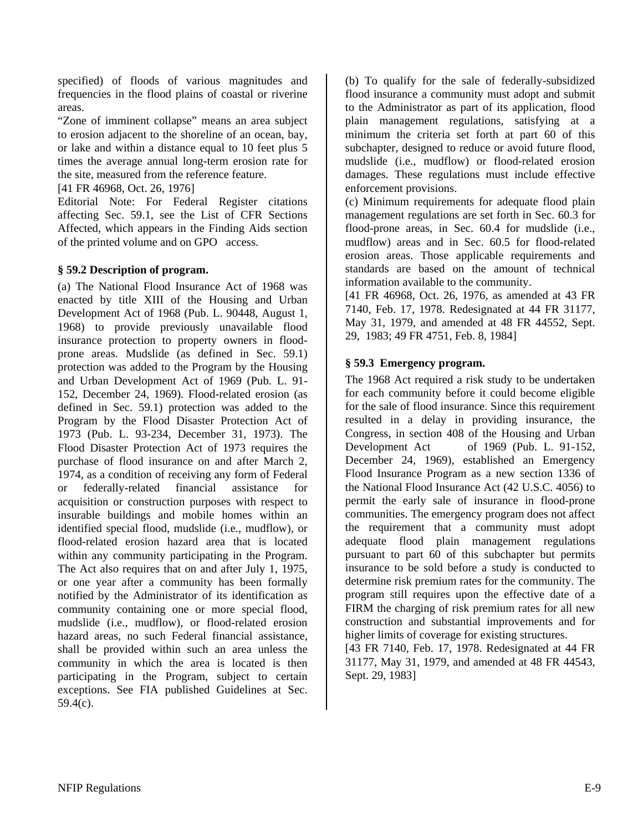specified) of floods of various magnitudes and frequencies in the flood plains of coastal or riverine areas.

"Zone of imminent collapse" means an area subject to erosion adjacent to the shoreline of an ocean, bay, or lake and within a distance equal to 10 feet plus 5 times the average annual long-term erosion rate for the site, measured from the reference feature.

[41 FR 46968, Oct. 26, 1976]

Editorial Note: For Federal Register citations affecting Sec. 59.1, see the List of CFR Sections Affected, which appears in the Finding Aids section of the printed volume and on GPO access.

# **§ 59.2 Description of program.**

(a) The National Flood Insurance Act of 1968 was enacted by title XIII of the Housing and Urban Development Act of 1968 (Pub. L. 90448, August 1, 1968) to provide previously unavailable flood insurance protection to property owners in floodprone areas. Mudslide (as defined in Sec. 59.1) protection was added to the Program by the Housing and Urban Development Act of 1969 (Pub. L. 91- 152, December 24, 1969). Flood-related erosion (as defined in Sec. 59.1) protection was added to the Program by the Flood Disaster Protection Act of 1973 (Pub. L. 93-234, December 31, 1973). The Flood Disaster Protection Act of 1973 requires the purchase of flood insurance on and after March 2, 1974, as a condition of receiving any form of Federal or federally-related financial assistance for acquisition or construction purposes with respect to insurable buildings and mobile homes within an identified special flood, mudslide (i.e., mudflow), or flood-related erosion hazard area that is located within any community participating in the Program. The Act also requires that on and after July 1, 1975, or one year after a community has been formally notified by the Administrator of its identification as community containing one or more special flood, mudslide (i.e., mudflow), or flood-related erosion hazard areas, no such Federal financial assistance, shall be provided within such an area unless the community in which the area is located is then participating in the Program, subject to certain exceptions. See FIA published Guidelines at Sec. 59.4(c).

(b) To qualify for the sale of federally-subsidized flood insurance a community must adopt and submit to the Administrator as part of its application, flood plain management regulations, satisfying at a minimum the criteria set forth at part 60 of this subchapter, designed to reduce or avoid future flood, mudslide (i.e., mudflow) or flood-related erosion damages. These regulations must include effective enforcement provisions.

(c) Minimum requirements for adequate flood plain management regulations are set forth in Sec. 60.3 for flood-prone areas, in Sec. 60.4 for mudslide (i.e., mudflow) areas and in Sec. 60.5 for flood-related erosion areas. Those applicable requirements and standards are based on the amount of technical information available to the community.

[41 FR 46968, Oct. 26, 1976, as amended at 43 FR 7140, Feb. 17, 1978. Redesignated at 44 FR 31177, May 31, 1979, and amended at 48 FR 44552, Sept. 29, 1983; 49 FR 4751, Feb. 8, 1984]

# **§ 59.3 Emergency program.**

The 1968 Act required a risk study to be undertaken for each community before it could become eligible for the sale of flood insurance. Since this requirement resulted in a delay in providing insurance, the Congress, in section 408 of the Housing and Urban Development Act of 1969 (Pub. L. 91-152, December 24, 1969), established an Emergency Flood Insurance Program as a new section 1336 of the National Flood Insurance Act (42 U.S.C. 4056) to permit the early sale of insurance in flood-prone communities. The emergency program does not affect the requirement that a community must adopt adequate flood plain management regulations pursuant to part 60 of this subchapter but permits insurance to be sold before a study is conducted to determine risk premium rates for the community. The program still requires upon the effective date of a FIRM the charging of risk premium rates for all new construction and substantial improvements and for higher limits of coverage for existing structures.

[43 FR 7140, Feb. 17, 1978. Redesignated at 44 FR 31177, May 31, 1979, and amended at 48 FR 44543, Sept. 29, 1983]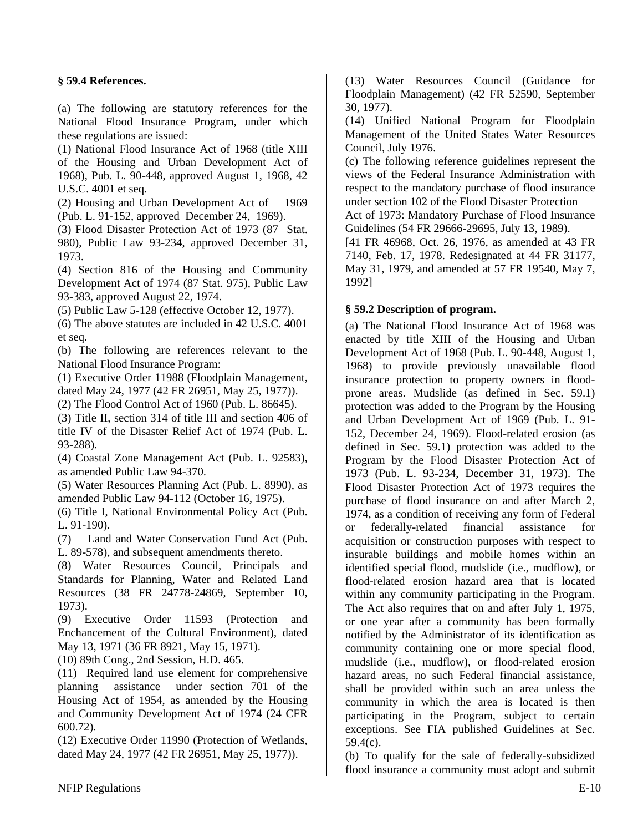# **§ 59.4 References.**

(a) The following are statutory references for the National Flood Insurance Program, under which these regulations are issued:

(1) National Flood Insurance Act of 1968 (title XIII of the Housing and Urban Development Act of 1968), Pub. L. 90-448, approved August 1, 1968, 42 U.S.C. 4001 et seq.

(2) Housing and Urban Development Act of 1969 (Pub. L. 91-152, approved December 24, 1969).

(3) Flood Disaster Protection Act of 1973 (87 Stat. 980), Public Law 93-234, approved December 31, 1973.

(4) Section 816 of the Housing and Community Development Act of 1974 (87 Stat. 975), Public Law 93-383, approved August 22, 1974.

(5) Public Law 5-128 (effective October 12, 1977).

(6) The above statutes are included in 42 U.S.C. 4001 et seq.

(b) The following are references relevant to the National Flood Insurance Program:

(1) Executive Order 11988 (Floodplain Management, dated May 24, 1977 (42 FR 26951, May 25, 1977)).

(2) The Flood Control Act of 1960 (Pub. L. 86645).

(3) Title II, section 314 of title III and section 406 of title IV of the Disaster Relief Act of 1974 (Pub. L. 93-288).

(4) Coastal Zone Management Act (Pub. L. 92583), as amended Public Law 94-370.

(5) Water Resources Planning Act (Pub. L. 8990), as amended Public Law 94-112 (October 16, 1975).

(6) Title I, National Environmental Policy Act (Pub. L. 91-190).

(7) Land and Water Conservation Fund Act (Pub. L. 89-578), and subsequent amendments thereto.

(8) Water Resources Council, Principals and Standards for Planning, Water and Related Land Resources (38 FR 24778-24869, September 10, 1973).

(9) Executive Order 11593 (Protection and Enchancement of the Cultural Environment), dated May 13, 1971 (36 FR 8921, May 15, 1971).

(10) 89th Cong., 2nd Session, H.D. 465.

(11) Required land use element for comprehensive planning assistance under section 701 of the Housing Act of 1954, as amended by the Housing and Community Development Act of 1974 (24 CFR 600.72).

(12) Executive Order 11990 (Protection of Wetlands, dated May 24, 1977 (42 FR 26951, May 25, 1977)).

(13) Water Resources Council (Guidance for Floodplain Management) (42 FR 52590, September 30, 1977).

(14) Unified National Program for Floodplain Management of the United States Water Resources Council, July 1976.

(c) The following reference guidelines represent the views of the Federal Insurance Administration with respect to the mandatory purchase of flood insurance under section 102 of the Flood Disaster Protection

Act of 1973: Mandatory Purchase of Flood Insurance Guidelines (54 FR 29666-29695, July 13, 1989).

[41 FR 46968, Oct. 26, 1976, as amended at 43 FR 7140, Feb. 17, 1978. Redesignated at 44 FR 31177, May 31, 1979, and amended at 57 FR 19540, May 7, 1992]

# **§ 59.2 Description of program.**

(a) The National Flood Insurance Act of 1968 was enacted by title XIII of the Housing and Urban Development Act of 1968 (Pub. L. 90-448, August 1, 1968) to provide previously unavailable flood insurance protection to property owners in floodprone areas. Mudslide (as defined in Sec. 59.1) protection was added to the Program by the Housing and Urban Development Act of 1969 (Pub. L. 91- 152, December 24, 1969). Flood-related erosion (as defined in Sec. 59.1) protection was added to the Program by the Flood Disaster Protection Act of 1973 (Pub. L. 93-234, December 31, 1973). The Flood Disaster Protection Act of 1973 requires the purchase of flood insurance on and after March 2, 1974, as a condition of receiving any form of Federal or federally-related financial assistance for acquisition or construction purposes with respect to insurable buildings and mobile homes within an identified special flood, mudslide (i.e., mudflow), or flood-related erosion hazard area that is located within any community participating in the Program. The Act also requires that on and after July 1, 1975, or one year after a community has been formally notified by the Administrator of its identification as community containing one or more special flood, mudslide (i.e., mudflow), or flood-related erosion hazard areas, no such Federal financial assistance, shall be provided within such an area unless the community in which the area is located is then participating in the Program, subject to certain exceptions. See FIA published Guidelines at Sec. 59.4(c).

(b) To qualify for the sale of federally-subsidized flood insurance a community must adopt and submit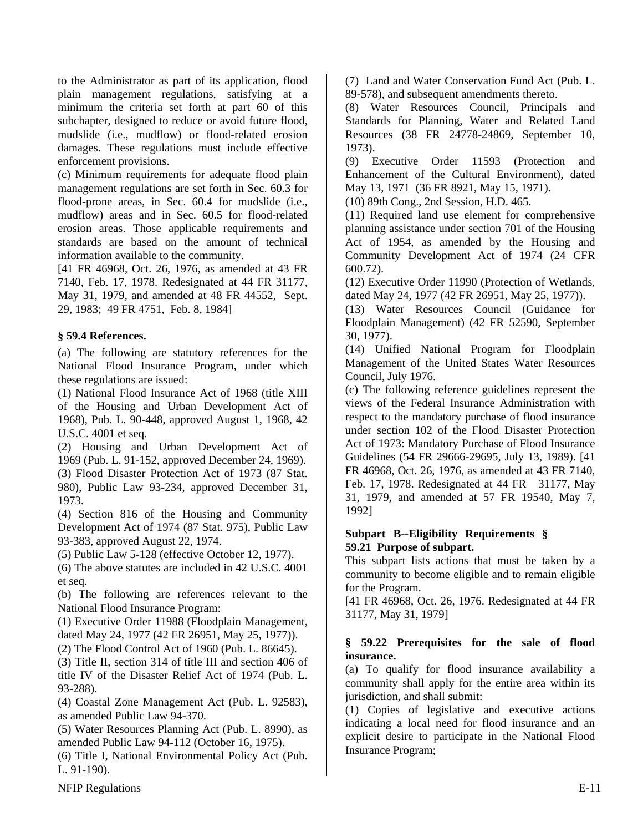to the Administrator as part of its application, flood plain management regulations, satisfying at a minimum the criteria set forth at part 60 of this subchapter, designed to reduce or avoid future flood, mudslide (i.e., mudflow) or flood-related erosion damages. These regulations must include effective enforcement provisions.

(c) Minimum requirements for adequate flood plain management regulations are set forth in Sec. 60.3 for flood-prone areas, in Sec. 60.4 for mudslide (i.e., mudflow) areas and in Sec. 60.5 for flood-related erosion areas. Those applicable requirements and standards are based on the amount of technical information available to the community.

[41 FR 46968, Oct. 26, 1976, as amended at 43 FR 7140, Feb. 17, 1978. Redesignated at 44 FR 31177, May 31, 1979, and amended at 48 FR 44552, Sept. 29, 1983; 49 FR 4751, Feb. 8, 1984]

#### **§ 59.4 References.**

(a) The following are statutory references for the National Flood Insurance Program, under which these regulations are issued:

(1) National Flood Insurance Act of 1968 (title XIII of the Housing and Urban Development Act of 1968), Pub. L. 90-448, approved August 1, 1968, 42 U.S.C. 4001 et seq.

(2) Housing and Urban Development Act of 1969 (Pub. L. 91-152, approved December 24, 1969). (3) Flood Disaster Protection Act of 1973 (87 Stat. 980), Public Law 93-234, approved December 31, 1973.

(4) Section 816 of the Housing and Community Development Act of 1974 (87 Stat. 975), Public Law 93-383, approved August 22, 1974.

(5) Public Law 5-128 (effective October 12, 1977).

(6) The above statutes are included in 42 U.S.C. 4001 et seq.

(b) The following are references relevant to the National Flood Insurance Program:

(1) Executive Order 11988 (Floodplain Management, dated May 24, 1977 (42 FR 26951, May 25, 1977)).

(2) The Flood Control Act of 1960 (Pub. L. 86645).

(3) Title II, section 314 of title III and section 406 of title IV of the Disaster Relief Act of 1974 (Pub. L. 93-288).

(4) Coastal Zone Management Act (Pub. L. 92583), as amended Public Law 94-370.

(5) Water Resources Planning Act (Pub. L. 8990), as amended Public Law 94-112 (October 16, 1975).

(6) Title I, National Environmental Policy Act (Pub. L. 91-190).

(7) Land and Water Conservation Fund Act (Pub. L. 89-578), and subsequent amendments thereto.

(8) Water Resources Council, Principals and Standards for Planning, Water and Related Land Resources (38 FR 24778-24869, September 10, 1973).

(9) Executive Order 11593 (Protection and Enhancement of the Cultural Environment), dated May 13, 1971 (36 FR 8921, May 15, 1971).

(10) 89th Cong., 2nd Session, H.D. 465.

(11) Required land use element for comprehensive planning assistance under section 701 of the Housing Act of 1954, as amended by the Housing and Community Development Act of 1974 (24 CFR 600.72).

(12) Executive Order 11990 (Protection of Wetlands, dated May 24, 1977 (42 FR 26951, May 25, 1977)).

(13) Water Resources Council (Guidance for Floodplain Management) (42 FR 52590, September 30, 1977).

(14) Unified National Program for Floodplain Management of the United States Water Resources Council, July 1976.

(c) The following reference guidelines represent the views of the Federal Insurance Administration with respect to the mandatory purchase of flood insurance under section 102 of the Flood Disaster Protection Act of 1973: Mandatory Purchase of Flood Insurance Guidelines (54 FR 29666-29695, July 13, 1989). [41 FR 46968, Oct. 26, 1976, as amended at 43 FR 7140, Feb. 17, 1978. Redesignated at 44 FR 31177, May 31, 1979, and amended at 57 FR 19540, May 7, 1992]

#### **Subpart B--Eligibility Requirements § 59.21 Purpose of subpart.**

This subpart lists actions that must be taken by a community to become eligible and to remain eligible for the Program.

[41 FR 46968, Oct. 26, 1976. Redesignated at 44 FR 31177, May 31, 1979]

#### **§ 59.22 Prerequisites for the sale of flood insurance.**

(a) To qualify for flood insurance availability a community shall apply for the entire area within its jurisdiction, and shall submit:

(1) Copies of legislative and executive actions indicating a local need for flood insurance and an explicit desire to participate in the National Flood Insurance Program;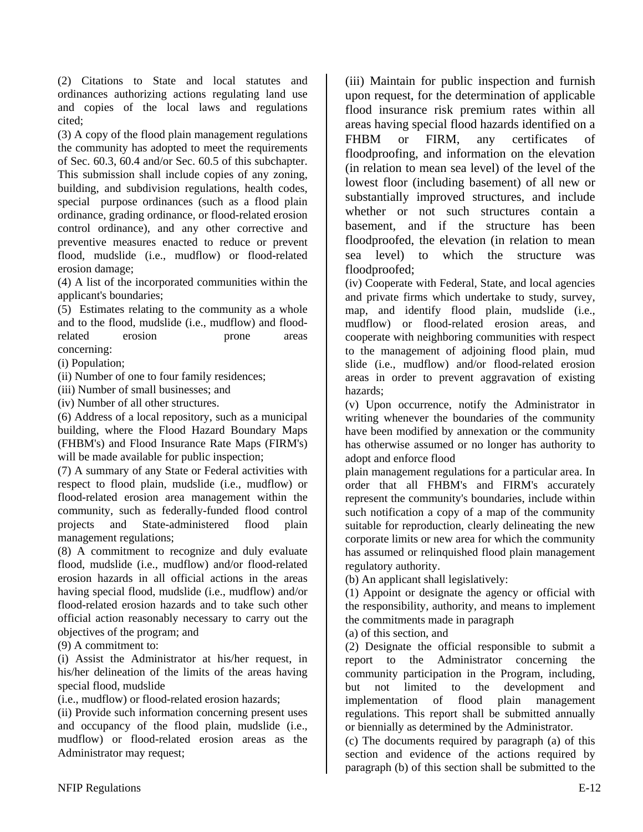(2) Citations to State and local statutes and ordinances authorizing actions regulating land use and copies of the local laws and regulations cited;

(3) A copy of the flood plain management regulations the community has adopted to meet the requirements of Sec. 60.3, 60.4 and/or Sec. 60.5 of this subchapter. This submission shall include copies of any zoning, building, and subdivision regulations, health codes, special purpose ordinances (such as a flood plain ordinance, grading ordinance, or flood-related erosion control ordinance), and any other corrective and preventive measures enacted to reduce or prevent flood, mudslide (i.e., mudflow) or flood-related erosion damage;

(4) A list of the incorporated communities within the applicant's boundaries;

(5) Estimates relating to the community as a whole and to the flood, mudslide (i.e., mudflow) and floodrelated erosion **prone** areas concerning:

(i) Population;

(ii) Number of one to four family residences;

(iii) Number of small businesses; and

(iv) Number of all other structures.

(6) Address of a local repository, such as a municipal building, where the Flood Hazard Boundary Maps (FHBM's) and Flood Insurance Rate Maps (FIRM's) will be made available for public inspection;

(7) A summary of any State or Federal activities with respect to flood plain, mudslide (i.e., mudflow) or flood-related erosion area management within the community, such as federally-funded flood control projects and State-administered flood plain management regulations;

(8) A commitment to recognize and duly evaluate flood, mudslide (i.e., mudflow) and/or flood-related erosion hazards in all official actions in the areas having special flood, mudslide (i.e., mudflow) and/or flood-related erosion hazards and to take such other official action reasonably necessary to carry out the objectives of the program; and

(9) A commitment to:

(i) Assist the Administrator at his/her request, in his/her delineation of the limits of the areas having special flood, mudslide

(i.e., mudflow) or flood-related erosion hazards;

(ii) Provide such information concerning present uses and occupancy of the flood plain, mudslide (i.e., mudflow) or flood-related erosion areas as the Administrator may request;

(iii) Maintain for public inspection and furnish upon request, for the determination of applicable flood insurance risk premium rates within all areas having special flood hazards identified on a FHBM or FIRM, any certificates of floodproofing, and information on the elevation (in relation to mean sea level) of the level of the lowest floor (including basement) of all new or substantially improved structures, and include whether or not such structures contain a basement, and if the structure has been floodproofed, the elevation (in relation to mean sea level) to which the structure was floodproofed;

(iv) Cooperate with Federal, State, and local agencies and private firms which undertake to study, survey, map, and identify flood plain, mudslide (i.e., mudflow) or flood-related erosion areas, and cooperate with neighboring communities with respect to the management of adjoining flood plain, mud slide (i.e., mudflow) and/or flood-related erosion areas in order to prevent aggravation of existing hazards;

(v) Upon occurrence, notify the Administrator in writing whenever the boundaries of the community have been modified by annexation or the community has otherwise assumed or no longer has authority to adopt and enforce flood

plain management regulations for a particular area. In order that all FHBM's and FIRM's accurately represent the community's boundaries, include within such notification a copy of a map of the community suitable for reproduction, clearly delineating the new corporate limits or new area for which the community has assumed or relinquished flood plain management regulatory authority.

(b) An applicant shall legislatively:

(1) Appoint or designate the agency or official with the responsibility, authority, and means to implement the commitments made in paragraph

(a) of this section, and

(2) Designate the official responsible to submit a report to the Administrator concerning the community participation in the Program, including, but not limited to the development and implementation of flood plain management regulations. This report shall be submitted annually or biennially as determined by the Administrator.

(c) The documents required by paragraph (a) of this section and evidence of the actions required by paragraph (b) of this section shall be submitted to the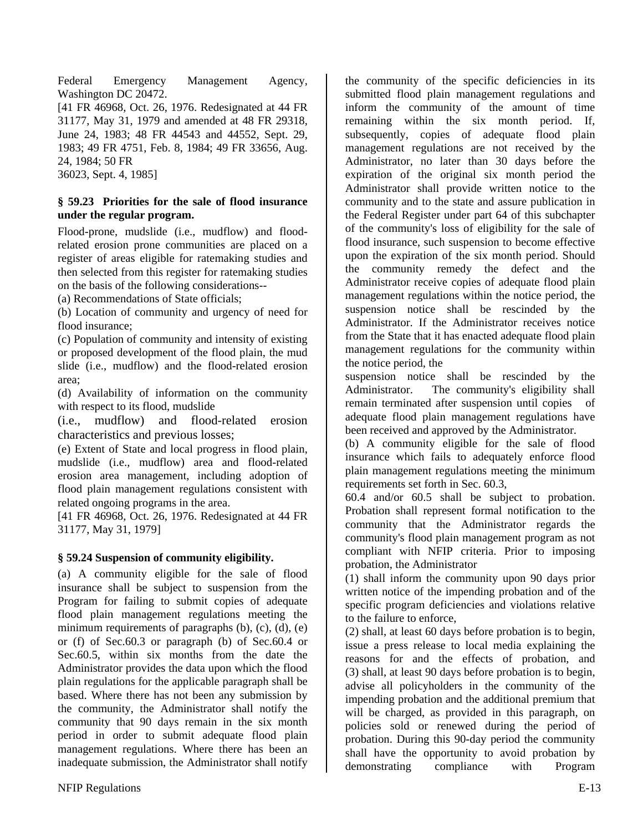Federal Emergency Management Agency, Washington DC 20472.

[41 FR 46968, Oct. 26, 1976. Redesignated at 44 FR 31177, May 31, 1979 and amended at 48 FR 29318, June 24, 1983; 48 FR 44543 and 44552, Sept. 29, 1983; 49 FR 4751, Feb. 8, 1984; 49 FR 33656, Aug. 24, 1984; 50 FR

36023, Sept. 4, 1985]

#### **§ 59.23 Priorities for the sale of flood insurance under the regular program.**

Flood-prone, mudslide (i.e., mudflow) and floodrelated erosion prone communities are placed on a register of areas eligible for ratemaking studies and then selected from this register for ratemaking studies on the basis of the following considerations--

(a) Recommendations of State officials;

(b) Location of community and urgency of need for flood insurance;

(c) Population of community and intensity of existing or proposed development of the flood plain, the mud slide (i.e., mudflow) and the flood-related erosion area;

(d) Availability of information on the community with respect to its flood, mudslide

(i.e., mudflow) and flood-related erosion characteristics and previous losses;

(e) Extent of State and local progress in flood plain, mudslide (i.e., mudflow) area and flood-related erosion area management, including adoption of flood plain management regulations consistent with related ongoing programs in the area.

[41 FR 46968, Oct. 26, 1976. Redesignated at 44 FR 31177, May 31, 1979]

#### **§ 59.24 Suspension of community eligibility.**

(a) A community eligible for the sale of flood insurance shall be subject to suspension from the Program for failing to submit copies of adequate flood plain management regulations meeting the minimum requirements of paragraphs (b), (c), (d), (e) or (f) of Sec.60.3 or paragraph (b) of Sec.60.4 or Sec.60.5, within six months from the date the Administrator provides the data upon which the flood plain regulations for the applicable paragraph shall be based. Where there has not been any submission by the community, the Administrator shall notify the community that 90 days remain in the six month period in order to submit adequate flood plain management regulations. Where there has been an inadequate submission, the Administrator shall notify

the community of the specific deficiencies in its submitted flood plain management regulations and inform the community of the amount of time remaining within the six month period. If, subsequently, copies of adequate flood plain management regulations are not received by the Administrator, no later than 30 days before the expiration of the original six month period the Administrator shall provide written notice to the community and to the state and assure publication in the Federal Register under part 64 of this subchapter of the community's loss of eligibility for the sale of flood insurance, such suspension to become effective upon the expiration of the six month period. Should the community remedy the defect and the Administrator receive copies of adequate flood plain management regulations within the notice period, the suspension notice shall be rescinded by the Administrator. If the Administrator receives notice from the State that it has enacted adequate flood plain management regulations for the community within the notice period, the

suspension notice shall be rescinded by the Administrator. The community's eligibility shall remain terminated after suspension until copies of adequate flood plain management regulations have been received and approved by the Administrator.

(b) A community eligible for the sale of flood insurance which fails to adequately enforce flood plain management regulations meeting the minimum requirements set forth in Sec. 60.3,

60.4 and/or 60.5 shall be subject to probation. Probation shall represent formal notification to the community that the Administrator regards the community's flood plain management program as not compliant with NFIP criteria. Prior to imposing probation, the Administrator

(1) shall inform the community upon 90 days prior written notice of the impending probation and of the specific program deficiencies and violations relative to the failure to enforce,

(2) shall, at least 60 days before probation is to begin, issue a press release to local media explaining the reasons for and the effects of probation, and (3) shall, at least 90 days before probation is to begin, advise all policyholders in the community of the impending probation and the additional premium that will be charged, as provided in this paragraph, on policies sold or renewed during the period of probation. During this 90-day period the community shall have the opportunity to avoid probation by demonstrating compliance with Program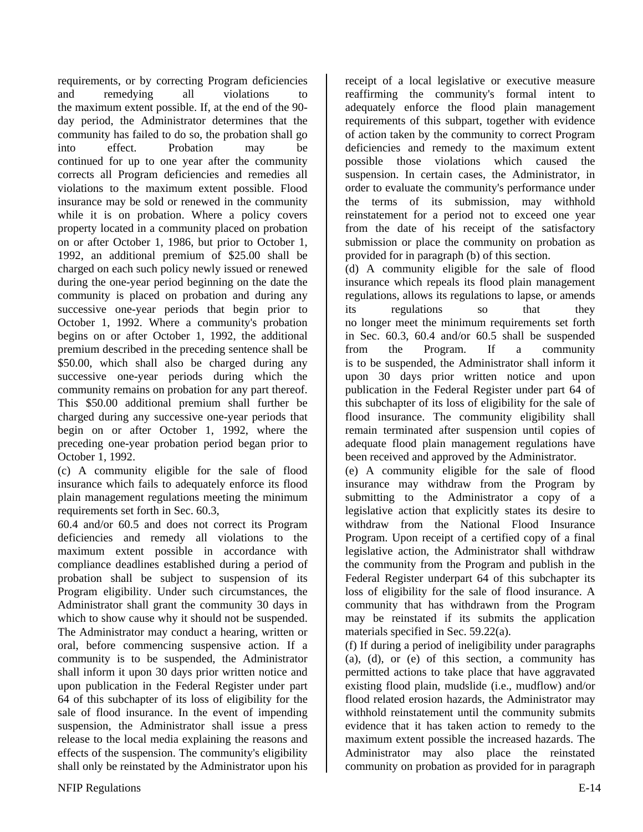requirements, or by correcting Program deficiencies and remedying all violations to the maximum extent possible. If, at the end of the 90 day period, the Administrator determines that the community has failed to do so, the probation shall go into effect. Probation may be continued for up to one year after the community corrects all Program deficiencies and remedies all violations to the maximum extent possible. Flood insurance may be sold or renewed in the community while it is on probation. Where a policy covers property located in a community placed on probation on or after October 1, 1986, but prior to October 1, 1992, an additional premium of \$25.00 shall be charged on each such policy newly issued or renewed during the one-year period beginning on the date the community is placed on probation and during any successive one-year periods that begin prior to October 1, 1992. Where a community's probation begins on or after October 1, 1992, the additional premium described in the preceding sentence shall be \$50.00, which shall also be charged during any successive one-year periods during which the community remains on probation for any part thereof. This \$50.00 additional premium shall further be charged during any successive one-year periods that begin on or after October 1, 1992, where the preceding one-year probation period began prior to October 1, 1992.

(c) A community eligible for the sale of flood insurance which fails to adequately enforce its flood plain management regulations meeting the minimum requirements set forth in Sec. 60.3,

60.4 and/or 60.5 and does not correct its Program deficiencies and remedy all violations to the maximum extent possible in accordance with compliance deadlines established during a period of probation shall be subject to suspension of its Program eligibility. Under such circumstances, the Administrator shall grant the community 30 days in which to show cause why it should not be suspended. The Administrator may conduct a hearing, written or oral, before commencing suspensive action. If a community is to be suspended, the Administrator shall inform it upon 30 days prior written notice and upon publication in the Federal Register under part 64 of this subchapter of its loss of eligibility for the sale of flood insurance. In the event of impending suspension, the Administrator shall issue a press release to the local media explaining the reasons and effects of the suspension. The community's eligibility shall only be reinstated by the Administrator upon his

receipt of a local legislative or executive measure reaffirming the community's formal intent to adequately enforce the flood plain management requirements of this subpart, together with evidence of action taken by the community to correct Program deficiencies and remedy to the maximum extent possible those violations which caused the suspension. In certain cases, the Administrator, in order to evaluate the community's performance under the terms of its submission, may withhold reinstatement for a period not to exceed one year from the date of his receipt of the satisfactory submission or place the community on probation as provided for in paragraph (b) of this section.

(d) A community eligible for the sale of flood insurance which repeals its flood plain management regulations, allows its regulations to lapse, or amends its regulations so that they no longer meet the minimum requirements set forth in Sec. 60.3, 60.4 and/or 60.5 shall be suspended from the Program. If a community is to be suspended, the Administrator shall inform it upon 30 days prior written notice and upon publication in the Federal Register under part 64 of this subchapter of its loss of eligibility for the sale of flood insurance. The community eligibility shall remain terminated after suspension until copies of adequate flood plain management regulations have been received and approved by the Administrator.

(e) A community eligible for the sale of flood insurance may withdraw from the Program by submitting to the Administrator a copy of a legislative action that explicitly states its desire to withdraw from the National Flood Insurance Program. Upon receipt of a certified copy of a final legislative action, the Administrator shall withdraw the community from the Program and publish in the Federal Register underpart 64 of this subchapter its loss of eligibility for the sale of flood insurance. A community that has withdrawn from the Program may be reinstated if its submits the application materials specified in Sec. 59.22(a).

(f) If during a period of ineligibility under paragraphs (a), (d), or (e) of this section, a community has permitted actions to take place that have aggravated existing flood plain, mudslide (i.e., mudflow) and/or flood related erosion hazards, the Administrator may withhold reinstatement until the community submits evidence that it has taken action to remedy to the maximum extent possible the increased hazards. The Administrator may also place the reinstated community on probation as provided for in paragraph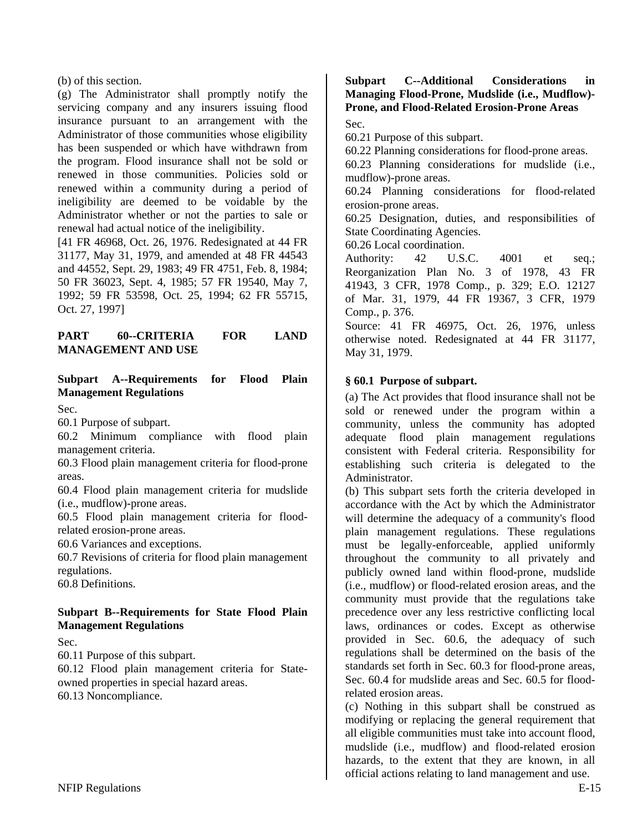(b) of this section.

(g) The Administrator shall promptly notify the servicing company and any insurers issuing flood insurance pursuant to an arrangement with the Administrator of those communities whose eligibility has been suspended or which have withdrawn from the program. Flood insurance shall not be sold or renewed in those communities. Policies sold or renewed within a community during a period of ineligibility are deemed to be voidable by the Administrator whether or not the parties to sale or renewal had actual notice of the ineligibility.

[41 FR 46968, Oct. 26, 1976. Redesignated at 44 FR 31177, May 31, 1979, and amended at 48 FR 44543 and 44552, Sept. 29, 1983; 49 FR 4751, Feb. 8, 1984; 50 FR 36023, Sept. 4, 1985; 57 FR 19540, May 7, 1992; 59 FR 53598, Oct. 25, 1994; 62 FR 55715, Oct. 27, 1997]

#### **PART 60--CRITERIA FOR LAND MANAGEMENT AND USE**

## **Subpart A--Requirements for Flood Plain Management Regulations**

Sec.

60.1 Purpose of subpart.

60.2 Minimum compliance with flood plain management criteria.

60.3 Flood plain management criteria for flood-prone areas.

60.4 Flood plain management criteria for mudslide (i.e., mudflow)-prone areas.

60.5 Flood plain management criteria for floodrelated erosion-prone areas.

60.6 Variances and exceptions.

60.7 Revisions of criteria for flood plain management regulations.

60.8 Definitions.

#### **Subpart B--Requirements for State Flood Plain Management Regulations**

Sec.

60.11 Purpose of this subpart.

60.12 Flood plain management criteria for Stateowned properties in special hazard areas. 60.13 Noncompliance.

#### **Subpart C--Additional Considerations in Managing Flood-Prone, Mudslide (i.e., Mudflow)- Prone, and Flood-Related Erosion-Prone Areas**  Sec.

60.21 Purpose of this subpart.

60.22 Planning considerations for flood-prone areas.

60.23 Planning considerations for mudslide (i.e., mudflow)-prone areas.

60.24 Planning considerations for flood-related erosion-prone areas.

60.25 Designation, duties, and responsibilities of State Coordinating Agencies.

60.26 Local coordination.

Authority: 42 U.S.C. 4001 et seq.; Reorganization Plan No. 3 of 1978, 43 FR 41943, 3 CFR, 1978 Comp., p. 329; E.O. 12127 of Mar. 31, 1979, 44 FR 19367, 3 CFR, 1979 Comp., p. 376.

Source: 41 FR 46975, Oct. 26, 1976, unless otherwise noted. Redesignated at 44 FR 31177, May 31, 1979.

# **§ 60.1 Purpose of subpart.**

(a) The Act provides that flood insurance shall not be sold or renewed under the program within a community, unless the community has adopted adequate flood plain management regulations consistent with Federal criteria. Responsibility for establishing such criteria is delegated to the Administrator.

(b) This subpart sets forth the criteria developed in accordance with the Act by which the Administrator will determine the adequacy of a community's flood plain management regulations. These regulations must be legally-enforceable, applied uniformly throughout the community to all privately and publicly owned land within flood-prone, mudslide (i.e., mudflow) or flood-related erosion areas, and the community must provide that the regulations take precedence over any less restrictive conflicting local laws, ordinances or codes. Except as otherwise provided in Sec. 60.6, the adequacy of such regulations shall be determined on the basis of the standards set forth in Sec. 60.3 for flood-prone areas, Sec. 60.4 for mudslide areas and Sec. 60.5 for floodrelated erosion areas.

(c) Nothing in this subpart shall be construed as modifying or replacing the general requirement that all eligible communities must take into account flood, mudslide (i.e., mudflow) and flood-related erosion hazards, to the extent that they are known, in all official actions relating to land management and use.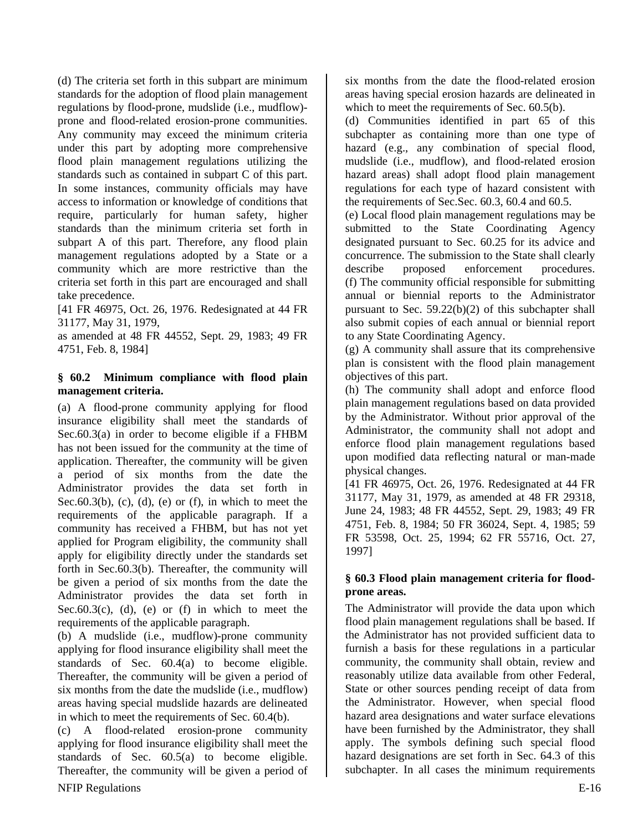(d) The criteria set forth in this subpart are minimum standards for the adoption of flood plain management regulations by flood-prone, mudslide (i.e., mudflow) prone and flood-related erosion-prone communities. Any community may exceed the minimum criteria under this part by adopting more comprehensive flood plain management regulations utilizing the standards such as contained in subpart C of this part. In some instances, community officials may have access to information or knowledge of conditions that require, particularly for human safety, higher standards than the minimum criteria set forth in subpart A of this part. Therefore, any flood plain management regulations adopted by a State or a community which are more restrictive than the criteria set forth in this part are encouraged and shall take precedence.

[41 FR 46975, Oct. 26, 1976. Redesignated at 44 FR 31177, May 31, 1979,

as amended at 48 FR 44552, Sept. 29, 1983; 49 FR 4751, Feb. 8, 1984]

#### **§ 60.2 Minimum compliance with flood plain management criteria.**

(a) A flood-prone community applying for flood insurance eligibility shall meet the standards of Sec.60.3(a) in order to become eligible if a FHBM has not been issued for the community at the time of application. Thereafter, the community will be given a period of six months from the date the Administrator provides the data set forth in Sec.60.3(b), (c), (d), (e) or (f), in which to meet the requirements of the applicable paragraph. If a community has received a FHBM, but has not yet applied for Program eligibility, the community shall apply for eligibility directly under the standards set forth in Sec.60.3(b). Thereafter, the community will be given a period of six months from the date the Administrator provides the data set forth in Sec.60.3(c), (d), (e) or (f) in which to meet the requirements of the applicable paragraph.

(b) A mudslide (i.e., mudflow)-prone community applying for flood insurance eligibility shall meet the standards of Sec. 60.4(a) to become eligible. Thereafter, the community will be given a period of six months from the date the mudslide (i.e., mudflow) areas having special mudslide hazards are delineated in which to meet the requirements of Sec. 60.4(b).

NFIP Regulations E-16 (c) A flood-related erosion-prone community applying for flood insurance eligibility shall meet the standards of Sec. 60.5(a) to become eligible. Thereafter, the community will be given a period of

six months from the date the flood-related erosion areas having special erosion hazards are delineated in which to meet the requirements of Sec. 60.5(b).

(d) Communities identified in part 65 of this subchapter as containing more than one type of hazard (e.g., any combination of special flood, mudslide (i.e., mudflow), and flood-related erosion hazard areas) shall adopt flood plain management regulations for each type of hazard consistent with the requirements of Sec.Sec. 60.3, 60.4 and 60.5.

(e) Local flood plain management regulations may be submitted to the State Coordinating Agency designated pursuant to Sec. 60.25 for its advice and concurrence. The submission to the State shall clearly describe proposed enforcement procedures. (f) The community official responsible for submitting annual or biennial reports to the Administrator pursuant to Sec. 59.22(b)(2) of this subchapter shall also submit copies of each annual or biennial report to any State Coordinating Agency.

(g) A community shall assure that its comprehensive plan is consistent with the flood plain management objectives of this part.

(h) The community shall adopt and enforce flood plain management regulations based on data provided by the Administrator. Without prior approval of the Administrator, the community shall not adopt and enforce flood plain management regulations based upon modified data reflecting natural or man-made physical changes.

[41 FR 46975, Oct. 26, 1976. Redesignated at 44 FR 31177, May 31, 1979, as amended at 48 FR 29318, June 24, 1983; 48 FR 44552, Sept. 29, 1983; 49 FR 4751, Feb. 8, 1984; 50 FR 36024, Sept. 4, 1985; 59 FR 53598, Oct. 25, 1994; 62 FR 55716, Oct. 27, 1997]

# **§ 60.3 Flood plain management criteria for floodprone areas.**

The Administrator will provide the data upon which flood plain management regulations shall be based. If the Administrator has not provided sufficient data to furnish a basis for these regulations in a particular community, the community shall obtain, review and reasonably utilize data available from other Federal, State or other sources pending receipt of data from the Administrator. However, when special flood hazard area designations and water surface elevations have been furnished by the Administrator, they shall apply. The symbols defining such special flood hazard designations are set forth in Sec. 64.3 of this subchapter. In all cases the minimum requirements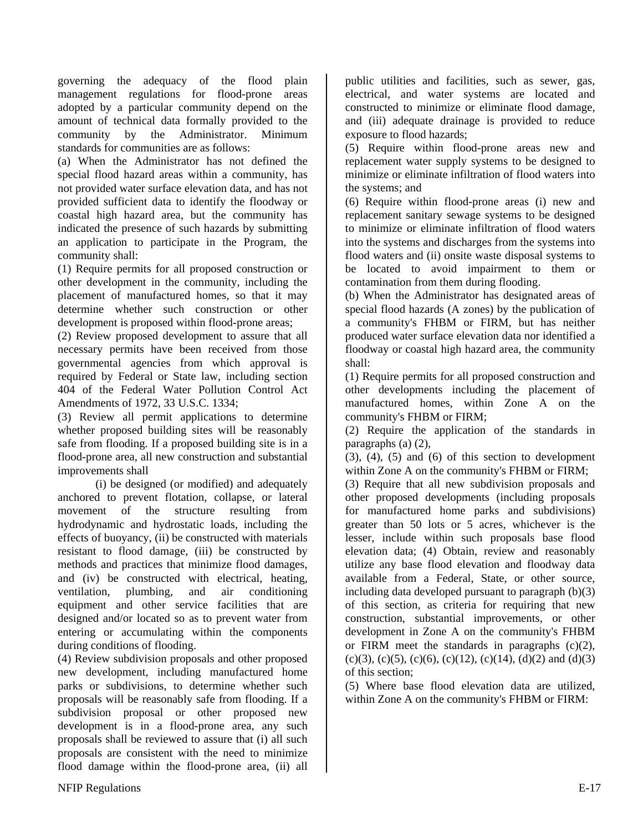governing the adequacy of the flood plain management regulations for flood-prone areas adopted by a particular community depend on the amount of technical data formally provided to the community by the Administrator. Minimum standards for communities are as follows:

(a) When the Administrator has not defined the special flood hazard areas within a community, has not provided water surface elevation data, and has not provided sufficient data to identify the floodway or coastal high hazard area, but the community has indicated the presence of such hazards by submitting an application to participate in the Program, the community shall:

(1) Require permits for all proposed construction or other development in the community, including the placement of manufactured homes, so that it may determine whether such construction or other development is proposed within flood-prone areas;

(2) Review proposed development to assure that all necessary permits have been received from those governmental agencies from which approval is required by Federal or State law, including section 404 of the Federal Water Pollution Control Act Amendments of 1972, 33 U.S.C. 1334;

(3) Review all permit applications to determine whether proposed building sites will be reasonably safe from flooding. If a proposed building site is in a flood-prone area, all new construction and substantial improvements shall

(i) be designed (or modified) and adequately anchored to prevent flotation, collapse, or lateral movement of the structure resulting from hydrodynamic and hydrostatic loads, including the effects of buoyancy, (ii) be constructed with materials resistant to flood damage, (iii) be constructed by methods and practices that minimize flood damages, and (iv) be constructed with electrical, heating, ventilation, plumbing, and air conditioning equipment and other service facilities that are designed and/or located so as to prevent water from entering or accumulating within the components during conditions of flooding.

(4) Review subdivision proposals and other proposed new development, including manufactured home parks or subdivisions, to determine whether such proposals will be reasonably safe from flooding. If a subdivision proposal or other proposed new development is in a flood-prone area, any such proposals shall be reviewed to assure that (i) all such proposals are consistent with the need to minimize flood damage within the flood-prone area, (ii) all

public utilities and facilities, such as sewer, gas, electrical, and water systems are located and constructed to minimize or eliminate flood damage, and (iii) adequate drainage is provided to reduce exposure to flood hazards;

(5) Require within flood-prone areas new and replacement water supply systems to be designed to minimize or eliminate infiltration of flood waters into the systems; and

(6) Require within flood-prone areas (i) new and replacement sanitary sewage systems to be designed to minimize or eliminate infiltration of flood waters into the systems and discharges from the systems into flood waters and (ii) onsite waste disposal systems to be located to avoid impairment to them or contamination from them during flooding.

(b) When the Administrator has designated areas of special flood hazards (A zones) by the publication of a community's FHBM or FIRM, but has neither produced water surface elevation data nor identified a floodway or coastal high hazard area, the community shall:

(1) Require permits for all proposed construction and other developments including the placement of manufactured homes, within Zone A on the community's FHBM or FIRM;

(2) Require the application of the standards in paragraphs (a) (2),

 $(3)$ ,  $(4)$ ,  $(5)$  and  $(6)$  of this section to development within Zone A on the community's FHBM or FIRM;

(3) Require that all new subdivision proposals and other proposed developments (including proposals for manufactured home parks and subdivisions) greater than 50 lots or 5 acres, whichever is the lesser, include within such proposals base flood elevation data; (4) Obtain, review and reasonably utilize any base flood elevation and floodway data available from a Federal, State, or other source, including data developed pursuant to paragraph (b)(3) of this section, as criteria for requiring that new construction, substantial improvements, or other development in Zone A on the community's FHBM or FIRM meet the standards in paragraphs  $(c)(2)$ ,  $(c)(3)$ ,  $(c)(5)$ ,  $(c)(6)$ ,  $(c)(12)$ ,  $(c)(14)$ ,  $(d)(2)$  and  $(d)(3)$ of this section;

(5) Where base flood elevation data are utilized, within Zone A on the community's FHBM or FIRM: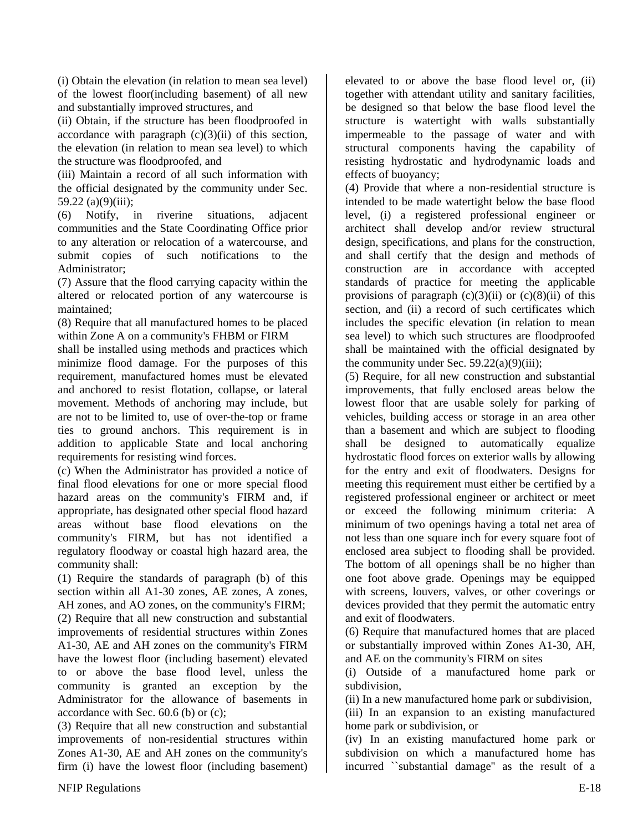(i) Obtain the elevation (in relation to mean sea level) of the lowest floor(including basement) of all new and substantially improved structures, and

(ii) Obtain, if the structure has been floodproofed in accordance with paragraph  $(c)(3)(ii)$  of this section, the elevation (in relation to mean sea level) to which the structure was floodproofed, and

(iii) Maintain a record of all such information with the official designated by the community under Sec. 59.22 (a)(9)(iii);

(6) Notify, in riverine situations, adjacent communities and the State Coordinating Office prior to any alteration or relocation of a watercourse, and submit copies of such notifications to the Administrator;

(7) Assure that the flood carrying capacity within the altered or relocated portion of any watercourse is maintained;

(8) Require that all manufactured homes to be placed within Zone A on a community's FHBM or FIRM

shall be installed using methods and practices which minimize flood damage. For the purposes of this requirement, manufactured homes must be elevated and anchored to resist flotation, collapse, or lateral movement. Methods of anchoring may include, but are not to be limited to, use of over-the-top or frame ties to ground anchors. This requirement is in addition to applicable State and local anchoring requirements for resisting wind forces.

(c) When the Administrator has provided a notice of final flood elevations for one or more special flood hazard areas on the community's FIRM and, if appropriate, has designated other special flood hazard areas without base flood elevations on the community's FIRM, but has not identified a regulatory floodway or coastal high hazard area, the community shall:

(1) Require the standards of paragraph (b) of this section within all A1-30 zones, AE zones, A zones, AH zones, and AO zones, on the community's FIRM; (2) Require that all new construction and substantial improvements of residential structures within Zones A1-30, AE and AH zones on the community's FIRM have the lowest floor (including basement) elevated to or above the base flood level, unless the community is granted an exception by the Administrator for the allowance of basements in accordance with Sec. 60.6 (b) or (c);

(3) Require that all new construction and substantial improvements of non-residential structures within Zones A1-30, AE and AH zones on the community's firm (i) have the lowest floor (including basement) elevated to or above the base flood level or, (ii) together with attendant utility and sanitary facilities, be designed so that below the base flood level the structure is watertight with walls substantially impermeable to the passage of water and with structural components having the capability of resisting hydrostatic and hydrodynamic loads and effects of buoyancy;

(4) Provide that where a non-residential structure is intended to be made watertight below the base flood level, (i) a registered professional engineer or architect shall develop and/or review structural design, specifications, and plans for the construction, and shall certify that the design and methods of construction are in accordance with accepted standards of practice for meeting the applicable provisions of paragraph  $(c)(3)(ii)$  or  $(c)(8)(ii)$  of this section, and (ii) a record of such certificates which includes the specific elevation (in relation to mean sea level) to which such structures are floodproofed shall be maintained with the official designated by the community under Sec.  $59.22(a)(9)(iii)$ ;

(5) Require, for all new construction and substantial improvements, that fully enclosed areas below the lowest floor that are usable solely for parking of vehicles, building access or storage in an area other than a basement and which are subject to flooding shall be designed to automatically equalize hydrostatic flood forces on exterior walls by allowing for the entry and exit of floodwaters. Designs for meeting this requirement must either be certified by a registered professional engineer or architect or meet or exceed the following minimum criteria: A minimum of two openings having a total net area of not less than one square inch for every square foot of enclosed area subject to flooding shall be provided. The bottom of all openings shall be no higher than one foot above grade. Openings may be equipped with screens, louvers, valves, or other coverings or devices provided that they permit the automatic entry and exit of floodwaters.

(6) Require that manufactured homes that are placed or substantially improved within Zones A1-30, AH, and AE on the community's FIRM on sites

(i) Outside of a manufactured home park or subdivision,

(ii) In a new manufactured home park or subdivision,

(iii) In an expansion to an existing manufactured home park or subdivision, or

(iv) In an existing manufactured home park or subdivision on which a manufactured home has incurred ``substantial damage'' as the result of a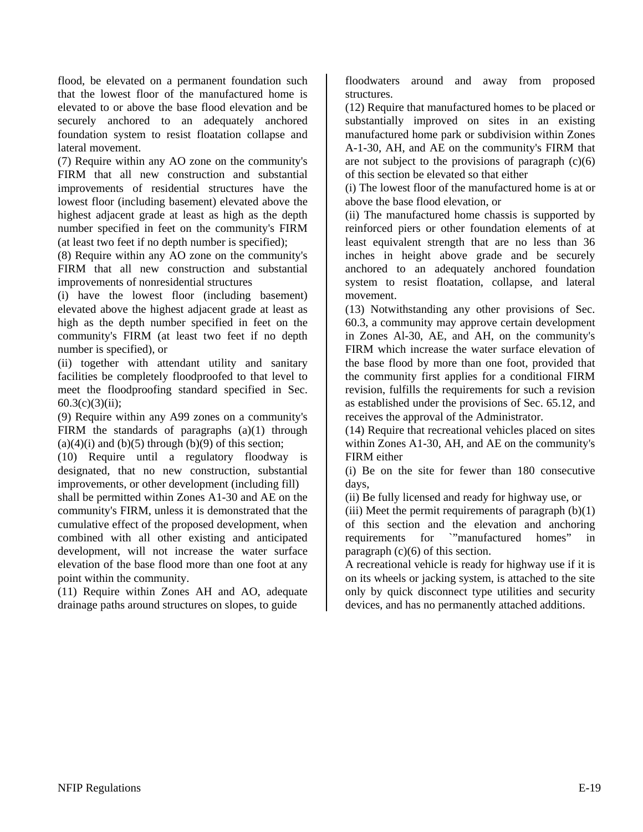flood, be elevated on a permanent foundation such that the lowest floor of the manufactured home is elevated to or above the base flood elevation and be securely anchored to an adequately anchored foundation system to resist floatation collapse and lateral movement.

(7) Require within any AO zone on the community's FIRM that all new construction and substantial improvements of residential structures have the lowest floor (including basement) elevated above the highest adjacent grade at least as high as the depth number specified in feet on the community's FIRM (at least two feet if no depth number is specified);

(8) Require within any AO zone on the community's FIRM that all new construction and substantial improvements of nonresidential structures

(i) have the lowest floor (including basement) elevated above the highest adjacent grade at least as high as the depth number specified in feet on the community's FIRM (at least two feet if no depth number is specified), or

(ii) together with attendant utility and sanitary facilities be completely floodproofed to that level to meet the floodproofing standard specified in Sec.  $60.3(c)(3)(ii);$ 

(9) Require within any A99 zones on a community's FIRM the standards of paragraphs  $(a)(1)$  through  $(a)(4)(i)$  and  $(b)(5)$  through  $(b)(9)$  of this section;

(10) Require until a regulatory floodway is designated, that no new construction, substantial improvements, or other development (including fill) shall be permitted within Zones A1-30 and AE on the community's FIRM, unless it is demonstrated that the cumulative effect of the proposed development, when combined with all other existing and anticipated development, will not increase the water surface elevation of the base flood more than one foot at any point within the community.

(11) Require within Zones AH and AO, adequate drainage paths around structures on slopes, to guide

floodwaters around and away from proposed structures.

(12) Require that manufactured homes to be placed or substantially improved on sites in an existing manufactured home park or subdivision within Zones A-1-30, AH, and AE on the community's FIRM that are not subject to the provisions of paragraph  $(c)(6)$ of this section be elevated so that either

(i) The lowest floor of the manufactured home is at or above the base flood elevation, or

(ii) The manufactured home chassis is supported by reinforced piers or other foundation elements of at least equivalent strength that are no less than 36 inches in height above grade and be securely anchored to an adequately anchored foundation system to resist floatation, collapse, and lateral movement.

(13) Notwithstanding any other provisions of Sec. 60.3, a community may approve certain development in Zones Al-30, AE, and AH, on the community's FIRM which increase the water surface elevation of the base flood by more than one foot, provided that the community first applies for a conditional FIRM revision, fulfills the requirements for such a revision as established under the provisions of Sec. 65.12, and receives the approval of the Administrator.

(14) Require that recreational vehicles placed on sites within Zones A1-30, AH, and AE on the community's FIRM either

(i) Be on the site for fewer than 180 consecutive days,

(ii) Be fully licensed and ready for highway use, or

(iii) Meet the permit requirements of paragraph  $(b)(1)$ of this section and the elevation and anchoring requirements for `"manufactured homes" in paragraph (c)(6) of this section.

A recreational vehicle is ready for highway use if it is on its wheels or jacking system, is attached to the site only by quick disconnect type utilities and security devices, and has no permanently attached additions.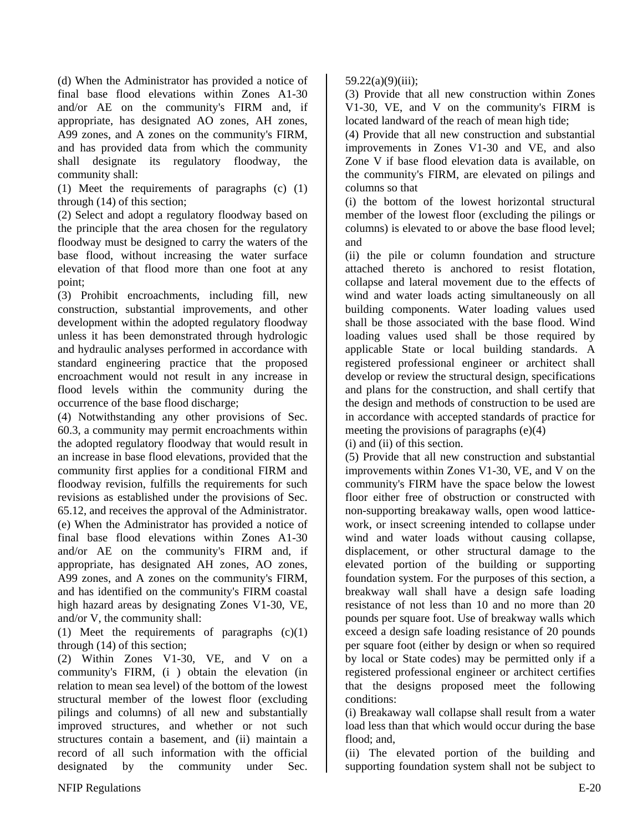(d) When the Administrator has provided a notice of final base flood elevations within Zones A1-30 and/or AE on the community's FIRM and, if appropriate, has designated AO zones, AH zones, A99 zones, and A zones on the community's FIRM, and has provided data from which the community shall designate its regulatory floodway, the community shall:

(1) Meet the requirements of paragraphs (c) (1) through (14) of this section;

(2) Select and adopt a regulatory floodway based on the principle that the area chosen for the regulatory floodway must be designed to carry the waters of the base flood, without increasing the water surface elevation of that flood more than one foot at any point;

(3) Prohibit encroachments, including fill, new construction, substantial improvements, and other development within the adopted regulatory floodway unless it has been demonstrated through hydrologic and hydraulic analyses performed in accordance with standard engineering practice that the proposed encroachment would not result in any increase in flood levels within the community during the occurrence of the base flood discharge;

(4) Notwithstanding any other provisions of Sec. 60.3, a community may permit encroachments within the adopted regulatory floodway that would result in an increase in base flood elevations, provided that the community first applies for a conditional FIRM and floodway revision, fulfills the requirements for such revisions as established under the provisions of Sec. 65.12, and receives the approval of the Administrator. (e) When the Administrator has provided a notice of final base flood elevations within Zones A1-30 and/or AE on the community's FIRM and, if appropriate, has designated AH zones, AO zones, A99 zones, and A zones on the community's FIRM, and has identified on the community's FIRM coastal high hazard areas by designating Zones V1-30, VE, and/or V, the community shall:

(1) Meet the requirements of paragraphs  $(c)(1)$ through (14) of this section;

(2) Within Zones V1-30, VE, and V on a community's FIRM, (i ) obtain the elevation (in relation to mean sea level) of the bottom of the lowest structural member of the lowest floor (excluding pilings and columns) of all new and substantially improved structures, and whether or not such structures contain a basement, and (ii) maintain a record of all such information with the official designated by the community under Sec.

#### 59.22(a)(9)(iii);

(3) Provide that all new construction within Zones V1-30, VE, and V on the community's FIRM is located landward of the reach of mean high tide;

(4) Provide that all new construction and substantial improvements in Zones V1-30 and VE, and also Zone V if base flood elevation data is available, on the community's FIRM, are elevated on pilings and columns so that

(i) the bottom of the lowest horizontal structural member of the lowest floor (excluding the pilings or columns) is elevated to or above the base flood level; and

(ii) the pile or column foundation and structure attached thereto is anchored to resist flotation, collapse and lateral movement due to the effects of wind and water loads acting simultaneously on all building components. Water loading values used shall be those associated with the base flood. Wind loading values used shall be those required by applicable State or local building standards. A registered professional engineer or architect shall develop or review the structural design, specifications and plans for the construction, and shall certify that the design and methods of construction to be used are in accordance with accepted standards of practice for meeting the provisions of paragraphs (e)(4)

(i) and (ii) of this section.

(5) Provide that all new construction and substantial improvements within Zones V1-30, VE, and V on the community's FIRM have the space below the lowest floor either free of obstruction or constructed with non-supporting breakaway walls, open wood latticework, or insect screening intended to collapse under wind and water loads without causing collapse, displacement, or other structural damage to the elevated portion of the building or supporting foundation system. For the purposes of this section, a breakway wall shall have a design safe loading resistance of not less than 10 and no more than 20 pounds per square foot. Use of breakway walls which exceed a design safe loading resistance of 20 pounds per square foot (either by design or when so required by local or State codes) may be permitted only if a registered professional engineer or architect certifies that the designs proposed meet the following conditions:

(i) Breakaway wall collapse shall result from a water load less than that which would occur during the base flood: and,

(ii) The elevated portion of the building and supporting foundation system shall not be subject to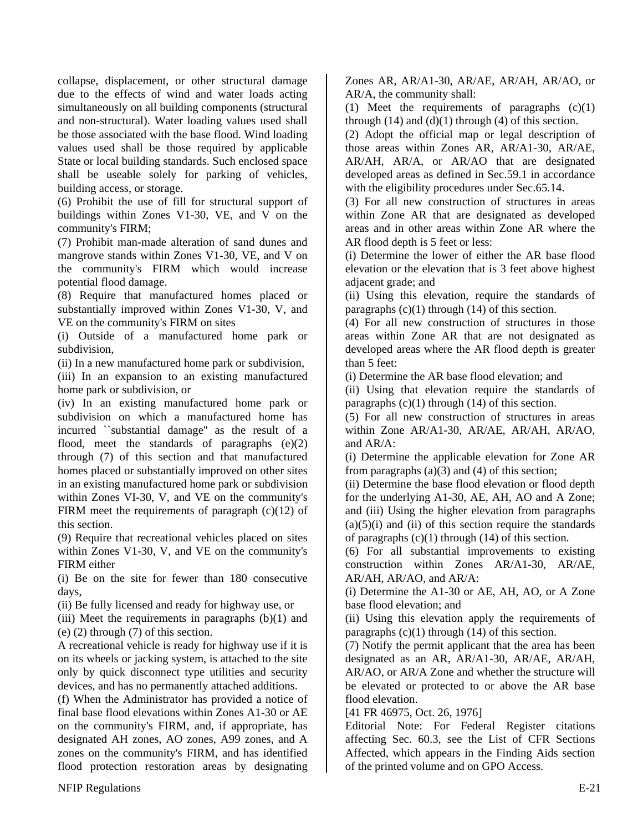collapse, displacement, or other structural damage due to the effects of wind and water loads acting simultaneously on all building components (structural and non-structural). Water loading values used shall be those associated with the base flood. Wind loading values used shall be those required by applicable State or local building standards. Such enclosed space shall be useable solely for parking of vehicles, building access, or storage.

(6) Prohibit the use of fill for structural support of buildings within Zones V1-30, VE, and V on the community's FIRM;

(7) Prohibit man-made alteration of sand dunes and mangrove stands within Zones V1-30, VE, and V on the community's FIRM which would increase potential flood damage.

(8) Require that manufactured homes placed or substantially improved within Zones V1-30, V, and VE on the community's FIRM on sites

(i) Outside of a manufactured home park or subdivision,

(ii) In a new manufactured home park or subdivision,

(iii) In an expansion to an existing manufactured home park or subdivision, or

(iv) In an existing manufactured home park or subdivision on which a manufactured home has incurred ``substantial damage'' as the result of a flood, meet the standards of paragraphs (e)(2) through (7) of this section and that manufactured homes placed or substantially improved on other sites in an existing manufactured home park or subdivision within Zones VI-30, V, and VE on the community's FIRM meet the requirements of paragraph  $(c)(12)$  of this section.

(9) Require that recreational vehicles placed on sites within Zones V1-30, V, and VE on the community's FIRM either

(i) Be on the site for fewer than 180 consecutive days,

(ii) Be fully licensed and ready for highway use, or

(iii) Meet the requirements in paragraphs (b)(1) and (e) (2) through (7) of this section.

A recreational vehicle is ready for highway use if it is on its wheels or jacking system, is attached to the site only by quick disconnect type utilities and security devices, and has no permanently attached additions.

(f) When the Administrator has provided a notice of final base flood elevations within Zones A1-30 or AE on the community's FIRM, and, if appropriate, has designated AH zones, AO zones, A99 zones, and A zones on the community's FIRM, and has identified flood protection restoration areas by designating Zones AR, AR/A1-30, AR/AE, AR/AH, AR/AO, or AR/A, the community shall:

(1) Meet the requirements of paragraphs  $(c)(1)$ through  $(14)$  and  $(d)(1)$  through  $(4)$  of this section.

(2) Adopt the official map or legal description of those areas within Zones AR, AR/A1-30, AR/AE, AR/AH, AR/A, or AR/AO that are designated developed areas as defined in Sec.59.1 in accordance with the eligibility procedures under Sec.65.14.

(3) For all new construction of structures in areas within Zone AR that are designated as developed areas and in other areas within Zone AR where the AR flood depth is 5 feet or less:

(i) Determine the lower of either the AR base flood elevation or the elevation that is 3 feet above highest adjacent grade; and

(ii) Using this elevation, require the standards of paragraphs  $(c)(1)$  through  $(14)$  of this section.

(4) For all new construction of structures in those areas within Zone AR that are not designated as developed areas where the AR flood depth is greater than 5 feet:

(i) Determine the AR base flood elevation; and

(ii) Using that elevation require the standards of paragraphs (c)(1) through (14) of this section.

(5) For all new construction of structures in areas within Zone AR/A1-30, AR/AE, AR/AH, AR/AO, and AR/A:

(i) Determine the applicable elevation for Zone AR from paragraphs  $(a)(3)$  and  $(4)$  of this section;

(ii) Determine the base flood elevation or flood depth for the underlying A1-30, AE, AH, AO and A Zone; and (iii) Using the higher elevation from paragraphs  $(a)(5)(i)$  and  $(ii)$  of this section require the standards of paragraphs  $(c)(1)$  through  $(14)$  of this section.

(6) For all substantial improvements to existing construction within Zones AR/A1-30, AR/AE, AR/AH, AR/AO, and AR/A:

(i) Determine the A1-30 or AE, AH, AO, or A Zone base flood elevation; and

(ii) Using this elevation apply the requirements of paragraphs  $(c)(1)$  through  $(14)$  of this section.

(7) Notify the permit applicant that the area has been designated as an AR, AR/A1-30, AR/AE, AR/AH, AR/AO, or AR/A Zone and whether the structure will be elevated or protected to or above the AR base flood elevation.

[41 FR 46975, Oct. 26, 1976]

Editorial Note: For Federal Register citations affecting Sec. 60.3, see the List of CFR Sections Affected, which appears in the Finding Aids section of the printed volume and on GPO Access.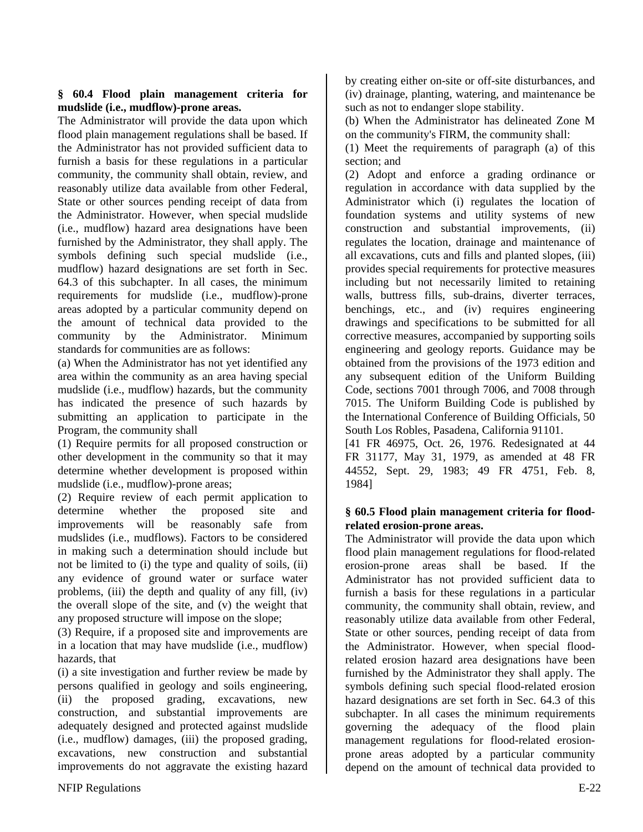#### **§ 60.4 Flood plain management criteria for mudslide (i.e., mudflow)-prone areas.**

The Administrator will provide the data upon which flood plain management regulations shall be based. If the Administrator has not provided sufficient data to furnish a basis for these regulations in a particular community, the community shall obtain, review, and reasonably utilize data available from other Federal, State or other sources pending receipt of data from the Administrator. However, when special mudslide (i.e., mudflow) hazard area designations have been furnished by the Administrator, they shall apply. The symbols defining such special mudslide (i.e., mudflow) hazard designations are set forth in Sec. 64.3 of this subchapter. In all cases, the minimum requirements for mudslide (i.e., mudflow)-prone areas adopted by a particular community depend on the amount of technical data provided to the community by the Administrator. Minimum standards for communities are as follows:

(a) When the Administrator has not yet identified any area within the community as an area having special mudslide (i.e., mudflow) hazards, but the community has indicated the presence of such hazards by submitting an application to participate in the Program, the community shall

(1) Require permits for all proposed construction or other development in the community so that it may determine whether development is proposed within mudslide (i.e., mudflow)-prone areas;

(2) Require review of each permit application to determine whether the proposed site and improvements will be reasonably safe from mudslides (i.e., mudflows). Factors to be considered in making such a determination should include but not be limited to (i) the type and quality of soils, (ii) any evidence of ground water or surface water problems, (iii) the depth and quality of any fill, (iv) the overall slope of the site, and (v) the weight that any proposed structure will impose on the slope;

(3) Require, if a proposed site and improvements are in a location that may have mudslide (i.e., mudflow) hazards, that

(i) a site investigation and further review be made by persons qualified in geology and soils engineering, (ii) the proposed grading, excavations, new construction, and substantial improvements are adequately designed and protected against mudslide (i.e., mudflow) damages, (iii) the proposed grading, excavations, new construction and substantial improvements do not aggravate the existing hazard by creating either on-site or off-site disturbances, and (iv) drainage, planting, watering, and maintenance be such as not to endanger slope stability.

(b) When the Administrator has delineated Zone M on the community's FIRM, the community shall:

(1) Meet the requirements of paragraph (a) of this section; and

(2) Adopt and enforce a grading ordinance or regulation in accordance with data supplied by the Administrator which (i) regulates the location of foundation systems and utility systems of new construction and substantial improvements, (ii) regulates the location, drainage and maintenance of all excavations, cuts and fills and planted slopes, (iii) provides special requirements for protective measures including but not necessarily limited to retaining walls, buttress fills, sub-drains, diverter terraces, benchings, etc., and (iv) requires engineering drawings and specifications to be submitted for all corrective measures, accompanied by supporting soils engineering and geology reports. Guidance may be obtained from the provisions of the 1973 edition and any subsequent edition of the Uniform Building Code, sections 7001 through 7006, and 7008 through 7015. The Uniform Building Code is published by the International Conference of Building Officials, 50 South Los Robles, Pasadena, California 91101.

[41 FR 46975, Oct. 26, 1976. Redesignated at 44 FR 31177, May 31, 1979, as amended at 48 FR 44552, Sept. 29, 1983; 49 FR 4751, Feb. 8, 1984]

#### **§ 60.5 Flood plain management criteria for floodrelated erosion-prone areas.**

The Administrator will provide the data upon which flood plain management regulations for flood-related erosion-prone areas shall be based. If the Administrator has not provided sufficient data to furnish a basis for these regulations in a particular community, the community shall obtain, review, and reasonably utilize data available from other Federal, State or other sources, pending receipt of data from the Administrator. However, when special floodrelated erosion hazard area designations have been furnished by the Administrator they shall apply. The symbols defining such special flood-related erosion hazard designations are set forth in Sec. 64.3 of this subchapter. In all cases the minimum requirements governing the adequacy of the flood plain management regulations for flood-related erosionprone areas adopted by a particular community depend on the amount of technical data provided to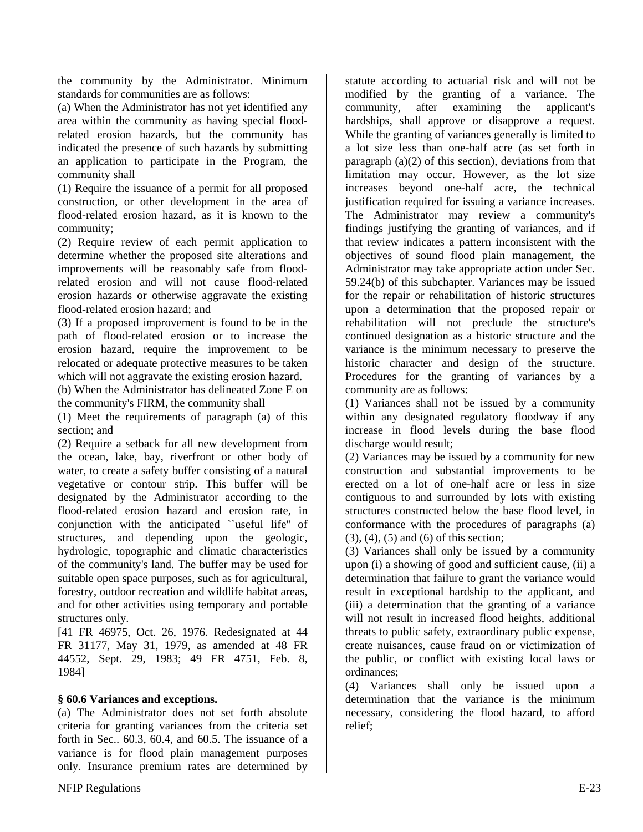the community by the Administrator. Minimum standards for communities are as follows:

(a) When the Administrator has not yet identified any area within the community as having special floodrelated erosion hazards, but the community has indicated the presence of such hazards by submitting an application to participate in the Program, the community shall

(1) Require the issuance of a permit for all proposed construction, or other development in the area of flood-related erosion hazard, as it is known to the community;

(2) Require review of each permit application to determine whether the proposed site alterations and improvements will be reasonably safe from floodrelated erosion and will not cause flood-related erosion hazards or otherwise aggravate the existing flood-related erosion hazard; and

(3) If a proposed improvement is found to be in the path of flood-related erosion or to increase the erosion hazard, require the improvement to be relocated or adequate protective measures to be taken which will not aggravate the existing erosion hazard.

(b) When the Administrator has delineated Zone E on the community's FIRM, the community shall

(1) Meet the requirements of paragraph (a) of this section; and

(2) Require a setback for all new development from the ocean, lake, bay, riverfront or other body of water, to create a safety buffer consisting of a natural vegetative or contour strip. This buffer will be designated by the Administrator according to the flood-related erosion hazard and erosion rate, in conjunction with the anticipated ``useful life'' of structures, and depending upon the geologic, hydrologic, topographic and climatic characteristics of the community's land. The buffer may be used for suitable open space purposes, such as for agricultural, forestry, outdoor recreation and wildlife habitat areas, and for other activities using temporary and portable structures only.

[41 FR 46975, Oct. 26, 1976. Redesignated at 44 FR 31177, May 31, 1979, as amended at 48 FR 44552, Sept. 29, 1983; 49 FR 4751, Feb. 8, 1984]

#### **§ 60.6 Variances and exceptions.**

(a) The Administrator does not set forth absolute criteria for granting variances from the criteria set forth in Sec.. 60.3, 60.4, and 60.5. The issuance of a variance is for flood plain management purposes only. Insurance premium rates are determined by

statute according to actuarial risk and will not be modified by the granting of a variance. The community, after examining the applicant's hardships, shall approve or disapprove a request. While the granting of variances generally is limited to a lot size less than one-half acre (as set forth in paragraph  $(a)(2)$  of this section), deviations from that limitation may occur. However, as the lot size increases beyond one-half acre, the technical justification required for issuing a variance increases. The Administrator may review a community's findings justifying the granting of variances, and if that review indicates a pattern inconsistent with the objectives of sound flood plain management, the Administrator may take appropriate action under Sec. 59.24(b) of this subchapter. Variances may be issued for the repair or rehabilitation of historic structures upon a determination that the proposed repair or rehabilitation will not preclude the structure's continued designation as a historic structure and the variance is the minimum necessary to preserve the historic character and design of the structure. Procedures for the granting of variances by a community are as follows:

(1) Variances shall not be issued by a community within any designated regulatory floodway if any increase in flood levels during the base flood discharge would result;

(2) Variances may be issued by a community for new construction and substantial improvements to be erected on a lot of one-half acre or less in size contiguous to and surrounded by lots with existing structures constructed below the base flood level, in conformance with the procedures of paragraphs (a) (3), (4), (5) and (6) of this section;

(3) Variances shall only be issued by a community upon (i) a showing of good and sufficient cause, (ii) a determination that failure to grant the variance would result in exceptional hardship to the applicant, and (iii) a determination that the granting of a variance will not result in increased flood heights, additional threats to public safety, extraordinary public expense, create nuisances, cause fraud on or victimization of the public, or conflict with existing local laws or ordinances;

(4) Variances shall only be issued upon a determination that the variance is the minimum necessary, considering the flood hazard, to afford relief;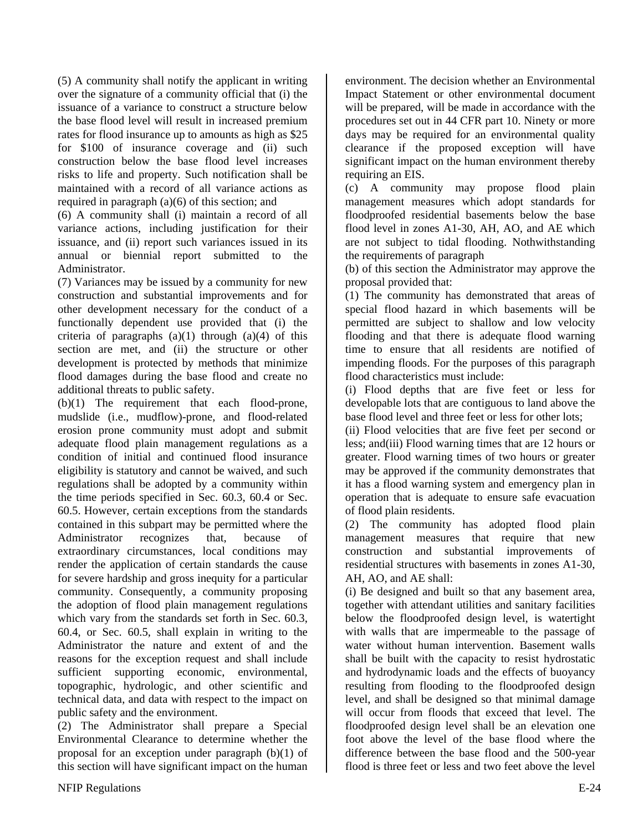(5) A community shall notify the applicant in writing over the signature of a community official that (i) the issuance of a variance to construct a structure below the base flood level will result in increased premium rates for flood insurance up to amounts as high as \$25 for \$100 of insurance coverage and (ii) such construction below the base flood level increases risks to life and property. Such notification shall be maintained with a record of all variance actions as required in paragraph (a)(6) of this section; and

(6) A community shall (i) maintain a record of all variance actions, including justification for their issuance, and (ii) report such variances issued in its annual or biennial report submitted to the Administrator.

(7) Variances may be issued by a community for new construction and substantial improvements and for other development necessary for the conduct of a functionally dependent use provided that (i) the criteria of paragraphs  $(a)(1)$  through  $(a)(4)$  of this section are met, and (ii) the structure or other development is protected by methods that minimize flood damages during the base flood and create no additional threats to public safety.

(b)(1) The requirement that each flood-prone, mudslide (i.e., mudflow)-prone, and flood-related erosion prone community must adopt and submit adequate flood plain management regulations as a condition of initial and continued flood insurance eligibility is statutory and cannot be waived, and such regulations shall be adopted by a community within the time periods specified in Sec. 60.3, 60.4 or Sec. 60.5. However, certain exceptions from the standards contained in this subpart may be permitted where the Administrator recognizes that, because of extraordinary circumstances, local conditions may render the application of certain standards the cause for severe hardship and gross inequity for a particular community. Consequently, a community proposing the adoption of flood plain management regulations which vary from the standards set forth in Sec. 60.3, 60.4, or Sec. 60.5, shall explain in writing to the Administrator the nature and extent of and the reasons for the exception request and shall include sufficient supporting economic, environmental, topographic, hydrologic, and other scientific and technical data, and data with respect to the impact on public safety and the environment.

(2) The Administrator shall prepare a Special Environmental Clearance to determine whether the proposal for an exception under paragraph (b)(1) of this section will have significant impact on the human

environment. The decision whether an Environmental Impact Statement or other environmental document will be prepared, will be made in accordance with the procedures set out in 44 CFR part 10. Ninety or more days may be required for an environmental quality clearance if the proposed exception will have significant impact on the human environment thereby requiring an EIS.

(c) A community may propose flood plain management measures which adopt standards for floodproofed residential basements below the base flood level in zones A1-30, AH, AO, and AE which are not subject to tidal flooding. Nothwithstanding the requirements of paragraph

(b) of this section the Administrator may approve the proposal provided that:

(1) The community has demonstrated that areas of special flood hazard in which basements will be permitted are subject to shallow and low velocity flooding and that there is adequate flood warning time to ensure that all residents are notified of impending floods. For the purposes of this paragraph flood characteristics must include:

(i) Flood depths that are five feet or less for developable lots that are contiguous to land above the base flood level and three feet or less for other lots;

(ii) Flood velocities that are five feet per second or less; and(iii) Flood warning times that are 12 hours or greater. Flood warning times of two hours or greater may be approved if the community demonstrates that it has a flood warning system and emergency plan in operation that is adequate to ensure safe evacuation of flood plain residents.

(2) The community has adopted flood plain management measures that require that new construction and substantial improvements of residential structures with basements in zones A1-30, AH, AO, and AE shall:

(i) Be designed and built so that any basement area, together with attendant utilities and sanitary facilities below the floodproofed design level, is watertight with walls that are impermeable to the passage of water without human intervention. Basement walls shall be built with the capacity to resist hydrostatic and hydrodynamic loads and the effects of buoyancy resulting from flooding to the floodproofed design level, and shall be designed so that minimal damage will occur from floods that exceed that level. The floodproofed design level shall be an elevation one foot above the level of the base flood where the difference between the base flood and the 500-year flood is three feet or less and two feet above the level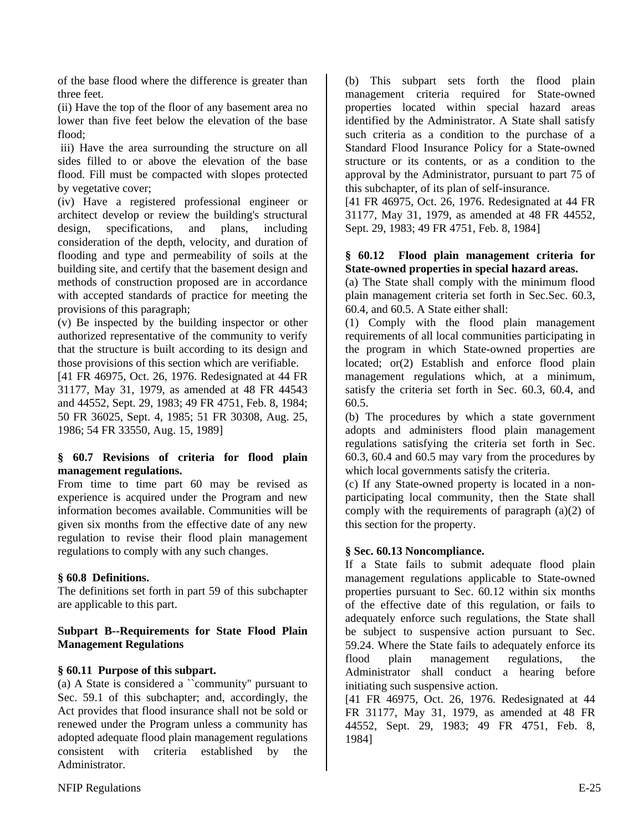of the base flood where the difference is greater than three feet.

(ii) Have the top of the floor of any basement area no lower than five feet below the elevation of the base flood;

 iii) Have the area surrounding the structure on all sides filled to or above the elevation of the base flood. Fill must be compacted with slopes protected by vegetative cover;

(iv) Have a registered professional engineer or architect develop or review the building's structural design, specifications, and plans, including consideration of the depth, velocity, and duration of flooding and type and permeability of soils at the building site, and certify that the basement design and methods of construction proposed are in accordance with accepted standards of practice for meeting the provisions of this paragraph;

(v) Be inspected by the building inspector or other authorized representative of the community to verify that the structure is built according to its design and those provisions of this section which are verifiable.

[41 FR 46975, Oct. 26, 1976. Redesignated at 44 FR 31177, May 31, 1979, as amended at 48 FR 44543 and 44552, Sept. 29, 1983; 49 FR 4751, Feb. 8, 1984; 50 FR 36025, Sept. 4, 1985; 51 FR 30308, Aug. 25, 1986; 54 FR 33550, Aug. 15, 1989]

#### **§ 60.7 Revisions of criteria for flood plain management regulations.**

From time to time part 60 may be revised as experience is acquired under the Program and new information becomes available. Communities will be given six months from the effective date of any new regulation to revise their flood plain management regulations to comply with any such changes.

#### **§ 60.8 Definitions.**

The definitions set forth in part 59 of this subchapter are applicable to this part.

#### **Subpart B--Requirements for State Flood Plain Management Regulations**

#### **§ 60.11 Purpose of this subpart.**

(a) A State is considered a ``community'' pursuant to Sec. 59.1 of this subchapter; and, accordingly, the Act provides that flood insurance shall not be sold or renewed under the Program unless a community has adopted adequate flood plain management regulations consistent with criteria established by the Administrator.

(b) This subpart sets forth the flood plain management criteria required for State-owned properties located within special hazard areas identified by the Administrator. A State shall satisfy such criteria as a condition to the purchase of a Standard Flood Insurance Policy for a State-owned structure or its contents, or as a condition to the approval by the Administrator, pursuant to part 75 of this subchapter, of its plan of self-insurance.

[41 FR 46975, Oct. 26, 1976. Redesignated at 44 FR 31177, May 31, 1979, as amended at 48 FR 44552, Sept. 29, 1983; 49 FR 4751, Feb. 8, 1984]

#### **§ 60.12 Flood plain management criteria for State-owned properties in special hazard areas.**

(a) The State shall comply with the minimum flood plain management criteria set forth in Sec.Sec. 60.3, 60.4, and 60.5. A State either shall:

(1) Comply with the flood plain management requirements of all local communities participating in the program in which State-owned properties are located; or(2) Establish and enforce flood plain management regulations which, at a minimum, satisfy the criteria set forth in Sec. 60.3, 60.4, and 60.5.

(b) The procedures by which a state government adopts and administers flood plain management regulations satisfying the criteria set forth in Sec. 60.3, 60.4 and 60.5 may vary from the procedures by which local governments satisfy the criteria.

(c) If any State-owned property is located in a nonparticipating local community, then the State shall comply with the requirements of paragraph (a)(2) of this section for the property.

#### **§ Sec. 60.13 Noncompliance.**

If a State fails to submit adequate flood plain management regulations applicable to State-owned properties pursuant to Sec. 60.12 within six months of the effective date of this regulation, or fails to adequately enforce such regulations, the State shall be subject to suspensive action pursuant to Sec. 59.24. Where the State fails to adequately enforce its flood plain management regulations, the Administrator shall conduct a hearing before initiating such suspensive action.

[41 FR 46975, Oct. 26, 1976. Redesignated at 44 FR 31177, May 31, 1979, as amended at 48 FR 44552, Sept. 29, 1983; 49 FR 4751, Feb. 8, 1984]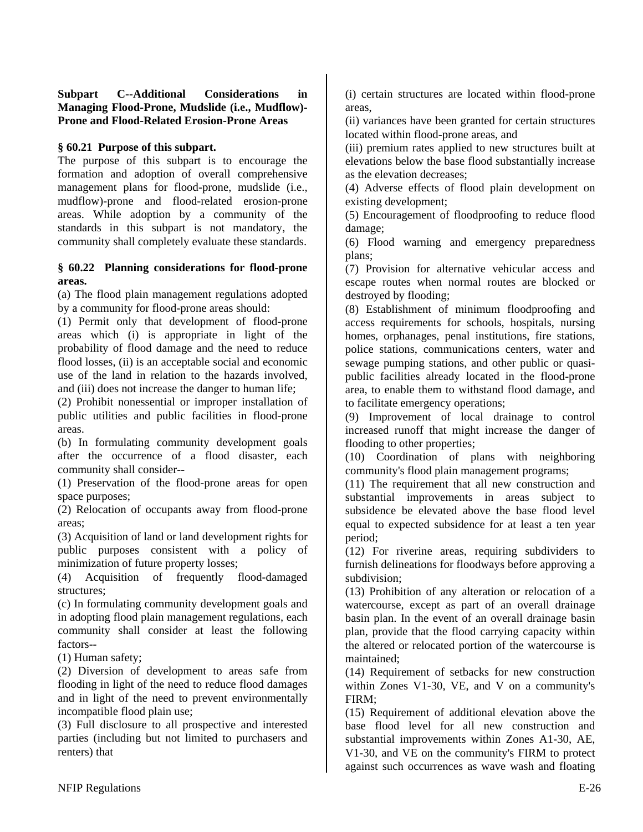#### **Subpart C--Additional Considerations in Managing Flood-Prone, Mudslide (i.e., Mudflow)- Prone and Flood-Related Erosion-Prone Areas**

#### **§ 60.21 Purpose of this subpart.**

The purpose of this subpart is to encourage the formation and adoption of overall comprehensive management plans for flood-prone, mudslide (i.e., mudflow)-prone and flood-related erosion-prone areas. While adoption by a community of the standards in this subpart is not mandatory, the community shall completely evaluate these standards.

#### **§ 60.22 Planning considerations for flood-prone areas.**

(a) The flood plain management regulations adopted by a community for flood-prone areas should:

(1) Permit only that development of flood-prone areas which (i) is appropriate in light of the probability of flood damage and the need to reduce flood losses, (ii) is an acceptable social and economic use of the land in relation to the hazards involved, and (iii) does not increase the danger to human life;

(2) Prohibit nonessential or improper installation of public utilities and public facilities in flood-prone areas.

(b) In formulating community development goals after the occurrence of a flood disaster, each community shall consider--

(1) Preservation of the flood-prone areas for open space purposes;

(2) Relocation of occupants away from flood-prone areas;

(3) Acquisition of land or land development rights for public purposes consistent with a policy of minimization of future property losses;

(4) Acquisition of frequently flood-damaged structures;

(c) In formulating community development goals and in adopting flood plain management regulations, each community shall consider at least the following factors--

(1) Human safety;

(2) Diversion of development to areas safe from flooding in light of the need to reduce flood damages and in light of the need to prevent environmentally incompatible flood plain use;

(3) Full disclosure to all prospective and interested parties (including but not limited to purchasers and renters) that

(i) certain structures are located within flood-prone areas,

(ii) variances have been granted for certain structures located within flood-prone areas, and

(iii) premium rates applied to new structures built at elevations below the base flood substantially increase as the elevation decreases;

(4) Adverse effects of flood plain development on existing development;

(5) Encouragement of floodproofing to reduce flood damage;

(6) Flood warning and emergency preparedness plans;

(7) Provision for alternative vehicular access and escape routes when normal routes are blocked or destroyed by flooding;

(8) Establishment of minimum floodproofing and access requirements for schools, hospitals, nursing homes, orphanages, penal institutions, fire stations, police stations, communications centers, water and sewage pumping stations, and other public or quasipublic facilities already located in the flood-prone area, to enable them to withstand flood damage, and to facilitate emergency operations;

(9) Improvement of local drainage to control increased runoff that might increase the danger of flooding to other properties;

(10) Coordination of plans with neighboring community's flood plain management programs;

(11) The requirement that all new construction and substantial improvements in areas subject to subsidence be elevated above the base flood level equal to expected subsidence for at least a ten year period;

(12) For riverine areas, requiring subdividers to furnish delineations for floodways before approving a subdivision;

(13) Prohibition of any alteration or relocation of a watercourse, except as part of an overall drainage basin plan. In the event of an overall drainage basin plan, provide that the flood carrying capacity within the altered or relocated portion of the watercourse is maintained;

(14) Requirement of setbacks for new construction within Zones V1-30, VE, and V on a community's FIRM;

(15) Requirement of additional elevation above the base flood level for all new construction and substantial improvements within Zones A1-30, AE, V1-30, and VE on the community's FIRM to protect against such occurrences as wave wash and floating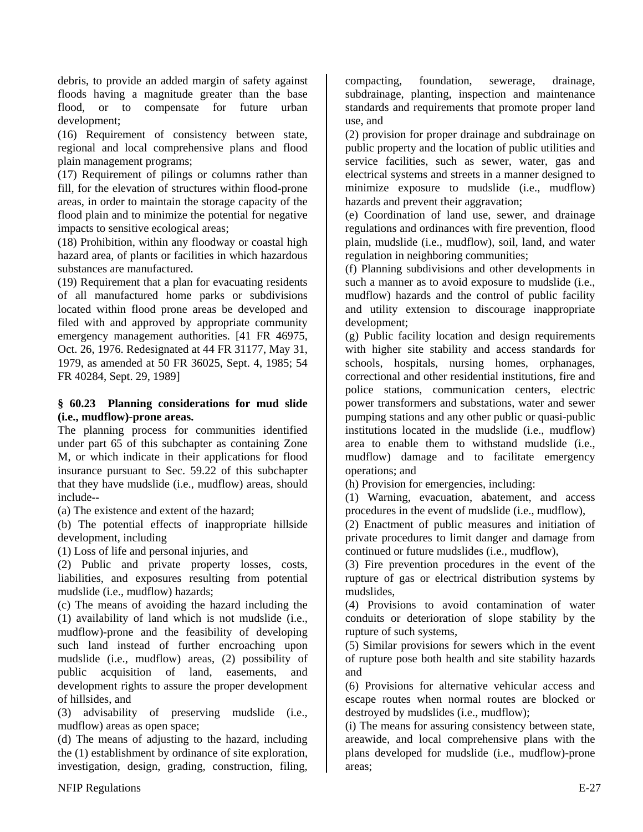debris, to provide an added margin of safety against floods having a magnitude greater than the base flood, or to compensate for future urban development;

(16) Requirement of consistency between state, regional and local comprehensive plans and flood plain management programs;

(17) Requirement of pilings or columns rather than fill, for the elevation of structures within flood-prone areas, in order to maintain the storage capacity of the flood plain and to minimize the potential for negative impacts to sensitive ecological areas;

(18) Prohibition, within any floodway or coastal high hazard area, of plants or facilities in which hazardous substances are manufactured.

(19) Requirement that a plan for evacuating residents of all manufactured home parks or subdivisions located within flood prone areas be developed and filed with and approved by appropriate community emergency management authorities. [41 FR 46975, Oct. 26, 1976. Redesignated at 44 FR 31177, May 31, 1979, as amended at 50 FR 36025, Sept. 4, 1985; 54 FR 40284, Sept. 29, 1989]

#### **§ 60.23 Planning considerations for mud slide (i.e., mudflow)-prone areas.**

The planning process for communities identified under part 65 of this subchapter as containing Zone M, or which indicate in their applications for flood insurance pursuant to Sec. 59.22 of this subchapter that they have mudslide (i.e., mudflow) areas, should include--

(a) The existence and extent of the hazard;

(b) The potential effects of inappropriate hillside development, including

(1) Loss of life and personal injuries, and

(2) Public and private property losses, costs, liabilities, and exposures resulting from potential mudslide (i.e., mudflow) hazards;

(c) The means of avoiding the hazard including the (1) availability of land which is not mudslide (i.e., mudflow)-prone and the feasibility of developing such land instead of further encroaching upon mudslide (i.e., mudflow) areas, (2) possibility of public acquisition of land, easements, and development rights to assure the proper development of hillsides, and

(3) advisability of preserving mudslide (i.e., mudflow) areas as open space;

(d) The means of adjusting to the hazard, including the (1) establishment by ordinance of site exploration, investigation, design, grading, construction, filing,

compacting, foundation, sewerage, drainage, subdrainage, planting, inspection and maintenance standards and requirements that promote proper land use, and

(2) provision for proper drainage and subdrainage on public property and the location of public utilities and service facilities, such as sewer, water, gas and electrical systems and streets in a manner designed to minimize exposure to mudslide (i.e., mudflow) hazards and prevent their aggravation;

(e) Coordination of land use, sewer, and drainage regulations and ordinances with fire prevention, flood plain, mudslide (i.e., mudflow), soil, land, and water regulation in neighboring communities;

(f) Planning subdivisions and other developments in such a manner as to avoid exposure to mudslide (i.e., mudflow) hazards and the control of public facility and utility extension to discourage inappropriate development;

(g) Public facility location and design requirements with higher site stability and access standards for schools, hospitals, nursing homes, orphanages, correctional and other residential institutions, fire and police stations, communication centers, electric power transformers and substations, water and sewer pumping stations and any other public or quasi-public institutions located in the mudslide (i.e., mudflow) area to enable them to withstand mudslide (i.e., mudflow) damage and to facilitate emergency operations; and

(h) Provision for emergencies, including:

(1) Warning, evacuation, abatement, and access procedures in the event of mudslide (i.e., mudflow),

(2) Enactment of public measures and initiation of private procedures to limit danger and damage from continued or future mudslides (i.e., mudflow),

(3) Fire prevention procedures in the event of the rupture of gas or electrical distribution systems by mudslides,

(4) Provisions to avoid contamination of water conduits or deterioration of slope stability by the rupture of such systems,

(5) Similar provisions for sewers which in the event of rupture pose both health and site stability hazards and

(6) Provisions for alternative vehicular access and escape routes when normal routes are blocked or destroyed by mudslides (i.e., mudflow);

(i) The means for assuring consistency between state, areawide, and local comprehensive plans with the plans developed for mudslide (i.e., mudflow)-prone areas;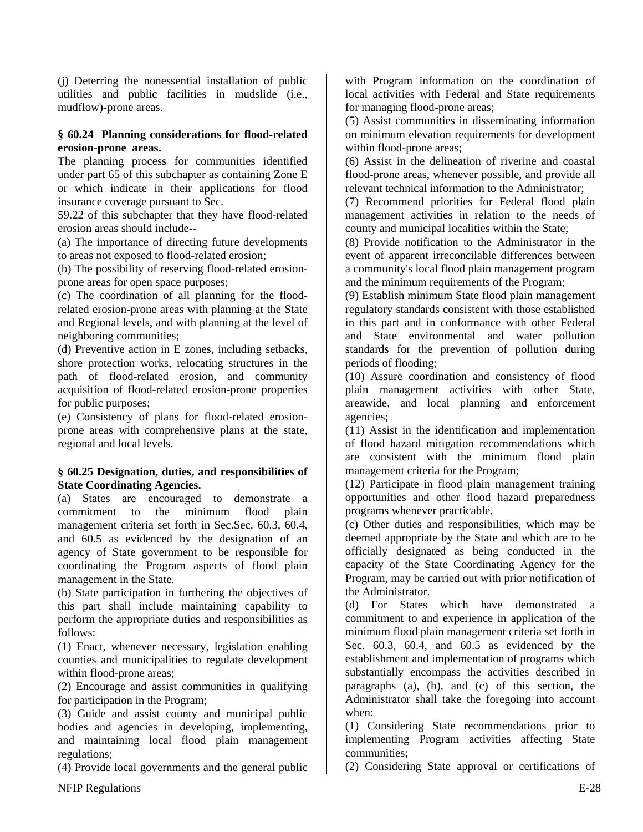(j) Deterring the nonessential installation of public utilities and public facilities in mudslide (i.e., mudflow)-prone areas.

#### **§ 60.24 Planning considerations for flood-related erosion-prone areas.**

The planning process for communities identified under part 65 of this subchapter as containing Zone E or which indicate in their applications for flood insurance coverage pursuant to Sec.

59.22 of this subchapter that they have flood-related erosion areas should include--

(a) The importance of directing future developments to areas not exposed to flood-related erosion;

(b) The possibility of reserving flood-related erosionprone areas for open space purposes;

(c) The coordination of all planning for the floodrelated erosion-prone areas with planning at the State and Regional levels, and with planning at the level of neighboring communities;

(d) Preventive action in E zones, including setbacks, shore protection works, relocating structures in the path of flood-related erosion, and community acquisition of flood-related erosion-prone properties for public purposes;

(e) Consistency of plans for flood-related erosionprone areas with comprehensive plans at the state, regional and local levels.

#### **§ 60.25 Designation, duties, and responsibilities of State Coordinating Agencies.**

(a) States are encouraged to demonstrate a commitment to the minimum flood plain management criteria set forth in Sec.Sec. 60.3, 60.4, and 60.5 as evidenced by the designation of an agency of State government to be responsible for coordinating the Program aspects of flood plain management in the State.

(b) State participation in furthering the objectives of this part shall include maintaining capability to perform the appropriate duties and responsibilities as follows:

(1) Enact, whenever necessary, legislation enabling counties and municipalities to regulate development within flood-prone areas;

(2) Encourage and assist communities in qualifying for participation in the Program;

(3) Guide and assist county and municipal public bodies and agencies in developing, implementing, and maintaining local flood plain management regulations;

(4) Provide local governments and the general public

with Program information on the coordination of local activities with Federal and State requirements for managing flood-prone areas;

(5) Assist communities in disseminating information on minimum elevation requirements for development within flood-prone areas;

(6) Assist in the delineation of riverine and coastal flood-prone areas, whenever possible, and provide all relevant technical information to the Administrator;

(7) Recommend priorities for Federal flood plain management activities in relation to the needs of county and municipal localities within the State;

(8) Provide notification to the Administrator in the event of apparent irreconcilable differences between a community's local flood plain management program and the minimum requirements of the Program;

(9) Establish minimum State flood plain management regulatory standards consistent with those established in this part and in conformance with other Federal and State environmental and water pollution standards for the prevention of pollution during periods of flooding;

(10) Assure coordination and consistency of flood plain management activities with other State, areawide, and local planning and enforcement agencies;

(11) Assist in the identification and implementation of flood hazard mitigation recommendations which are consistent with the minimum flood plain management criteria for the Program;

(12) Participate in flood plain management training opportunities and other flood hazard preparedness programs whenever practicable.

(c) Other duties and responsibilities, which may be deemed appropriate by the State and which are to be officially designated as being conducted in the capacity of the State Coordinating Agency for the Program, may be carried out with prior notification of the Administrator.

(d) For States which have demonstrated a commitment to and experience in application of the minimum flood plain management criteria set forth in Sec. 60.3, 60.4, and 60.5 as evidenced by the establishment and implementation of programs which substantially encompass the activities described in paragraphs (a), (b), and (c) of this section, the Administrator shall take the foregoing into account when:

(1) Considering State recommendations prior to implementing Program activities affecting State communities;

(2) Considering State approval or certifications of

NFIP Regulations E-28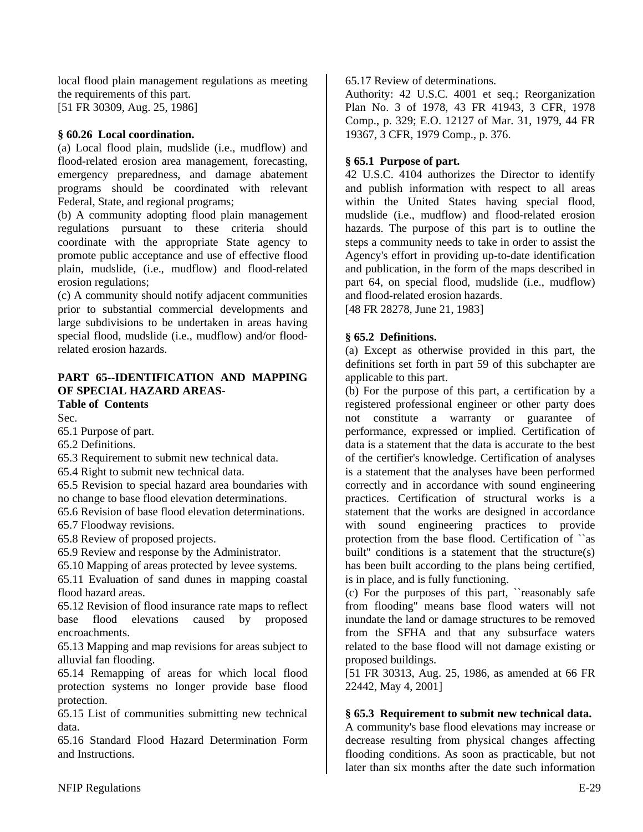local flood plain management regulations as meeting the requirements of this part. [51 FR 30309, Aug. 25, 1986]

#### **§ 60.26 Local coordination.**

(a) Local flood plain, mudslide (i.e., mudflow) and flood-related erosion area management, forecasting, emergency preparedness, and damage abatement programs should be coordinated with relevant Federal, State, and regional programs;

(b) A community adopting flood plain management regulations pursuant to these criteria should coordinate with the appropriate State agency to promote public acceptance and use of effective flood plain, mudslide, (i.e., mudflow) and flood-related erosion regulations;

(c) A community should notify adjacent communities prior to substantial commercial developments and large subdivisions to be undertaken in areas having special flood, mudslide (i.e., mudflow) and/or floodrelated erosion hazards.

#### **PART 65--IDENTIFICATION AND MAPPING OF SPECIAL HAZARD AREAS-Table of Contents**

Sec.

65.1 Purpose of part.

65.2 Definitions.

65.3 Requirement to submit new technical data.

65.4 Right to submit new technical data.

65.5 Revision to special hazard area boundaries with

no change to base flood elevation determinations.

65.6 Revision of base flood elevation determinations.

65.7 Floodway revisions.

65.8 Review of proposed projects.

65.9 Review and response by the Administrator.

65.10 Mapping of areas protected by levee systems.

65.11 Evaluation of sand dunes in mapping coastal flood hazard areas.

65.12 Revision of flood insurance rate maps to reflect base flood elevations caused by proposed encroachments.

65.13 Mapping and map revisions for areas subject to alluvial fan flooding.

65.14 Remapping of areas for which local flood protection systems no longer provide base flood protection.

65.15 List of communities submitting new technical data.

65.16 Standard Flood Hazard Determination Form and Instructions.

65.17 Review of determinations.

Authority: 42 U.S.C. 4001 et seq.; Reorganization Plan No. 3 of 1978, 43 FR 41943, 3 CFR, 1978 Comp., p. 329; E.O. 12127 of Mar. 31, 1979, 44 FR 19367, 3 CFR, 1979 Comp., p. 376.

## **§ 65.1 Purpose of part.**

42 U.S.C. 4104 authorizes the Director to identify and publish information with respect to all areas within the United States having special flood, mudslide (i.e., mudflow) and flood-related erosion hazards. The purpose of this part is to outline the steps a community needs to take in order to assist the Agency's effort in providing up-to-date identification and publication, in the form of the maps described in part 64, on special flood, mudslide (i.e., mudflow) and flood-related erosion hazards. [48 FR 28278, June 21, 1983]

#### **§ 65.2 Definitions.**

(a) Except as otherwise provided in this part, the definitions set forth in part 59 of this subchapter are applicable to this part.

(b) For the purpose of this part, a certification by a registered professional engineer or other party does not constitute a warranty or guarantee of performance, expressed or implied. Certification of data is a statement that the data is accurate to the best of the certifier's knowledge. Certification of analyses is a statement that the analyses have been performed correctly and in accordance with sound engineering practices. Certification of structural works is a statement that the works are designed in accordance with sound engineering practices to provide protection from the base flood. Certification of ``as built" conditions is a statement that the structure(s) has been built according to the plans being certified, is in place, and is fully functioning.

(c) For the purposes of this part, ``reasonably safe from flooding'' means base flood waters will not inundate the land or damage structures to be removed from the SFHA and that any subsurface waters related to the base flood will not damage existing or proposed buildings.

[51 FR 30313, Aug. 25, 1986, as amended at 66 FR 22442, May 4, 2001]

#### **§ 65.3 Requirement to submit new technical data.**

A community's base flood elevations may increase or decrease resulting from physical changes affecting flooding conditions. As soon as practicable, but not later than six months after the date such information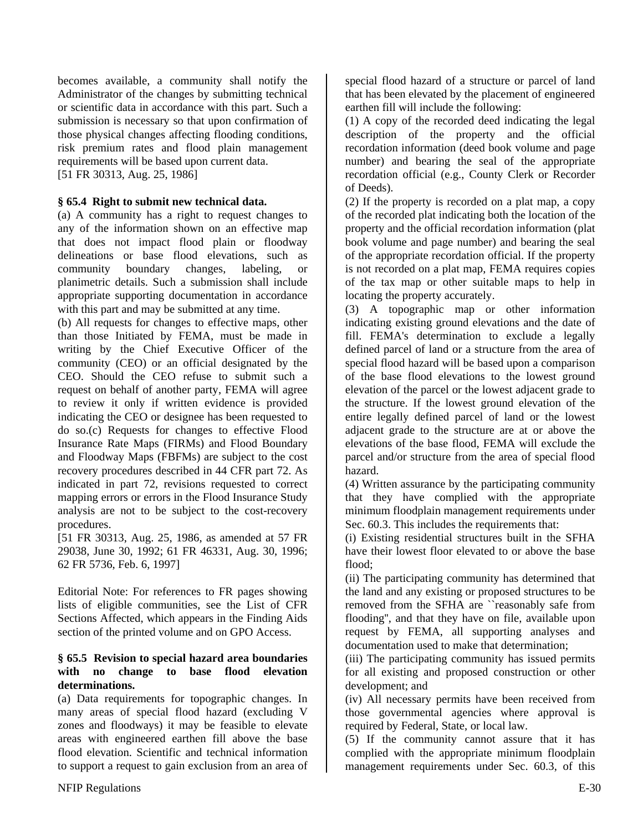becomes available, a community shall notify the Administrator of the changes by submitting technical or scientific data in accordance with this part. Such a submission is necessary so that upon confirmation of those physical changes affecting flooding conditions, risk premium rates and flood plain management requirements will be based upon current data. [51 FR 30313, Aug. 25, 1986]

#### **§ 65.4 Right to submit new technical data.**

(a) A community has a right to request changes to any of the information shown on an effective map that does not impact flood plain or floodway delineations or base flood elevations, such as community boundary changes, labeling, or planimetric details. Such a submission shall include appropriate supporting documentation in accordance with this part and may be submitted at any time.

(b) All requests for changes to effective maps, other than those Initiated by FEMA, must be made in writing by the Chief Executive Officer of the community (CEO) or an official designated by the CEO. Should the CEO refuse to submit such a request on behalf of another party, FEMA will agree to review it only if written evidence is provided indicating the CEO or designee has been requested to do so.(c) Requests for changes to effective Flood Insurance Rate Maps (FIRMs) and Flood Boundary and Floodway Maps (FBFMs) are subject to the cost recovery procedures described in 44 CFR part 72. As indicated in part 72, revisions requested to correct mapping errors or errors in the Flood Insurance Study analysis are not to be subject to the cost-recovery procedures.

[51 FR 30313, Aug. 25, 1986, as amended at 57 FR 29038, June 30, 1992; 61 FR 46331, Aug. 30, 1996; 62 FR 5736, Feb. 6, 1997]

Editorial Note: For references to FR pages showing lists of eligible communities, see the List of CFR Sections Affected, which appears in the Finding Aids section of the printed volume and on GPO Access.

#### **§ 65.5 Revision to special hazard area boundaries with no change to base flood elevation determinations.**

(a) Data requirements for topographic changes. In many areas of special flood hazard (excluding V zones and floodways) it may be feasible to elevate areas with engineered earthen fill above the base flood elevation. Scientific and technical information to support a request to gain exclusion from an area of special flood hazard of a structure or parcel of land that has been elevated by the placement of engineered earthen fill will include the following:

(1) A copy of the recorded deed indicating the legal description of the property and the official recordation information (deed book volume and page number) and bearing the seal of the appropriate recordation official (e.g., County Clerk or Recorder of Deeds).

(2) If the property is recorded on a plat map, a copy of the recorded plat indicating both the location of the property and the official recordation information (plat book volume and page number) and bearing the seal of the appropriate recordation official. If the property is not recorded on a plat map, FEMA requires copies of the tax map or other suitable maps to help in locating the property accurately.

(3) A topographic map or other information indicating existing ground elevations and the date of fill. FEMA's determination to exclude a legally defined parcel of land or a structure from the area of special flood hazard will be based upon a comparison of the base flood elevations to the lowest ground elevation of the parcel or the lowest adjacent grade to the structure. If the lowest ground elevation of the entire legally defined parcel of land or the lowest adjacent grade to the structure are at or above the elevations of the base flood, FEMA will exclude the parcel and/or structure from the area of special flood hazard.

(4) Written assurance by the participating community that they have complied with the appropriate minimum floodplain management requirements under Sec. 60.3. This includes the requirements that:

(i) Existing residential structures built in the SFHA have their lowest floor elevated to or above the base flood;

(ii) The participating community has determined that the land and any existing or proposed structures to be removed from the SFHA are ``reasonably safe from flooding'', and that they have on file, available upon request by FEMA, all supporting analyses and documentation used to make that determination;

(iii) The participating community has issued permits for all existing and proposed construction or other development; and

(iv) All necessary permits have been received from those governmental agencies where approval is required by Federal, State, or local law.

(5) If the community cannot assure that it has complied with the appropriate minimum floodplain management requirements under Sec. 60.3, of this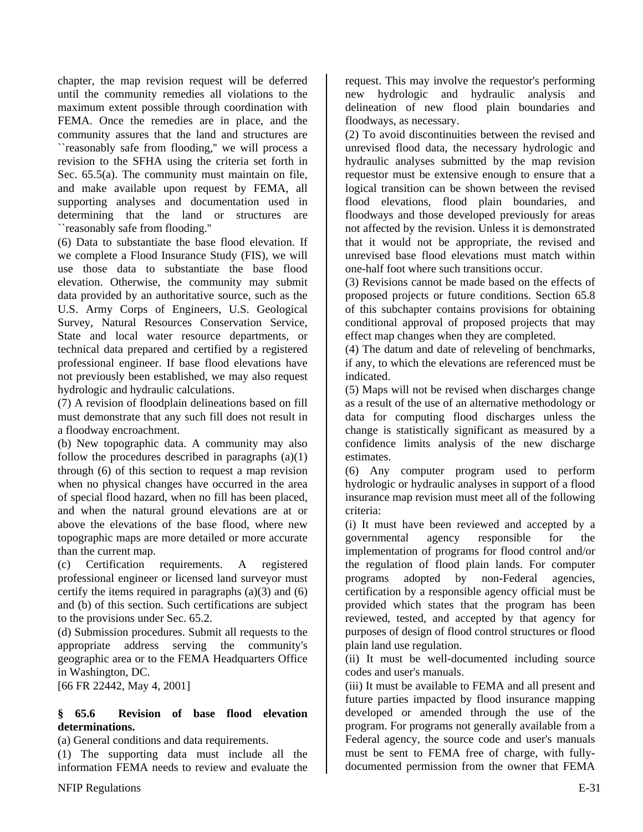chapter, the map revision request will be deferred until the community remedies all violations to the maximum extent possible through coordination with FEMA. Once the remedies are in place, and the community assures that the land and structures are ``reasonably safe from flooding,'' we will process a revision to the SFHA using the criteria set forth in Sec.  $65.5(a)$ . The community must maintain on file, and make available upon request by FEMA, all supporting analyses and documentation used in determining that the land or structures are ``reasonably safe from flooding.''

(6) Data to substantiate the base flood elevation. If we complete a Flood Insurance Study (FIS), we will use those data to substantiate the base flood elevation. Otherwise, the community may submit data provided by an authoritative source, such as the U.S. Army Corps of Engineers, U.S. Geological Survey, Natural Resources Conservation Service, State and local water resource departments, or technical data prepared and certified by a registered professional engineer. If base flood elevations have not previously been established, we may also request hydrologic and hydraulic calculations.

(7) A revision of floodplain delineations based on fill must demonstrate that any such fill does not result in a floodway encroachment.

(b) New topographic data. A community may also follow the procedures described in paragraphs  $(a)(1)$ through (6) of this section to request a map revision when no physical changes have occurred in the area of special flood hazard, when no fill has been placed, and when the natural ground elevations are at or above the elevations of the base flood, where new topographic maps are more detailed or more accurate than the current map.

(c) Certification requirements. A registered professional engineer or licensed land surveyor must certify the items required in paragraphs  $(a)(3)$  and  $(6)$ and (b) of this section. Such certifications are subject to the provisions under Sec. 65.2.

(d) Submission procedures. Submit all requests to the appropriate address serving the community's geographic area or to the FEMA Headquarters Office in Washington, DC.

[66 FR 22442, May 4, 2001]

#### **§ 65.6 Revision of base flood elevation determinations.**

(a) General conditions and data requirements.

(1) The supporting data must include all the information FEMA needs to review and evaluate the request. This may involve the requestor's performing new hydrologic and hydraulic analysis and delineation of new flood plain boundaries and floodways, as necessary.

(2) To avoid discontinuities between the revised and unrevised flood data, the necessary hydrologic and hydraulic analyses submitted by the map revision requestor must be extensive enough to ensure that a logical transition can be shown between the revised flood elevations, flood plain boundaries, and floodways and those developed previously for areas not affected by the revision. Unless it is demonstrated that it would not be appropriate, the revised and unrevised base flood elevations must match within one-half foot where such transitions occur.

(3) Revisions cannot be made based on the effects of proposed projects or future conditions. Section 65.8 of this subchapter contains provisions for obtaining conditional approval of proposed projects that may effect map changes when they are completed.

(4) The datum and date of releveling of benchmarks, if any, to which the elevations are referenced must be indicated.

(5) Maps will not be revised when discharges change as a result of the use of an alternative methodology or data for computing flood discharges unless the change is statistically significant as measured by a confidence limits analysis of the new discharge estimates.

(6) Any computer program used to perform hydrologic or hydraulic analyses in support of a flood insurance map revision must meet all of the following criteria:

(i) It must have been reviewed and accepted by a governmental agency responsible for the implementation of programs for flood control and/or the regulation of flood plain lands. For computer programs adopted by non-Federal agencies, certification by a responsible agency official must be provided which states that the program has been reviewed, tested, and accepted by that agency for purposes of design of flood control structures or flood plain land use regulation.

(ii) It must be well-documented including source codes and user's manuals.

(iii) It must be available to FEMA and all present and future parties impacted by flood insurance mapping developed or amended through the use of the program. For programs not generally available from a Federal agency, the source code and user's manuals must be sent to FEMA free of charge, with fullydocumented permission from the owner that FEMA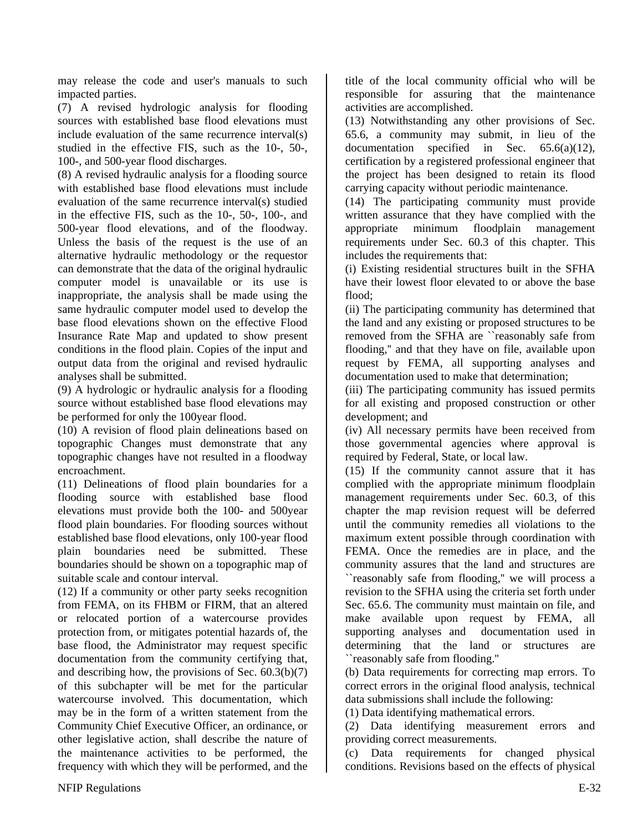may release the code and user's manuals to such impacted parties.

(7) A revised hydrologic analysis for flooding sources with established base flood elevations must include evaluation of the same recurrence interval(s) studied in the effective FIS, such as the 10-, 50-, 100-, and 500-year flood discharges.

(8) A revised hydraulic analysis for a flooding source with established base flood elevations must include evaluation of the same recurrence interval(s) studied in the effective FIS, such as the 10-, 50-, 100-, and 500-year flood elevations, and of the floodway. Unless the basis of the request is the use of an alternative hydraulic methodology or the requestor can demonstrate that the data of the original hydraulic computer model is unavailable or its use is inappropriate, the analysis shall be made using the same hydraulic computer model used to develop the base flood elevations shown on the effective Flood Insurance Rate Map and updated to show present conditions in the flood plain. Copies of the input and output data from the original and revised hydraulic analyses shall be submitted.

(9) A hydrologic or hydraulic analysis for a flooding source without established base flood elevations may be performed for only the 100year flood.

(10) A revision of flood plain delineations based on topographic Changes must demonstrate that any topographic changes have not resulted in a floodway encroachment.

(11) Delineations of flood plain boundaries for a flooding source with established base flood elevations must provide both the 100- and 500year flood plain boundaries. For flooding sources without established base flood elevations, only 100-year flood plain boundaries need be submitted. These boundaries should be shown on a topographic map of suitable scale and contour interval.

(12) If a community or other party seeks recognition from FEMA, on its FHBM or FIRM, that an altered or relocated portion of a watercourse provides protection from, or mitigates potential hazards of, the base flood, the Administrator may request specific documentation from the community certifying that, and describing how, the provisions of Sec.  $60.3(b)(7)$ of this subchapter will be met for the particular watercourse involved. This documentation, which may be in the form of a written statement from the Community Chief Executive Officer, an ordinance, or other legislative action, shall describe the nature of the maintenance activities to be performed, the frequency with which they will be performed, and the

title of the local community official who will be responsible for assuring that the maintenance activities are accomplished.

(13) Notwithstanding any other provisions of Sec. 65.6, a community may submit, in lieu of the documentation specified in Sec. 65.6(a)(12), certification by a registered professional engineer that the project has been designed to retain its flood carrying capacity without periodic maintenance.

(14) The participating community must provide written assurance that they have complied with the appropriate minimum floodplain management requirements under Sec. 60.3 of this chapter. This includes the requirements that:

(i) Existing residential structures built in the SFHA have their lowest floor elevated to or above the base flood;

(ii) The participating community has determined that the land and any existing or proposed structures to be removed from the SFHA are ``reasonably safe from flooding,'' and that they have on file, available upon request by FEMA, all supporting analyses and documentation used to make that determination;

(iii) The participating community has issued permits for all existing and proposed construction or other development; and

(iv) All necessary permits have been received from those governmental agencies where approval is required by Federal, State, or local law.

(15) If the community cannot assure that it has complied with the appropriate minimum floodplain management requirements under Sec. 60.3, of this chapter the map revision request will be deferred until the community remedies all violations to the maximum extent possible through coordination with FEMA. Once the remedies are in place, and the community assures that the land and structures are ``reasonably safe from flooding,'' we will process a revision to the SFHA using the criteria set forth under Sec. 65.6. The community must maintain on file, and make available upon request by FEMA, all supporting analyses and documentation used in determining that the land or structures are ``reasonably safe from flooding.''

(b) Data requirements for correcting map errors. To correct errors in the original flood analysis, technical data submissions shall include the following:

(1) Data identifying mathematical errors.

(2) Data identifying measurement errors and providing correct measurements.

(c) Data requirements for changed physical conditions. Revisions based on the effects of physical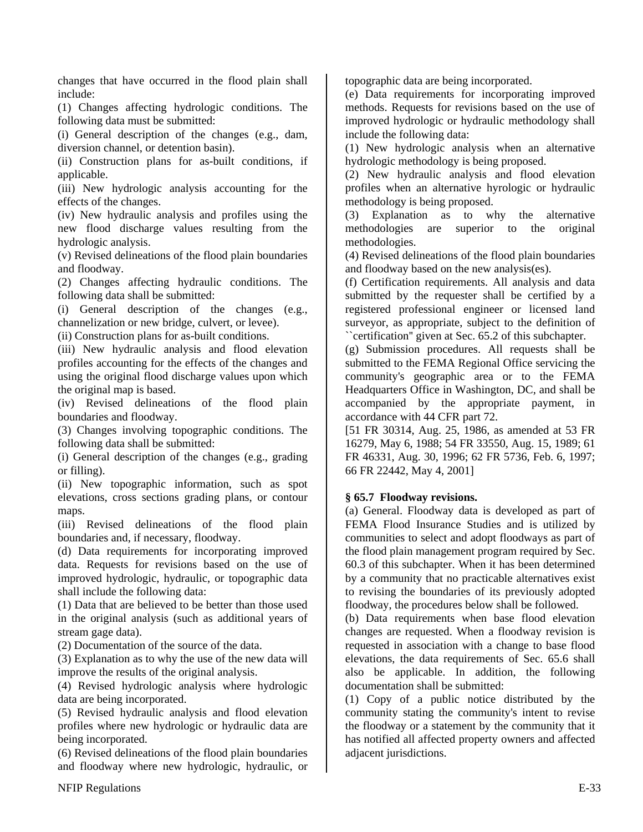changes that have occurred in the flood plain shall include:

(1) Changes affecting hydrologic conditions. The following data must be submitted:

(i) General description of the changes (e.g., dam, diversion channel, or detention basin).

(ii) Construction plans for as-built conditions, if applicable.

(iii) New hydrologic analysis accounting for the effects of the changes.

(iv) New hydraulic analysis and profiles using the new flood discharge values resulting from the hydrologic analysis.

(v) Revised delineations of the flood plain boundaries and floodway.

(2) Changes affecting hydraulic conditions. The following data shall be submitted:

(i) General description of the changes (e.g., channelization or new bridge, culvert, or levee).

(ii) Construction plans for as-built conditions.

(iii) New hydraulic analysis and flood elevation profiles accounting for the effects of the changes and using the original flood discharge values upon which the original map is based.

(iv) Revised delineations of the flood plain boundaries and floodway.

(3) Changes involving topographic conditions. The following data shall be submitted:

(i) General description of the changes (e.g., grading or filling).

(ii) New topographic information, such as spot elevations, cross sections grading plans, or contour maps.

(iii) Revised delineations of the flood plain boundaries and, if necessary, floodway.

(d) Data requirements for incorporating improved data. Requests for revisions based on the use of improved hydrologic, hydraulic, or topographic data shall include the following data:

(1) Data that are believed to be better than those used in the original analysis (such as additional years of stream gage data).

(2) Documentation of the source of the data.

(3) Explanation as to why the use of the new data will improve the results of the original analysis.

(4) Revised hydrologic analysis where hydrologic data are being incorporated.

(5) Revised hydraulic analysis and flood elevation profiles where new hydrologic or hydraulic data are being incorporated.

(6) Revised delineations of the flood plain boundaries and floodway where new hydrologic, hydraulic, or topographic data are being incorporated.

(e) Data requirements for incorporating improved methods. Requests for revisions based on the use of improved hydrologic or hydraulic methodology shall include the following data:

(1) New hydrologic analysis when an alternative hydrologic methodology is being proposed.

(2) New hydraulic analysis and flood elevation profiles when an alternative hyrologic or hydraulic methodology is being proposed.

(3) Explanation as to why the alternative methodologies are superior to the original methodologies.

(4) Revised delineations of the flood plain boundaries and floodway based on the new analysis(es).

(f) Certification requirements. All analysis and data submitted by the requester shall be certified by a registered professional engineer or licensed land surveyor, as appropriate, subject to the definition of ``certification'' given at Sec. 65.2 of this subchapter.

(g) Submission procedures. All requests shall be submitted to the FEMA Regional Office servicing the community's geographic area or to the FEMA Headquarters Office in Washington, DC, and shall be accompanied by the appropriate payment, in accordance with 44 CFR part 72.

[51 FR 30314, Aug. 25, 1986, as amended at 53 FR 16279, May 6, 1988; 54 FR 33550, Aug. 15, 1989; 61 FR 46331, Aug. 30, 1996; 62 FR 5736, Feb. 6, 1997; 66 FR 22442, May 4, 2001]

#### **§ 65.7 Floodway revisions.**

(a) General. Floodway data is developed as part of FEMA Flood Insurance Studies and is utilized by communities to select and adopt floodways as part of the flood plain management program required by Sec. 60.3 of this subchapter. When it has been determined by a community that no practicable alternatives exist to revising the boundaries of its previously adopted floodway, the procedures below shall be followed.

(b) Data requirements when base flood elevation changes are requested. When a floodway revision is requested in association with a change to base flood elevations, the data requirements of Sec. 65.6 shall also be applicable. In addition, the following documentation shall be submitted:

(1) Copy of a public notice distributed by the community stating the community's intent to revise the floodway or a statement by the community that it has notified all affected property owners and affected adjacent jurisdictions.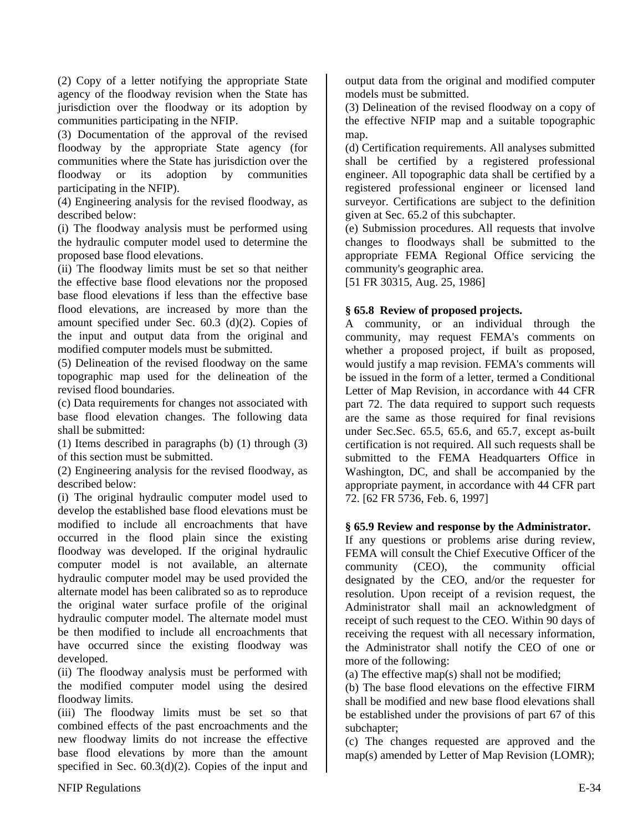(2) Copy of a letter notifying the appropriate State agency of the floodway revision when the State has jurisdiction over the floodway or its adoption by communities participating in the NFIP.

(3) Documentation of the approval of the revised floodway by the appropriate State agency (for communities where the State has jurisdiction over the floodway or its adoption by communities participating in the NFIP).

(4) Engineering analysis for the revised floodway, as described below:

(i) The floodway analysis must be performed using the hydraulic computer model used to determine the proposed base flood elevations.

(ii) The floodway limits must be set so that neither the effective base flood elevations nor the proposed base flood elevations if less than the effective base flood elevations, are increased by more than the amount specified under Sec. 60.3 (d)(2). Copies of the input and output data from the original and modified computer models must be submitted.

(5) Delineation of the revised floodway on the same topographic map used for the delineation of the revised flood boundaries.

(c) Data requirements for changes not associated with base flood elevation changes. The following data shall be submitted:

(1) Items described in paragraphs (b) (1) through (3) of this section must be submitted.

(2) Engineering analysis for the revised floodway, as described below:

(i) The original hydraulic computer model used to develop the established base flood elevations must be modified to include all encroachments that have occurred in the flood plain since the existing floodway was developed. If the original hydraulic computer model is not available, an alternate hydraulic computer model may be used provided the alternate model has been calibrated so as to reproduce the original water surface profile of the original hydraulic computer model. The alternate model must be then modified to include all encroachments that have occurred since the existing floodway was developed.

(ii) The floodway analysis must be performed with the modified computer model using the desired floodway limits.

(iii) The floodway limits must be set so that combined effects of the past encroachments and the new floodway limits do not increase the effective base flood elevations by more than the amount specified in Sec. 60.3(d)(2). Copies of the input and

output data from the original and modified computer models must be submitted.

(3) Delineation of the revised floodway on a copy of the effective NFIP map and a suitable topographic map.

(d) Certification requirements. All analyses submitted shall be certified by a registered professional engineer. All topographic data shall be certified by a registered professional engineer or licensed land surveyor. Certifications are subject to the definition given at Sec. 65.2 of this subchapter.

(e) Submission procedures. All requests that involve changes to floodways shall be submitted to the appropriate FEMA Regional Office servicing the community's geographic area.

[51 FR 30315, Aug. 25, 1986]

#### **§ 65.8 Review of proposed projects.**

A community, or an individual through the community, may request FEMA's comments on whether a proposed project, if built as proposed, would justify a map revision. FEMA's comments will be issued in the form of a letter, termed a Conditional Letter of Map Revision, in accordance with 44 CFR part 72. The data required to support such requests are the same as those required for final revisions under Sec.Sec. 65.5, 65.6, and 65.7, except as-built certification is not required. All such requests shall be submitted to the FEMA Headquarters Office in Washington, DC, and shall be accompanied by the appropriate payment, in accordance with 44 CFR part 72. [62 FR 5736, Feb. 6, 1997]

#### **§ 65.9 Review and response by the Administrator.**

If any questions or problems arise during review, FEMA will consult the Chief Executive Officer of the community (CEO), the community official designated by the CEO, and/or the requester for resolution. Upon receipt of a revision request, the Administrator shall mail an acknowledgment of receipt of such request to the CEO. Within 90 days of receiving the request with all necessary information, the Administrator shall notify the CEO of one or more of the following:

(a) The effective map(s) shall not be modified;

(b) The base flood elevations on the effective FIRM shall be modified and new base flood elevations shall be established under the provisions of part 67 of this subchapter;

(c) The changes requested are approved and the map(s) amended by Letter of Map Revision (LOMR);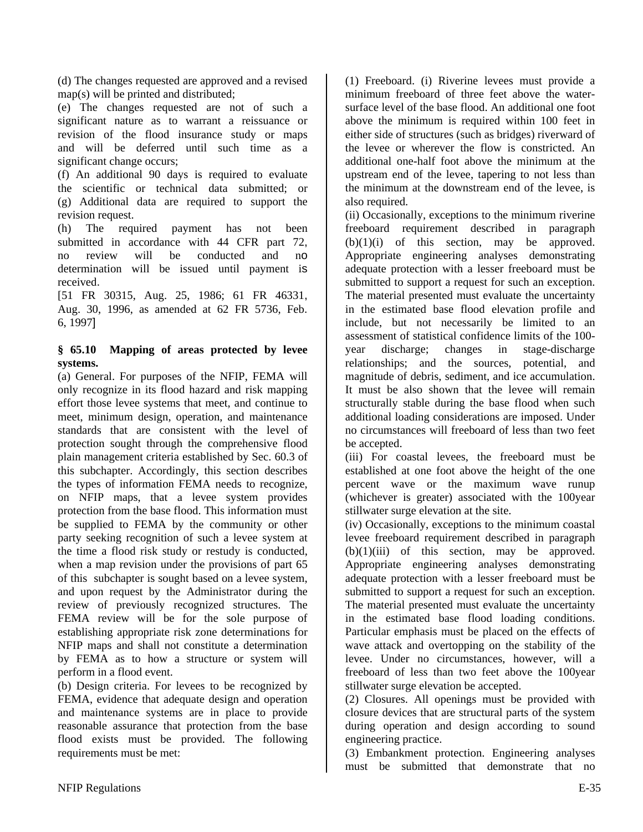(d) The changes requested are approved and a revised map(s) will be printed and distributed;

(e) The changes requested are not of such a significant nature as to warrant a reissuance or revision of the flood insurance study or maps and will be deferred until such time as a significant change occurs;

(f) An additional 90 days is required to evaluate the scientific or technical data submitted; or (g) Additional data are required to support the revision request.

(h) The required payment has not been submitted in accordance with 44 CFR part 72, no review will be conducted and no determination will be issued until payment is received.

[51 FR 30315, Aug. 25, 1986; 61 FR 46331, Aug. 30, 1996, as amended at 62 FR 5736, Feb. 6, 1997]

## **§ 65.10 Mapping of areas protected by levee systems.**

(a) General. For purposes of the NFIP, FEMA will only recognize in its flood hazard and risk mapping effort those levee systems that meet, and continue to meet, minimum design, operation, and maintenance standards that are consistent with the level of protection sought through the comprehensive flood plain management criteria established by Sec. 60.3 of this subchapter. Accordingly, this section describes the types of information FEMA needs to recognize, on NFIP maps, that a levee system provides protection from the base flood. This information must be supplied to FEMA by the community or other party seeking recognition of such a levee system at the time a flood risk study or restudy is conducted, when a map revision under the provisions of part 65 of this subchapter is sought based on a levee system, and upon request by the Administrator during the review of previously recognized structures. The FEMA review will be for the sole purpose of establishing appropriate risk zone determinations for NFIP maps and shall not constitute a determination by FEMA as to how a structure or system will perform in a flood event.

(b) Design criteria. For levees to be recognized by FEMA, evidence that adequate design and operation and maintenance systems are in place to provide reasonable assurance that protection from the base flood exists must be provided. The following requirements must be met:

(1) Freeboard. (i) Riverine levees must provide a minimum freeboard of three feet above the watersurface level of the base flood. An additional one foot above the minimum is required within 100 feet in either side of structures (such as bridges) riverward of the levee or wherever the flow is constricted. An additional one-half foot above the minimum at the upstream end of the levee, tapering to not less than the minimum at the downstream end of the levee, is also required.

(ii) Occasionally, exceptions to the minimum riverine freeboard requirement described in paragraph  $(b)(1)(i)$  of this section, may be approved. Appropriate engineering analyses demonstrating adequate protection with a lesser freeboard must be submitted to support a request for such an exception. The material presented must evaluate the uncertainty in the estimated base flood elevation profile and include, but not necessarily be limited to an assessment of statistical confidence limits of the 100 year discharge; changes in stage-discharge relationships; and the sources, potential, and magnitude of debris, sediment, and ice accumulation. It must be also shown that the levee will remain structurally stable during the base flood when such additional loading considerations are imposed. Under no circumstances will freeboard of less than two feet be accepted.

(iii) For coastal levees, the freeboard must be established at one foot above the height of the one percent wave or the maximum wave runup (whichever is greater) associated with the 100year stillwater surge elevation at the site.

(iv) Occasionally, exceptions to the minimum coastal levee freeboard requirement described in paragraph  $(b)(1)(iii)$  of this section, may be approved. Appropriate engineering analyses demonstrating adequate protection with a lesser freeboard must be submitted to support a request for such an exception. The material presented must evaluate the uncertainty in the estimated base flood loading conditions. Particular emphasis must be placed on the effects of wave attack and overtopping on the stability of the levee. Under no circumstances, however, will a freeboard of less than two feet above the 100year stillwater surge elevation be accepted.

(2) Closures. All openings must be provided with closure devices that are structural parts of the system during operation and design according to sound engineering practice.

(3) Embankment protection. Engineering analyses must be submitted that demonstrate that no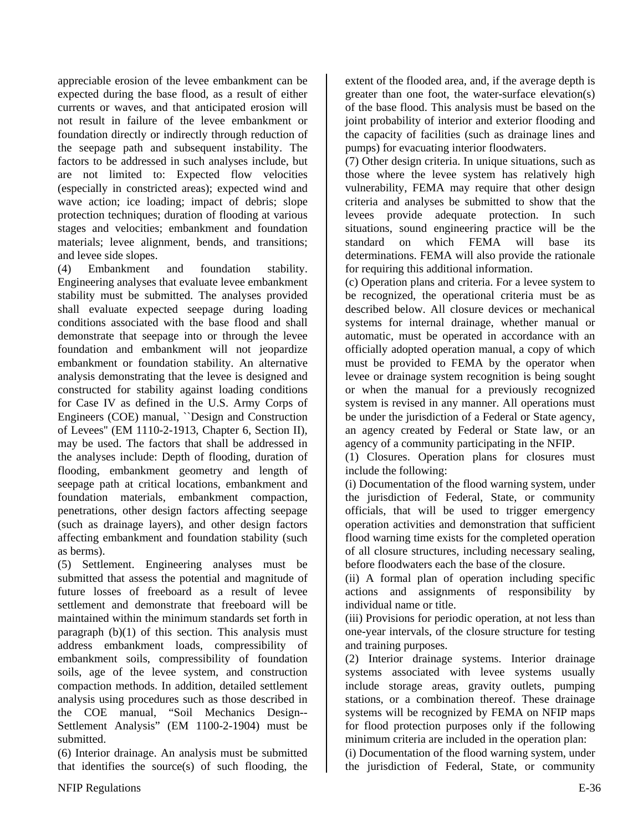appreciable erosion of the levee embankment can be expected during the base flood, as a result of either currents or waves, and that anticipated erosion will not result in failure of the levee embankment or foundation directly or indirectly through reduction of the seepage path and subsequent instability. The factors to be addressed in such analyses include, but are not limited to: Expected flow velocities (especially in constricted areas); expected wind and wave action; ice loading; impact of debris; slope protection techniques; duration of flooding at various stages and velocities; embankment and foundation materials; levee alignment, bends, and transitions; and levee side slopes.

(4) Embankment and foundation stability. Engineering analyses that evaluate levee embankment stability must be submitted. The analyses provided shall evaluate expected seepage during loading conditions associated with the base flood and shall demonstrate that seepage into or through the levee foundation and embankment will not jeopardize embankment or foundation stability. An alternative analysis demonstrating that the levee is designed and constructed for stability against loading conditions for Case IV as defined in the U.S. Army Corps of Engineers (COE) manual, ``Design and Construction of Levees'' (EM 1110-2-1913, Chapter 6, Section II), may be used. The factors that shall be addressed in the analyses include: Depth of flooding, duration of flooding, embankment geometry and length of seepage path at critical locations, embankment and foundation materials, embankment compaction, penetrations, other design factors affecting seepage (such as drainage layers), and other design factors affecting embankment and foundation stability (such as berms).

(5) Settlement. Engineering analyses must be submitted that assess the potential and magnitude of future losses of freeboard as a result of levee settlement and demonstrate that freeboard will be maintained within the minimum standards set forth in paragraph (b)(1) of this section. This analysis must address embankment loads, compressibility of embankment soils, compressibility of foundation soils, age of the levee system, and construction compaction methods. In addition, detailed settlement analysis using procedures such as those described in the COE manual, "Soil Mechanics Design-- Settlement Analysis" (EM 1100-2-1904) must be submitted.

(6) Interior drainage. An analysis must be submitted that identifies the source(s) of such flooding, the extent of the flooded area, and, if the average depth is greater than one foot, the water-surface elevation(s) of the base flood. This analysis must be based on the joint probability of interior and exterior flooding and the capacity of facilities (such as drainage lines and pumps) for evacuating interior floodwaters.

(7) Other design criteria. In unique situations, such as those where the levee system has relatively high vulnerability, FEMA may require that other design criteria and analyses be submitted to show that the levees provide adequate protection. In such situations, sound engineering practice will be the standard on which FEMA will base its determinations. FEMA will also provide the rationale for requiring this additional information.

(c) Operation plans and criteria. For a levee system to be recognized, the operational criteria must be as described below. All closure devices or mechanical systems for internal drainage, whether manual or automatic, must be operated in accordance with an officially adopted operation manual, a copy of which must be provided to FEMA by the operator when levee or drainage system recognition is being sought or when the manual for a previously recognized system is revised in any manner. All operations must be under the jurisdiction of a Federal or State agency, an agency created by Federal or State law, or an agency of a community participating in the NFIP.

(1) Closures. Operation plans for closures must include the following:

(i) Documentation of the flood warning system, under the jurisdiction of Federal, State, or community officials, that will be used to trigger emergency operation activities and demonstration that sufficient flood warning time exists for the completed operation of all closure structures, including necessary sealing, before floodwaters each the base of the closure.

(ii) A formal plan of operation including specific actions and assignments of responsibility by individual name or title.

(iii) Provisions for periodic operation, at not less than one-year intervals, of the closure structure for testing and training purposes.

(2) Interior drainage systems. Interior drainage systems associated with levee systems usually include storage areas, gravity outlets, pumping stations, or a combination thereof. These drainage systems will be recognized by FEMA on NFIP maps for flood protection purposes only if the following minimum criteria are included in the operation plan:

(i) Documentation of the flood warning system, under the jurisdiction of Federal, State, or community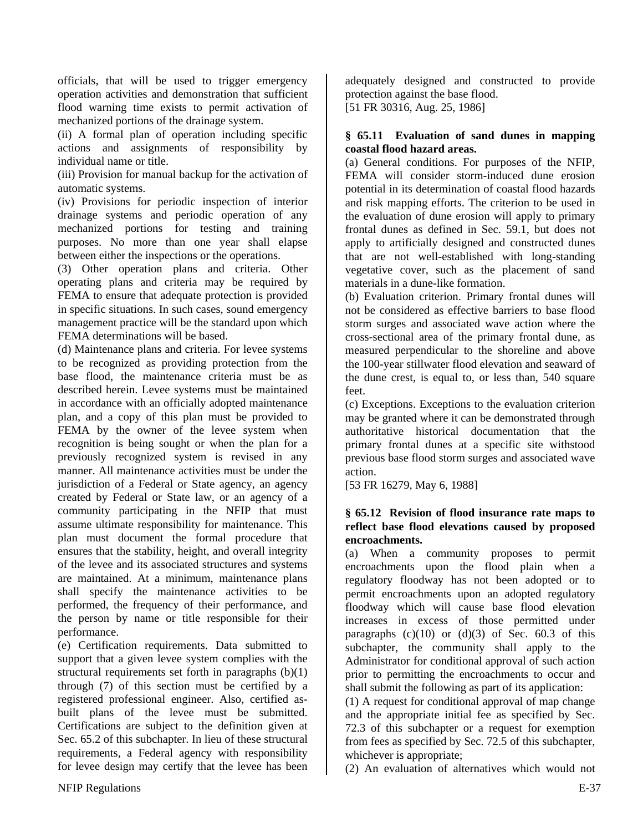officials, that will be used to trigger emergency operation activities and demonstration that sufficient flood warning time exists to permit activation of mechanized portions of the drainage system.

(ii) A formal plan of operation including specific actions and assignments of responsibility by individual name or title.

(iii) Provision for manual backup for the activation of automatic systems.

(iv) Provisions for periodic inspection of interior drainage systems and periodic operation of any mechanized portions for testing and training purposes. No more than one year shall elapse between either the inspections or the operations.

(3) Other operation plans and criteria. Other operating plans and criteria may be required by FEMA to ensure that adequate protection is provided in specific situations. In such cases, sound emergency management practice will be the standard upon which FEMA determinations will be based.

(d) Maintenance plans and criteria. For levee systems to be recognized as providing protection from the base flood, the maintenance criteria must be as described herein. Levee systems must be maintained in accordance with an officially adopted maintenance plan, and a copy of this plan must be provided to FEMA by the owner of the levee system when recognition is being sought or when the plan for a previously recognized system is revised in any manner. All maintenance activities must be under the jurisdiction of a Federal or State agency, an agency created by Federal or State law, or an agency of a community participating in the NFIP that must assume ultimate responsibility for maintenance. This plan must document the formal procedure that ensures that the stability, height, and overall integrity of the levee and its associated structures and systems are maintained. At a minimum, maintenance plans shall specify the maintenance activities to be performed, the frequency of their performance, and the person by name or title responsible for their performance.

(e) Certification requirements. Data submitted to support that a given levee system complies with the structural requirements set forth in paragraphs (b)(1) through (7) of this section must be certified by a registered professional engineer. Also, certified asbuilt plans of the levee must be submitted. Certifications are subject to the definition given at Sec. 65.2 of this subchapter. In lieu of these structural requirements, a Federal agency with responsibility for levee design may certify that the levee has been

adequately designed and constructed to provide protection against the base flood. [51 FR 30316, Aug. 25, 1986]

#### **§ 65.11 Evaluation of sand dunes in mapping coastal flood hazard areas.**

(a) General conditions. For purposes of the NFIP, FEMA will consider storm-induced dune erosion potential in its determination of coastal flood hazards and risk mapping efforts. The criterion to be used in the evaluation of dune erosion will apply to primary frontal dunes as defined in Sec. 59.1, but does not apply to artificially designed and constructed dunes that are not well-established with long-standing vegetative cover, such as the placement of sand materials in a dune-like formation.

(b) Evaluation criterion. Primary frontal dunes will not be considered as effective barriers to base flood storm surges and associated wave action where the cross-sectional area of the primary frontal dune, as measured perpendicular to the shoreline and above the 100-year stillwater flood elevation and seaward of the dune crest, is equal to, or less than, 540 square feet.

(c) Exceptions. Exceptions to the evaluation criterion may be granted where it can be demonstrated through authoritative historical documentation that the primary frontal dunes at a specific site withstood previous base flood storm surges and associated wave action.

[53 FR 16279, May 6, 1988]

#### **§ 65.12 Revision of flood insurance rate maps to reflect base flood elevations caused by proposed encroachments.**

(a) When a community proposes to permit encroachments upon the flood plain when a regulatory floodway has not been adopted or to permit encroachments upon an adopted regulatory floodway which will cause base flood elevation increases in excess of those permitted under paragraphs  $(c)(10)$  or  $(d)(3)$  of Sec. 60.3 of this subchapter, the community shall apply to the Administrator for conditional approval of such action prior to permitting the encroachments to occur and shall submit the following as part of its application:

(1) A request for conditional approval of map change and the appropriate initial fee as specified by Sec. 72.3 of this subchapter or a request for exemption from fees as specified by Sec. 72.5 of this subchapter, whichever is appropriate;

(2) An evaluation of alternatives which would not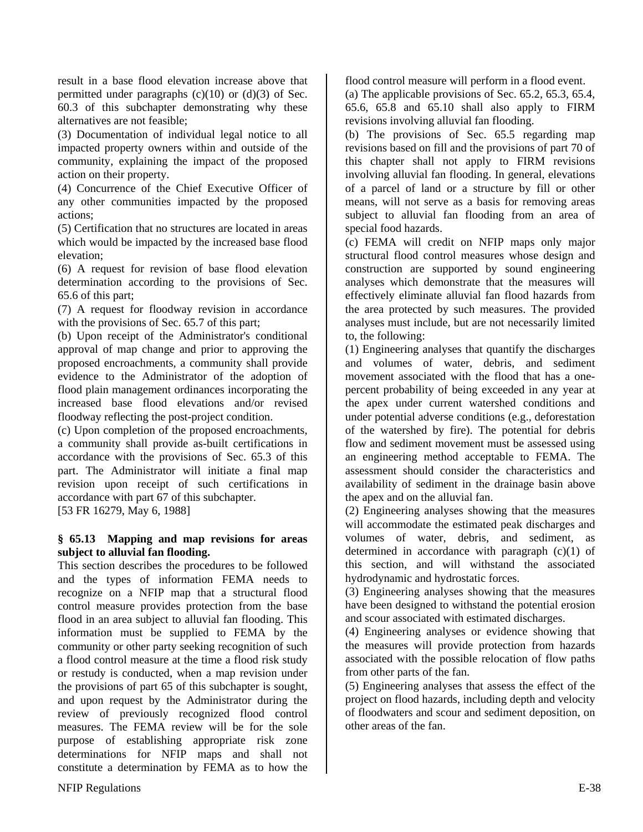result in a base flood elevation increase above that permitted under paragraphs  $(c)(10)$  or  $(d)(3)$  of Sec. 60.3 of this subchapter demonstrating why these alternatives are not feasible;

(3) Documentation of individual legal notice to all impacted property owners within and outside of the community, explaining the impact of the proposed action on their property.

(4) Concurrence of the Chief Executive Officer of any other communities impacted by the proposed actions;

(5) Certification that no structures are located in areas which would be impacted by the increased base flood elevation;

(6) A request for revision of base flood elevation determination according to the provisions of Sec. 65.6 of this part;

(7) A request for floodway revision in accordance with the provisions of Sec. 65.7 of this part;

(b) Upon receipt of the Administrator's conditional approval of map change and prior to approving the proposed encroachments, a community shall provide evidence to the Administrator of the adoption of flood plain management ordinances incorporating the increased base flood elevations and/or revised floodway reflecting the post-project condition.

(c) Upon completion of the proposed encroachments, a community shall provide as-built certifications in accordance with the provisions of Sec. 65.3 of this part. The Administrator will initiate a final map revision upon receipt of such certifications in accordance with part 67 of this subchapter.

[53 FR 16279, May 6, 1988]

#### **§ 65.13 Mapping and map revisions for areas subject to alluvial fan flooding.**

This section describes the procedures to be followed and the types of information FEMA needs to recognize on a NFIP map that a structural flood control measure provides protection from the base flood in an area subject to alluvial fan flooding. This information must be supplied to FEMA by the community or other party seeking recognition of such a flood control measure at the time a flood risk study or restudy is conducted, when a map revision under the provisions of part 65 of this subchapter is sought, and upon request by the Administrator during the review of previously recognized flood control measures. The FEMA review will be for the sole purpose of establishing appropriate risk zone determinations for NFIP maps and shall not constitute a determination by FEMA as to how the

flood control measure will perform in a flood event.

(a) The applicable provisions of Sec. 65.2, 65.3, 65.4, 65.6, 65.8 and 65.10 shall also apply to FIRM revisions involving alluvial fan flooding.

(b) The provisions of Sec. 65.5 regarding map revisions based on fill and the provisions of part 70 of this chapter shall not apply to FIRM revisions involving alluvial fan flooding. In general, elevations of a parcel of land or a structure by fill or other means, will not serve as a basis for removing areas subject to alluvial fan flooding from an area of special food hazards.

(c) FEMA will credit on NFIP maps only major structural flood control measures whose design and construction are supported by sound engineering analyses which demonstrate that the measures will effectively eliminate alluvial fan flood hazards from the area protected by such measures. The provided analyses must include, but are not necessarily limited to, the following:

(1) Engineering analyses that quantify the discharges and volumes of water, debris, and sediment movement associated with the flood that has a onepercent probability of being exceeded in any year at the apex under current watershed conditions and under potential adverse conditions (e.g., deforestation of the watershed by fire). The potential for debris flow and sediment movement must be assessed using an engineering method acceptable to FEMA. The assessment should consider the characteristics and availability of sediment in the drainage basin above the apex and on the alluvial fan.

(2) Engineering analyses showing that the measures will accommodate the estimated peak discharges and volumes of water, debris, and sediment, as determined in accordance with paragraph  $(c)(1)$  of this section, and will withstand the associated hydrodynamic and hydrostatic forces.

(3) Engineering analyses showing that the measures have been designed to withstand the potential erosion and scour associated with estimated discharges.

(4) Engineering analyses or evidence showing that the measures will provide protection from hazards associated with the possible relocation of flow paths from other parts of the fan.

(5) Engineering analyses that assess the effect of the project on flood hazards, including depth and velocity of floodwaters and scour and sediment deposition, on other areas of the fan.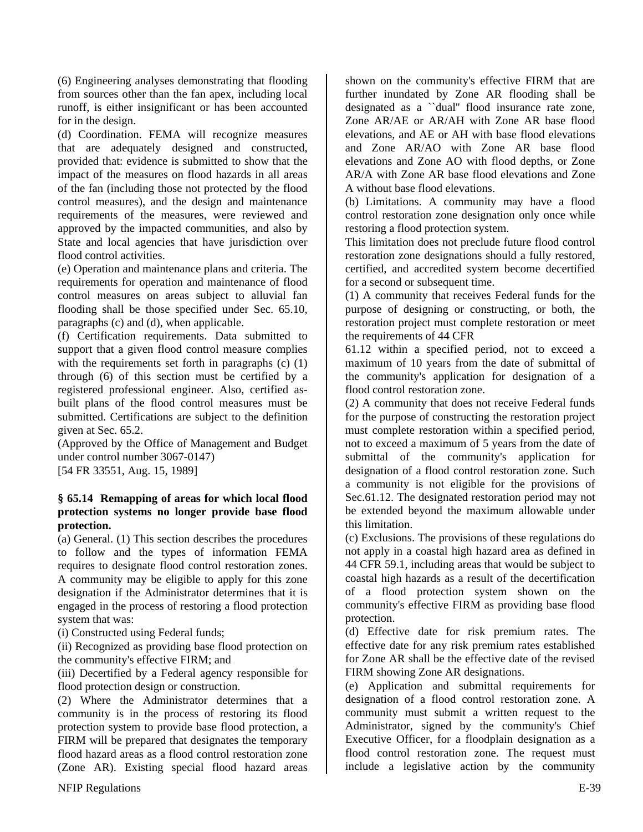(6) Engineering analyses demonstrating that flooding from sources other than the fan apex, including local runoff, is either insignificant or has been accounted for in the design.

(d) Coordination. FEMA will recognize measures that are adequately designed and constructed, provided that: evidence is submitted to show that the impact of the measures on flood hazards in all areas of the fan (including those not protected by the flood control measures), and the design and maintenance requirements of the measures, were reviewed and approved by the impacted communities, and also by State and local agencies that have jurisdiction over flood control activities.

(e) Operation and maintenance plans and criteria. The requirements for operation and maintenance of flood control measures on areas subject to alluvial fan flooding shall be those specified under Sec. 65.10, paragraphs (c) and (d), when applicable.

(f) Certification requirements. Data submitted to support that a given flood control measure complies with the requirements set forth in paragraphs (c) (1) through (6) of this section must be certified by a registered professional engineer. Also, certified asbuilt plans of the flood control measures must be submitted. Certifications are subject to the definition given at Sec. 65.2.

(Approved by the Office of Management and Budget under control number 3067-0147) [54 FR 33551, Aug. 15, 1989]

#### **§ 65.14 Remapping of areas for which local flood protection systems no longer provide base flood protection.**

(a) General. (1) This section describes the procedures to follow and the types of information FEMA requires to designate flood control restoration zones. A community may be eligible to apply for this zone designation if the Administrator determines that it is engaged in the process of restoring a flood protection system that was:

(i) Constructed using Federal funds;

(ii) Recognized as providing base flood protection on the community's effective FIRM; and

(iii) Decertified by a Federal agency responsible for flood protection design or construction.

(2) Where the Administrator determines that a community is in the process of restoring its flood protection system to provide base flood protection, a FIRM will be prepared that designates the temporary flood hazard areas as a flood control restoration zone (Zone AR). Existing special flood hazard areas

shown on the community's effective FIRM that are further inundated by Zone AR flooding shall be designated as a ``dual'' flood insurance rate zone, Zone AR/AE or AR/AH with Zone AR base flood elevations, and AE or AH with base flood elevations and Zone AR/AO with Zone AR base flood elevations and Zone AO with flood depths, or Zone AR/A with Zone AR base flood elevations and Zone A without base flood elevations.

(b) Limitations. A community may have a flood control restoration zone designation only once while restoring a flood protection system.

This limitation does not preclude future flood control restoration zone designations should a fully restored, certified, and accredited system become decertified for a second or subsequent time.

(1) A community that receives Federal funds for the purpose of designing or constructing, or both, the restoration project must complete restoration or meet the requirements of 44 CFR

61.12 within a specified period, not to exceed a maximum of 10 years from the date of submittal of the community's application for designation of a flood control restoration zone.

(2) A community that does not receive Federal funds for the purpose of constructing the restoration project must complete restoration within a specified period, not to exceed a maximum of 5 years from the date of submittal of the community's application for designation of a flood control restoration zone. Such a community is not eligible for the provisions of Sec.61.12. The designated restoration period may not be extended beyond the maximum allowable under this limitation.

(c) Exclusions. The provisions of these regulations do not apply in a coastal high hazard area as defined in 44 CFR 59.1, including areas that would be subject to coastal high hazards as a result of the decertification of a flood protection system shown on the community's effective FIRM as providing base flood protection.

(d) Effective date for risk premium rates. The effective date for any risk premium rates established for Zone AR shall be the effective date of the revised FIRM showing Zone AR designations.

(e) Application and submittal requirements for designation of a flood control restoration zone. A community must submit a written request to the Administrator, signed by the community's Chief Executive Officer, for a floodplain designation as a flood control restoration zone. The request must include a legislative action by the community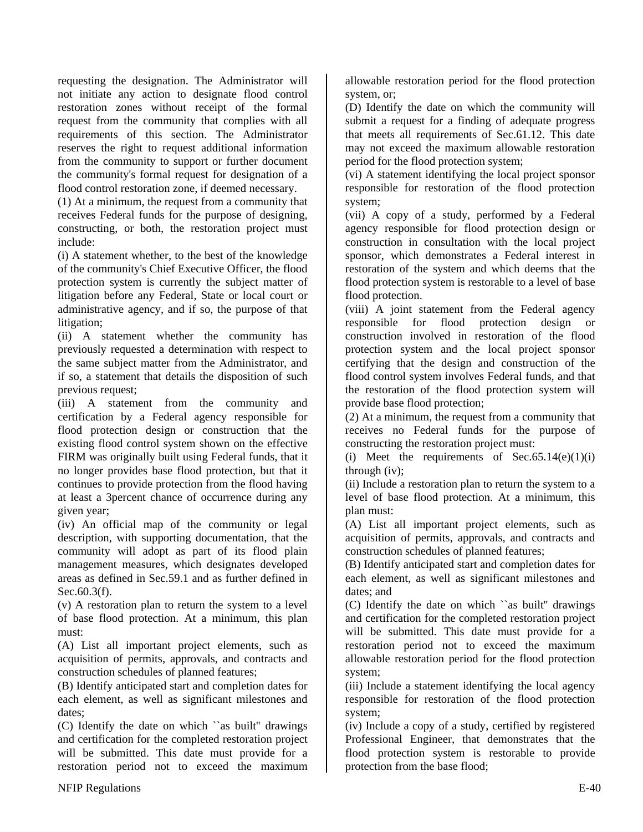requesting the designation. The Administrator will not initiate any action to designate flood control restoration zones without receipt of the formal request from the community that complies with all requirements of this section. The Administrator reserves the right to request additional information from the community to support or further document the community's formal request for designation of a flood control restoration zone, if deemed necessary.

(1) At a minimum, the request from a community that receives Federal funds for the purpose of designing, constructing, or both, the restoration project must include:

(i) A statement whether, to the best of the knowledge of the community's Chief Executive Officer, the flood protection system is currently the subject matter of litigation before any Federal, State or local court or administrative agency, and if so, the purpose of that litigation;

(ii) A statement whether the community has previously requested a determination with respect to the same subject matter from the Administrator, and if so, a statement that details the disposition of such previous request;

(iii) A statement from the community and certification by a Federal agency responsible for flood protection design or construction that the existing flood control system shown on the effective FIRM was originally built using Federal funds, that it no longer provides base flood protection, but that it continues to provide protection from the flood having at least a 3percent chance of occurrence during any given year;

(iv) An official map of the community or legal description, with supporting documentation, that the community will adopt as part of its flood plain management measures, which designates developed areas as defined in Sec.59.1 and as further defined in Sec.60.3(f).

(v) A restoration plan to return the system to a level of base flood protection. At a minimum, this plan must:

(A) List all important project elements, such as acquisition of permits, approvals, and contracts and construction schedules of planned features;

(B) Identify anticipated start and completion dates for each element, as well as significant milestones and dates;

(C) Identify the date on which ``as built'' drawings and certification for the completed restoration project will be submitted. This date must provide for a restoration period not to exceed the maximum

allowable restoration period for the flood protection system, or;

(D) Identify the date on which the community will submit a request for a finding of adequate progress that meets all requirements of Sec.61.12. This date may not exceed the maximum allowable restoration period for the flood protection system;

(vi) A statement identifying the local project sponsor responsible for restoration of the flood protection system;

(vii) A copy of a study, performed by a Federal agency responsible for flood protection design or construction in consultation with the local project sponsor, which demonstrates a Federal interest in restoration of the system and which deems that the flood protection system is restorable to a level of base flood protection.

(viii) A joint statement from the Federal agency responsible for flood protection design or construction involved in restoration of the flood protection system and the local project sponsor certifying that the design and construction of the flood control system involves Federal funds, and that the restoration of the flood protection system will provide base flood protection;

(2) At a minimum, the request from a community that receives no Federal funds for the purpose of constructing the restoration project must:

(i) Meet the requirements of  $Sec.65.14(e)(1)(i)$ through (iv);

(ii) Include a restoration plan to return the system to a level of base flood protection. At a minimum, this plan must:

(A) List all important project elements, such as acquisition of permits, approvals, and contracts and construction schedules of planned features;

(B) Identify anticipated start and completion dates for each element, as well as significant milestones and dates; and

(C) Identify the date on which ``as built'' drawings and certification for the completed restoration project will be submitted. This date must provide for a restoration period not to exceed the maximum allowable restoration period for the flood protection system;

(iii) Include a statement identifying the local agency responsible for restoration of the flood protection system;

(iv) Include a copy of a study, certified by registered Professional Engineer, that demonstrates that the flood protection system is restorable to provide protection from the base flood;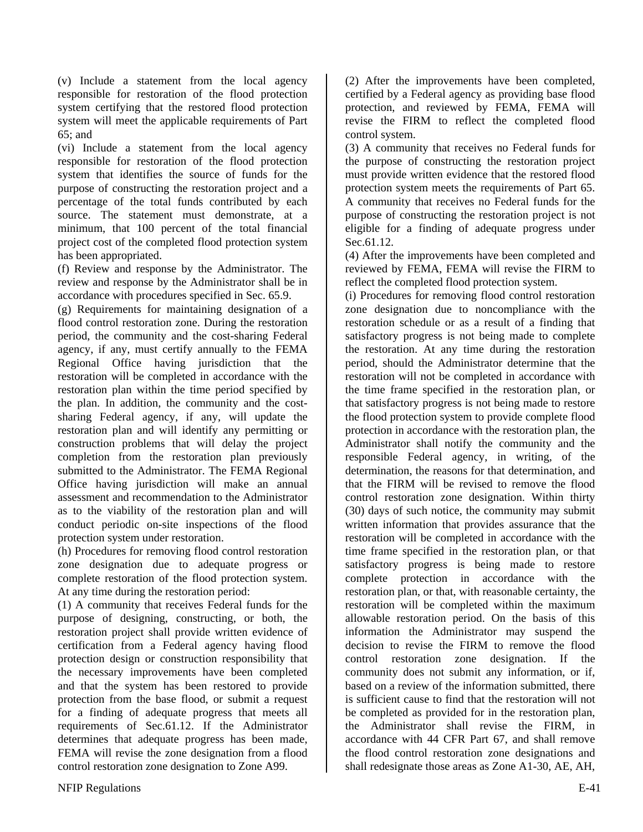(v) Include a statement from the local agency responsible for restoration of the flood protection system certifying that the restored flood protection system will meet the applicable requirements of Part 65; and

(vi) Include a statement from the local agency responsible for restoration of the flood protection system that identifies the source of funds for the purpose of constructing the restoration project and a percentage of the total funds contributed by each source. The statement must demonstrate, at a minimum, that 100 percent of the total financial project cost of the completed flood protection system has been appropriated.

(f) Review and response by the Administrator. The review and response by the Administrator shall be in accordance with procedures specified in Sec. 65.9.

(g) Requirements for maintaining designation of a flood control restoration zone. During the restoration period, the community and the cost-sharing Federal agency, if any, must certify annually to the FEMA Regional Office having jurisdiction that the restoration will be completed in accordance with the restoration plan within the time period specified by the plan. In addition, the community and the costsharing Federal agency, if any, will update the restoration plan and will identify any permitting or construction problems that will delay the project completion from the restoration plan previously submitted to the Administrator. The FEMA Regional Office having jurisdiction will make an annual assessment and recommendation to the Administrator as to the viability of the restoration plan and will conduct periodic on-site inspections of the flood protection system under restoration.

(h) Procedures for removing flood control restoration zone designation due to adequate progress or complete restoration of the flood protection system. At any time during the restoration period:

(1) A community that receives Federal funds for the purpose of designing, constructing, or both, the restoration project shall provide written evidence of certification from a Federal agency having flood protection design or construction responsibility that the necessary improvements have been completed and that the system has been restored to provide protection from the base flood, or submit a request for a finding of adequate progress that meets all requirements of Sec.61.12. If the Administrator determines that adequate progress has been made, FEMA will revise the zone designation from a flood control restoration zone designation to Zone A99.

(2) After the improvements have been completed, certified by a Federal agency as providing base flood protection, and reviewed by FEMA, FEMA will revise the FIRM to reflect the completed flood control system.

(3) A community that receives no Federal funds for the purpose of constructing the restoration project must provide written evidence that the restored flood protection system meets the requirements of Part 65. A community that receives no Federal funds for the purpose of constructing the restoration project is not eligible for a finding of adequate progress under Sec.61.12.

(4) After the improvements have been completed and reviewed by FEMA, FEMA will revise the FIRM to reflect the completed flood protection system.

(i) Procedures for removing flood control restoration zone designation due to noncompliance with the restoration schedule or as a result of a finding that satisfactory progress is not being made to complete the restoration. At any time during the restoration period, should the Administrator determine that the restoration will not be completed in accordance with the time frame specified in the restoration plan, or that satisfactory progress is not being made to restore the flood protection system to provide complete flood protection in accordance with the restoration plan, the Administrator shall notify the community and the responsible Federal agency, in writing, of the determination, the reasons for that determination, and that the FIRM will be revised to remove the flood control restoration zone designation. Within thirty (30) days of such notice, the community may submit written information that provides assurance that the restoration will be completed in accordance with the time frame specified in the restoration plan, or that satisfactory progress is being made to restore complete protection in accordance with the restoration plan, or that, with reasonable certainty, the restoration will be completed within the maximum allowable restoration period. On the basis of this information the Administrator may suspend the decision to revise the FIRM to remove the flood control restoration zone designation. If the community does not submit any information, or if, based on a review of the information submitted, there is sufficient cause to find that the restoration will not be completed as provided for in the restoration plan, the Administrator shall revise the FIRM, in accordance with 44 CFR Part 67, and shall remove the flood control restoration zone designations and shall redesignate those areas as Zone A1-30, AE, AH,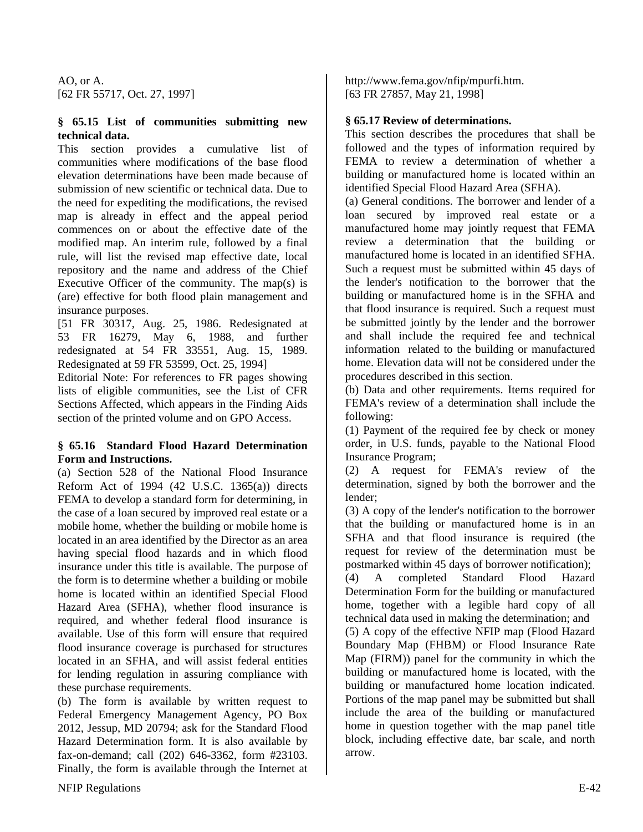AO, or A. [62 FR 55717, Oct. 27, 1997]

#### **§ 65.15 List of communities submitting new technical data.**

This section provides a cumulative list of communities where modifications of the base flood elevation determinations have been made because of submission of new scientific or technical data. Due to the need for expediting the modifications, the revised map is already in effect and the appeal period commences on or about the effective date of the modified map. An interim rule, followed by a final rule, will list the revised map effective date, local repository and the name and address of the Chief Executive Officer of the community. The map(s) is (are) effective for both flood plain management and insurance purposes.

[51 FR 30317, Aug. 25, 1986. Redesignated at 53 FR 16279, May 6, 1988, and further redesignated at 54 FR 33551, Aug. 15, 1989. Redesignated at 59 FR 53599, Oct. 25, 1994]

Editorial Note: For references to FR pages showing lists of eligible communities, see the List of CFR Sections Affected, which appears in the Finding Aids section of the printed volume and on GPO Access.

#### **§ 65.16 Standard Flood Hazard Determination Form and Instructions.**

(a) Section 528 of the National Flood Insurance Reform Act of 1994 (42 U.S.C. 1365(a)) directs FEMA to develop a standard form for determining, in the case of a loan secured by improved real estate or a mobile home, whether the building or mobile home is located in an area identified by the Director as an area having special flood hazards and in which flood insurance under this title is available. The purpose of the form is to determine whether a building or mobile home is located within an identified Special Flood Hazard Area (SFHA), whether flood insurance is required, and whether federal flood insurance is available. Use of this form will ensure that required flood insurance coverage is purchased for structures located in an SFHA, and will assist federal entities for lending regulation in assuring compliance with these purchase requirements.

(b) The form is available by written request to Federal Emergency Management Agency, PO Box 2012, Jessup, MD 20794; ask for the Standard Flood Hazard Determination form. It is also available by fax-on-demand; call (202) 646-3362, form #23103. Finally, the form is available through the Internet at http://www.fema.gov/nfip/mpurfi.htm. [63 FR 27857, May 21, 1998]

#### **§ 65.17 Review of determinations.**

This section describes the procedures that shall be followed and the types of information required by FEMA to review a determination of whether a building or manufactured home is located within an identified Special Flood Hazard Area (SFHA).

(a) General conditions. The borrower and lender of a loan secured by improved real estate or a manufactured home may jointly request that FEMA review a determination that the building or manufactured home is located in an identified SFHA. Such a request must be submitted within 45 days of the lender's notification to the borrower that the building or manufactured home is in the SFHA and that flood insurance is required. Such a request must be submitted jointly by the lender and the borrower and shall include the required fee and technical information related to the building or manufactured home. Elevation data will not be considered under the procedures described in this section.

(b) Data and other requirements. Items required for FEMA's review of a determination shall include the following:

(1) Payment of the required fee by check or money order, in U.S. funds, payable to the National Flood Insurance Program;

(2) A request for FEMA's review of the determination, signed by both the borrower and the lender;

(3) A copy of the lender's notification to the borrower that the building or manufactured home is in an SFHA and that flood insurance is required (the request for review of the determination must be postmarked within 45 days of borrower notification);

(4) A completed Standard Flood Hazard Determination Form for the building or manufactured home, together with a legible hard copy of all technical data used in making the determination; and

(5) A copy of the effective NFIP map (Flood Hazard Boundary Map (FHBM) or Flood Insurance Rate Map (FIRM)) panel for the community in which the building or manufactured home is located, with the building or manufactured home location indicated. Portions of the map panel may be submitted but shall include the area of the building or manufactured home in question together with the map panel title block, including effective date, bar scale, and north arrow.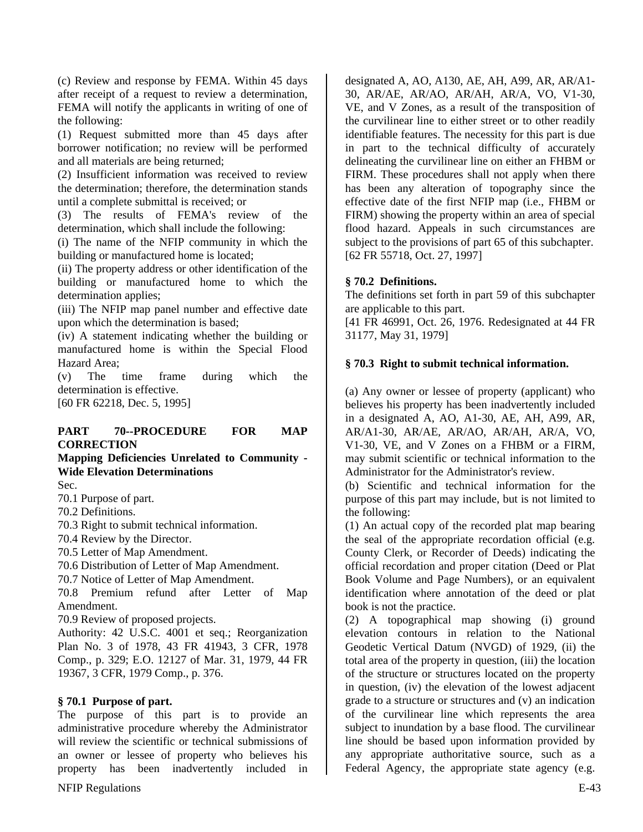(c) Review and response by FEMA. Within 45 days after receipt of a request to review a determination, FEMA will notify the applicants in writing of one of the following:

(1) Request submitted more than 45 days after borrower notification; no review will be performed and all materials are being returned;

(2) Insufficient information was received to review the determination; therefore, the determination stands until a complete submittal is received; or

(3) The results of FEMA's review of the determination, which shall include the following:

(i) The name of the NFIP community in which the building or manufactured home is located;

(ii) The property address or other identification of the building or manufactured home to which the determination applies;

(iii) The NFIP map panel number and effective date upon which the determination is based;

(iv) A statement indicating whether the building or manufactured home is within the Special Flood Hazard Area;

(v) The time frame during which the determination is effective. [60 FR 62218, Dec. 5, 1995]

#### **PART 70--PROCEDURE FOR MAP CORRECTION**

**Mapping Deficiencies Unrelated to Community - Wide Elevation Determinations** 

Sec.

70.1 Purpose of part.

70.2 Definitions.

70.3 Right to submit technical information.

70.4 Review by the Director.

70.5 Letter of Map Amendment.

70.6 Distribution of Letter of Map Amendment.

70.7 Notice of Letter of Map Amendment.

70.8 Premium refund after Letter of Map Amendment.

70.9 Review of proposed projects.

Authority: 42 U.S.C. 4001 et seq.; Reorganization Plan No. 3 of 1978, 43 FR 41943, 3 CFR, 1978 Comp., p. 329; E.O. 12127 of Mar. 31, 1979, 44 FR 19367, 3 CFR, 1979 Comp., p. 376.

#### **§ 70.1 Purpose of part.**

The purpose of this part is to provide an administrative procedure whereby the Administrator will review the scientific or technical submissions of an owner or lessee of property who believes his property has been inadvertently included in

designated A, AO, A130, AE, AH, A99, AR, AR/A1- 30, AR/AE, AR/AO, AR/AH, AR/A, VO, V1-30, VE, and V Zones, as a result of the transposition of the curvilinear line to either street or to other readily identifiable features. The necessity for this part is due in part to the technical difficulty of accurately delineating the curvilinear line on either an FHBM or FIRM. These procedures shall not apply when there has been any alteration of topography since the effective date of the first NFIP map (i.e., FHBM or FIRM) showing the property within an area of special flood hazard. Appeals in such circumstances are subject to the provisions of part 65 of this subchapter. [62 FR 55718, Oct. 27, 1997]

#### **§ 70.2 Definitions.**

The definitions set forth in part 59 of this subchapter are applicable to this part.

[41 FR 46991, Oct. 26, 1976. Redesignated at 44 FR 31177, May 31, 1979]

#### **§ 70.3 Right to submit technical information.**

(a) Any owner or lessee of property (applicant) who believes his property has been inadvertently included in a designated A, AO, A1-30, AE, AH, A99, AR, AR/A1-30, AR/AE, AR/AO, AR/AH, AR/A, VO, V1-30, VE, and V Zones on a FHBM or a FIRM, may submit scientific or technical information to the Administrator for the Administrator's review.

(b) Scientific and technical information for the purpose of this part may include, but is not limited to the following:

(1) An actual copy of the recorded plat map bearing the seal of the appropriate recordation official (e.g. County Clerk, or Recorder of Deeds) indicating the official recordation and proper citation (Deed or Plat Book Volume and Page Numbers), or an equivalent identification where annotation of the deed or plat book is not the practice.

(2) A topographical map showing (i) ground elevation contours in relation to the National Geodetic Vertical Datum (NVGD) of 1929, (ii) the total area of the property in question, (iii) the location of the structure or structures located on the property in question, (iv) the elevation of the lowest adjacent grade to a structure or structures and (v) an indication of the curvilinear line which represents the area subject to inundation by a base flood. The curvilinear line should be based upon information provided by any appropriate authoritative source, such as a Federal Agency, the appropriate state agency (e.g.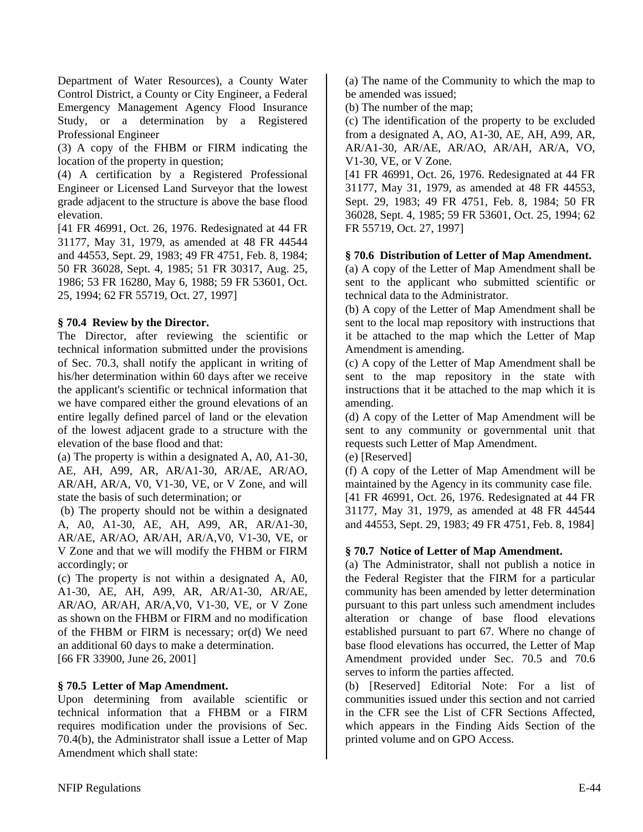Department of Water Resources), a County Water Control District, a County or City Engineer, a Federal Emergency Management Agency Flood Insurance Study, or a determination by a Registered Professional Engineer

(3) A copy of the FHBM or FIRM indicating the location of the property in question;

(4) A certification by a Registered Professional Engineer or Licensed Land Surveyor that the lowest grade adjacent to the structure is above the base flood elevation.

[41 FR 46991, Oct. 26, 1976. Redesignated at 44 FR 31177, May 31, 1979, as amended at 48 FR 44544 and 44553, Sept. 29, 1983; 49 FR 4751, Feb. 8, 1984; 50 FR 36028, Sept. 4, 1985; 51 FR 30317, Aug. 25, 1986; 53 FR 16280, May 6, 1988; 59 FR 53601, Oct. 25, 1994; 62 FR 55719, Oct. 27, 1997]

#### **§ 70.4 Review by the Director.**

The Director, after reviewing the scientific or technical information submitted under the provisions of Sec. 70.3, shall notify the applicant in writing of his/her determination within 60 days after we receive the applicant's scientific or technical information that we have compared either the ground elevations of an entire legally defined parcel of land or the elevation of the lowest adjacent grade to a structure with the elevation of the base flood and that:

(a) The property is within a designated A, A0, A1-30, AE, AH, A99, AR, AR/A1-30, AR/AE, AR/AO, AR/AH, AR/A, V0, V1-30, VE, or V Zone, and will state the basis of such determination; or

 (b) The property should not be within a designated A, A0, A1-30, AE, AH, A99, AR, AR/A1-30, AR/AE, AR/AO, AR/AH, AR/A,V0, V1-30, VE, or V Zone and that we will modify the FHBM or FIRM accordingly; or

(c) The property is not within a designated A, A0, A1-30, AE, AH, A99, AR, AR/A1-30, AR/AE, AR/AO, AR/AH, AR/A,V0, V1-30, VE, or V Zone as shown on the FHBM or FIRM and no modification of the FHBM or FIRM is necessary; or(d) We need an additional 60 days to make a determination. [66 FR 33900, June 26, 2001]

#### **§ 70.5 Letter of Map Amendment.**

Upon determining from available scientific or technical information that a FHBM or a FIRM requires modification under the provisions of Sec. 70.4(b), the Administrator shall issue a Letter of Map Amendment which shall state:

(a) The name of the Community to which the map to be amended was issued;

(b) The number of the map;

(c) The identification of the property to be excluded from a designated A, AO, A1-30, AE, AH, A99, AR, AR/A1-30, AR/AE, AR/AO, AR/AH, AR/A, VO, V1-30, VE, or V Zone.

[41 FR 46991, Oct. 26, 1976. Redesignated at 44 FR 31177, May 31, 1979, as amended at 48 FR 44553, Sept. 29, 1983; 49 FR 4751, Feb. 8, 1984; 50 FR 36028, Sept. 4, 1985; 59 FR 53601, Oct. 25, 1994; 62 FR 55719, Oct. 27, 1997]

#### **§ 70.6 Distribution of Letter of Map Amendment.**

(a) A copy of the Letter of Map Amendment shall be sent to the applicant who submitted scientific or technical data to the Administrator.

(b) A copy of the Letter of Map Amendment shall be sent to the local map repository with instructions that it be attached to the map which the Letter of Map Amendment is amending.

(c) A copy of the Letter of Map Amendment shall be sent to the map repository in the state with instructions that it be attached to the map which it is amending.

(d) A copy of the Letter of Map Amendment will be sent to any community or governmental unit that requests such Letter of Map Amendment.

(e) [Reserved]

(f) A copy of the Letter of Map Amendment will be maintained by the Agency in its community case file. [41 FR 46991, Oct. 26, 1976. Redesignated at 44 FR 31177, May 31, 1979, as amended at 48 FR 44544 and 44553, Sept. 29, 1983; 49 FR 4751, Feb. 8, 1984]

#### **§ 70.7 Notice of Letter of Map Amendment.**

(a) The Administrator, shall not publish a notice in the Federal Register that the FIRM for a particular community has been amended by letter determination pursuant to this part unless such amendment includes alteration or change of base flood elevations established pursuant to part 67. Where no change of base flood elevations has occurred, the Letter of Map Amendment provided under Sec. 70.5 and 70.6 serves to inform the parties affected.

(b) [Reserved] Editorial Note: For a list of communities issued under this section and not carried in the CFR see the List of CFR Sections Affected, which appears in the Finding Aids Section of the printed volume and on GPO Access.